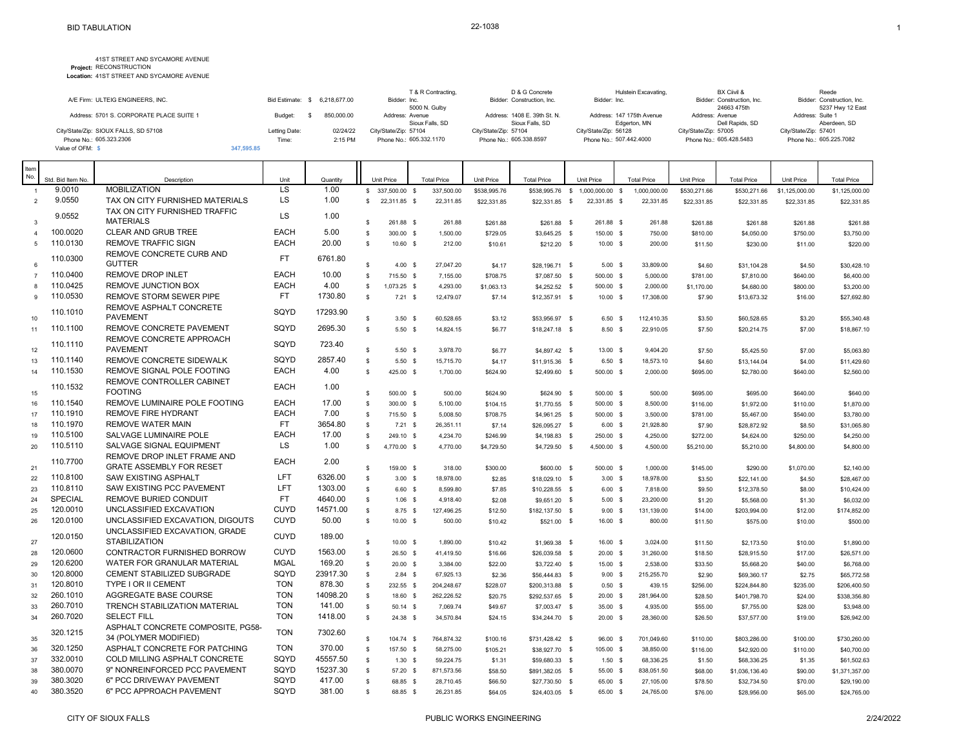|                                          |               |                 |            | T & R Contracting,      | D & G Concrete               | Hulstein Excavating,      | BX Ciivil &                | Reede                      |
|------------------------------------------|---------------|-----------------|------------|-------------------------|------------------------------|---------------------------|----------------------------|----------------------------|
| A/E Firm: ULTEIG ENGINEERS, INC.         | Bid Estimate: | \$ 6,218,677,00 |            | Bidder: Inc.            | Bidder: Construction, Inc.   | Bidder: Inc.              | Bidder: Construction, Inc. | Bidder: Construction, Inc. |
|                                          |               |                 |            | 5000 N. Gulby           |                              |                           | 24663 475th                | 5237 Hwy 12 East           |
| Address: 5701 S. CORPORATE PLACE SUITE 1 | Budget:       |                 | 850.000.00 | Address: Avenue         | Address: 1408 E. 39th St. N. | Address: 147 175th Avenue | Address: Avenue            | Address: Suite 1           |
|                                          |               |                 |            | Sioux Falls, SD         | Sioux Falls, SD              | Edgerton, MN              | Dell Rapids, SD            | Aberdeen, SD               |
| City/State/Zip: SIOUX FALLS, SD 57108    | Letting Date: |                 | 02/24/22   | City/State/Zip: 57104   | City/State/Zip: 57104        | City/State/Zip: 56128     | City/State/Zip: 57005      | City/State/Zip: 57401      |
| Phone No.: 605.323.2306                  | Time:         |                 | 2:15 PM    | Phone No.: 605.332.1170 | Phone No.: 605.338.8597      | Phone No.: 507.442.4000   | Phone No.: 605.428.5483    | Phone No.: 605.225.7082    |
| Value of OFM: \$                         | 347.595.85    |                 |            |                         |                              |                           |                            |                            |

| Std. Bid Item No.<br>Description<br>Unit<br>Quantity<br><b>Unit Price</b><br><b>Total Price</b><br>Unit Price<br><b>Total Price</b><br>Unit Price<br><b>Total Price</b><br>Unit Price<br><b>Total Price</b><br>Unit Price<br><b>Total Price</b><br><b>MOBILIZATION</b><br><b>LS</b><br>9.0010<br>1.00<br>\$ 337,500.00 \$<br>337,500.00<br>1.000.000.00 \$<br>1.000.000.00<br>$\overline{1}$<br>\$538,995.76<br>\$538,995.76<br>$\mathbb{S}$<br>\$530,271.66<br>\$530,271.66<br>\$1,125,000.00<br>\$1,125,000.00<br>9.0550<br>LS<br>TAX ON CITY FURNISHED MATERIALS<br>1.00<br>$\overline{2}$<br>$\mathbb{S}$<br>22,311.85 \$<br>22,311.85<br>\$22,331.85<br>\$22,331.85 \$<br>22,331.85 \$<br>22,331.85<br>\$22,331.85<br>\$22,331.85<br>\$22,331.85<br>\$22,331.85<br>TAX ON CITY FURNISHED TRAFFIC<br>9.0552<br><b>LS</b><br>1.00<br><b>MATERIALS</b><br>3<br>\$<br>261.88 \$<br>261.88<br>\$261.88<br>\$261.88 \$<br>261.88 \$<br>261.88<br>\$261.88<br>\$261.88<br>\$261.88<br>\$261.88<br>100.0020<br><b>EACH</b><br>5.00<br><b>CLEAR AND GRUB TREE</b><br>s<br>300.00 \$<br>$\Delta$<br>1.500.00<br>\$729.05<br>\$3,645.25 \$<br>150.00 \$<br>750.00<br>\$810.00<br>\$4.050.00<br>\$750.00<br>\$3,750.00<br>110.0130<br><b>EACH</b><br>20.00<br><b>REMOVE TRAFFIC SIGN</b><br>5<br>\$<br>$10.60$ \$<br>212.00<br>\$10.61<br>\$212.20 \$<br>10.00 S<br>200.00<br>\$11.50<br>\$230.00<br>\$11.00<br>\$220.00<br>REMOVE CONCRETE CURB AND<br>110.0300<br><b>FT</b><br>6761.80<br><b>GUTTER</b><br>$\mathbb{S}$<br>6<br>4.00 S<br>27,047.20<br>33,809.00<br>\$4.17<br>\$28,196.71 \$<br>5.00 S<br>\$4.60<br>\$31,104.28<br>\$4.50<br>\$30,428.10<br><b>EACH</b><br>110.0400<br>10.00<br><b>REMOVE DROP INLET</b><br>$\mathbb{S}$<br>715.50 \$<br>7,155.00<br>500.00 \$<br>5,000.00<br>$\overline{7}$<br>\$708.75<br>\$781.00<br>\$6,400.00<br>\$7,087.50 \$<br>\$7,810.00<br>\$640.00<br>110.0425<br><b>REMOVE JUNCTION BOX</b><br><b>EACH</b><br>4.00<br>$\mathbb{S}$<br>8<br>1,073.25 \$<br>4,293.00<br>\$1,063.13<br>\$4,252.52 \$<br>2,000.00<br>\$1,170.00<br>\$4,680.00<br>\$800.00<br>\$3,200.00<br>500.00 \$<br>110.0530<br>FT.<br>1730.80<br>REMOVE STORM SEWER PIPE<br>s<br>$\mathbf{Q}$<br>7.21 S<br>12,479.07<br>17,308.00<br>10.00 S<br>\$27,692.80<br>\$7.14<br>$$12,357.91$ \$<br>\$7.90<br>\$13,673.32<br>\$16.00<br>REMOVE ASPHALT CONCRETE<br>110.1010<br>SQYD<br>17293.90<br><b>PAVEMENT</b><br>10<br>\$<br>3.50S<br>60.528.65<br>6.50 S<br>112.410.35<br>\$3.50<br>\$3.12<br>\$53,956.97 \$<br>\$60,528.65<br>\$3.20<br>\$55,340.48<br>REMOVE CONCRETE PAVEMENT<br>110.1100<br>SQYD<br>2695.30<br>$\mathbb{S}$<br>5.50S<br>14,824.15<br>\$6.77<br>$$18,247.18$ \$<br>22,910.05<br>\$7.50<br>\$7.00<br>\$18,867.10<br>11<br>8.50 S<br>\$20,214.75<br>REMOVE CONCRETE APPROACH<br>SQYD<br>110.1110<br>723.40<br><b>PAVEMENT</b><br>s<br>9.404.20<br>12<br>5.50S<br>3.978.70<br>\$6.77<br>\$4,897.42 \$<br>13.00 S<br>\$7.50<br>\$5,425.50<br>\$7.00<br>\$5,063.80<br>REMOVE CONCRETE SIDEWALK<br>SQYD<br>2857.40<br>110.1140<br>$\mathbb{S}$<br>$5.50$ \$<br>15,715.70<br>6.50 <sup>5</sup><br>18,573.10<br>13<br>\$4.17<br>\$11,915.36 \$<br>\$4.60<br>\$13,144.04<br>\$4.00<br>\$11,429.60<br>110.1530<br>REMOVE SIGNAL POLE FOOTING<br><b>EACH</b><br>4.00<br>s<br>425.00 \$<br>\$2,560.00<br>14<br>1.700.00<br>\$624.90<br>\$2,499.60 \$<br>500.00 \$<br>2.000.00<br>\$695.00<br>\$2,780.00<br>\$640.00<br>REMOVE CONTROLLER CABINET<br>110.1532<br><b>EACH</b><br>1.00<br><b>FOOTING</b><br>$\mathbb{S}$<br>15<br>500.00 \$<br>500.00<br>\$624.90<br>\$624.90 \$<br>500.00 \$<br>500.00<br>\$695.00<br>\$695.00<br>\$640.00<br>\$640.00<br><b>EACH</b><br>110.1540<br>REMOVE LUMINAIRE POLE FOOTING<br>17.00<br>$\mathbb{S}$<br>16<br>300.00 \$<br>5,100.00<br>\$104.15<br>\$1,770.55 \$<br>500.00 \$<br>8,500.00<br>\$116.00<br>\$1,972.00<br>\$110.00<br>\$1,870.00<br>110.1910<br><b>REMOVE FIRE HYDRANT</b><br><b>EACH</b><br>7.00<br>$\mathbb{S}$<br>17<br>715.50 \$<br>5,008.50<br>\$708.75<br>\$4.961.25 \$<br>500.00 \$<br>3,500.00<br>\$781.00<br>\$5,467.00<br>\$3,780.00<br>\$540.00<br>110.1970<br>FT.<br>3654.80<br><b>REMOVE WATER MAIN</b><br>$\mathbb{S}$<br>18<br>$7.21$ \$<br>26,351.11<br>21,928.80<br>\$7.14<br>\$26,095.27 \$<br>6.00 S<br>\$7.90<br>\$28,872.92<br>\$8.50<br>\$31,065.80<br>110.5100<br>SALVAGE LUMINAIRE POLE<br><b>EACH</b><br>17.00<br>$\mathbb{S}$<br>\$272.00<br>\$4,250.00<br>19<br>249.10 \$<br>4,234.70<br>\$246.99<br>\$4,198.83 \$<br>250.00 \$<br>4,250.00<br>\$4,624.00<br>\$250.00<br>LS<br>110.5110<br>SALVAGE SIGNAL EQUIPMENT<br>1.00<br>20<br>\$<br>4,770.00 \$<br>4,770.00<br>4,500.00 \$<br>4,500.00<br>\$4,729.50<br>\$4,729.50 \$<br>\$5,210.00<br>\$5,210.00<br>\$4,800.00<br>\$4,800.00<br>REMOVE DROP INLET FRAME AND<br>110.7700<br><b>EACH</b><br>2.00<br><b>GRATE ASSEMBLY FOR RESET</b><br>21<br>\$<br>159.00 \$<br>318.00<br>500.00 \$<br>1,000.00<br>\$300.00<br>\$600.00 \$<br>\$145.00<br>\$290.00<br>\$1,070.00<br>\$2,140.00<br><b>SAW EXISTING ASPHALT</b><br>LFT<br>110.8100<br>6326.00<br>$\mathbb{S}$<br>22<br>18,978.00<br>18,978.00<br>\$22,141.00<br>\$28,467.00<br>$3.00$ \$<br>\$2.85<br>\$18,029.10 \$<br>3.00 S<br>\$3.50<br>\$4.50<br>110.8110<br>LFT<br>1303.00<br>SAW EXISTING PCC PAVEMENT<br>23<br>$\mathbb{S}$<br>7,818.00<br>6.60 S<br>8,599.80<br>6.00 S<br>\$7.85<br>\$10,228.55 \$<br>\$9.50<br>\$12,378.50<br>\$8.00<br>\$10,424.00<br>SPECIAL<br>FT.<br><b>REMOVE BURIED CONDUIT</b><br>4640.00<br>$\mathbb{S}$<br>24<br>$1.06$ \$<br>4,918.40<br>\$2.08<br>\$9,651.20 \$<br>23,200.00<br>\$1.20<br>\$5,568.00<br>\$1.30<br>\$6,032.00<br>5.00 S<br><b>CUYD</b><br>120.0010<br>UNCLASSIFIED EXCAVATION<br>14571.00<br>25<br>$\mathbb{S}$<br>127,496.25<br>8.75 \$<br>9.00 S<br>131,139.00<br>\$174,852.00<br>\$12.50<br>\$182,137.50 \$<br>\$14.00<br>\$203,994.00<br>\$12.00<br><b>CUYD</b><br>120.0100<br>50.00<br>UNCLASSIFIED EXCAVATION, DIGOUTS<br>s<br>26<br>10.00 S<br>500.00<br>16.00 \$<br>800.00<br>\$500.00<br>\$10.42<br>\$521.00 \$<br>\$11.50<br>\$575.00<br>\$10.00<br>UNCLASSIFIED EXCAVATION, GRADE<br>120.0150<br><b>CUYD</b><br>189.00<br><b>STABILIZATION</b><br>$\mathbb{S}$<br>27<br>10.00 S<br>1.890.00<br>\$10.42<br>\$1,969.38 \$<br>16.00 \$<br>3.024.00<br>\$11.50<br>\$2,173.50<br>\$10.00<br>\$1,890.00<br>120.0600<br>CONTRACTOR FURNISHED BORROW<br><b>CUYD</b><br>1563.00<br>$\mathbb{S}$<br>28<br>26.50 \$<br>41,419.50<br>\$26,039.58 \$<br>20.00 S<br>31,260.00<br>\$26,571.00<br>\$16.66<br>\$18.50<br>\$28,915.50<br>\$17.00<br>120.6200<br><b>MGAL</b><br>WATER FOR GRANULAR MATERIAL<br>169.20<br>$\mathbb{S}$<br>29<br>20.00 S<br>3,384.00<br>15.00 \$<br>2,538.00<br>\$22.00<br>\$3,722.40 \$<br>\$33.50<br>\$5,668.20<br>\$40.00<br>\$6,768.00<br>120.8000<br><b>CEMENT STABILIZED SUBGRADE</b><br>SQYD<br>23917.30<br>$\mathbb{S}$<br>30<br>$2.84$ \$<br>67,925.13<br>\$56,444.83 \$<br>215,255.70<br>\$69,360.17<br>\$65,772.58<br>\$2.36<br>9.00 S<br>\$2.90<br>\$2.75<br><b>TON</b><br>120.8010<br>TYPE I OR II CEMENT<br>878.30<br>$\mathbb{S}$<br>31<br>232.55 \$<br>204,248.67<br>$0.50$ \$<br>439.15<br>\$228.07<br>\$200,313.88 \$<br>\$256.00<br>\$224,844.80<br>\$235.00<br>\$206,400.50<br>260.1010<br><b>TON</b><br>14098.20<br><b>AGGREGATE BASE COURSE</b><br>$\mathbb{S}$<br>32<br>18.60 \$<br>262,226.52<br>\$20.75<br>\$292,537.65 \$<br>$20.00$ \$<br>281,964.00<br>\$338,356.80<br>\$28.50<br>\$401,798.70<br>\$24.00<br>260.7010<br>TRENCH STABILIZATION MATERIAL<br><b>TON</b><br>141.00<br>$\mathbb{S}$<br>33<br>50.14 \$<br>7,069.74<br>\$49.67<br>\$7,003.47 \$<br>35.00 \$<br>4,935.00<br>\$55.00<br>\$7,755.00<br>\$28.00<br>\$3,948.00<br>260.7020<br><b>TON</b><br>1418.00<br><b>SELECT FILL</b><br>34<br>$\mathsf{s}$<br>24.38 \$<br>34,570.84<br>\$24.15<br>\$34,244.70 \$<br>$20.00$ \$<br>28,360.00<br>\$37,577.00<br>\$19.00<br>\$26,942.00<br>\$26.50<br>ASPHALT CONCRETE COMPOSITE, PG58-<br><b>TON</b><br>320.1215<br>7302.60<br>34 (POLYMER MODIFIED)<br>35<br>s<br>104.74 \$<br>764,874.32<br>\$100.16<br>\$731,428.42 \$<br>96.00 \$<br>701,049.60<br>\$110.00<br>\$803,286.00<br>\$100.00<br>\$730,260.00<br>ASPHALT CONCRETE FOR PATCHING<br>320.1250<br><b>TON</b><br>370.00<br>$\mathbb{S}$<br>36<br>157.50 \$<br>58,275.00<br>38,850.00<br>\$105.21<br>\$38,927.70 \$<br>105.00 \$<br>\$116.00<br>\$42,920.00<br>\$110.00<br>\$40,700.00<br>332.0010<br>SQYD<br>45557.50<br><b>COLD MILLING ASPHALT CONCRETE</b><br>37<br>\$<br>59,224.75<br>68,336.25<br>1.30 S<br>1.50S<br>\$1.31<br>\$59,680.33 \$<br>\$1.50<br>\$68,336.25<br>\$1.35<br>\$61,502.63<br>380.0070<br>9" NONREINFORCED PCC PAVEMENT<br>SQYD<br>15237.30<br>$\mathbb{S}$<br>871,573.56<br>38<br>57.20 \$<br>\$58.50<br>\$891,382.05 \$<br>838,051.50<br>\$68.00<br>\$1,371,357.00<br>55.00 \$<br>\$1,036,136.40<br>\$90.00<br>SQYD<br>380.3020<br>6" PCC DRIVEWAY PAVEMENT<br>417.00<br>39<br>\$<br>68.85 \$<br>28,710.45<br>27,105.00<br>\$66.50<br>\$27,730.50 \$<br>65.00 \$<br>\$78.50<br>\$32,734.50<br>\$70.00<br>\$29,190.00<br>380.3520<br>SQYD<br>381.00<br>6" PCC APPROACH PAVEMENT<br>40<br>s<br>68.85 \$<br>26,231.85<br>24,765.00<br>65.00 \$<br>\$28,956.00<br>\$24,765.00<br>\$64.05<br>\$24,403.05 \$<br>\$76.00<br>\$65.00 | Item |  |  |  |  |  |  |  |  |  |
|------------------------------------------------------------------------------------------------------------------------------------------------------------------------------------------------------------------------------------------------------------------------------------------------------------------------------------------------------------------------------------------------------------------------------------------------------------------------------------------------------------------------------------------------------------------------------------------------------------------------------------------------------------------------------------------------------------------------------------------------------------------------------------------------------------------------------------------------------------------------------------------------------------------------------------------------------------------------------------------------------------------------------------------------------------------------------------------------------------------------------------------------------------------------------------------------------------------------------------------------------------------------------------------------------------------------------------------------------------------------------------------------------------------------------------------------------------------------------------------------------------------------------------------------------------------------------------------------------------------------------------------------------------------------------------------------------------------------------------------------------------------------------------------------------------------------------------------------------------------------------------------------------------------------------------------------------------------------------------------------------------------------------------------------------------------------------------------------------------------------------------------------------------------------------------------------------------------------------------------------------------------------------------------------------------------------------------------------------------------------------------------------------------------------------------------------------------------------------------------------------------------------------------------------------------------------------------------------------------------------------------------------------------------------------------------------------------------------------------------------------------------------------------------------------------------------------------------------------------------------------------------------------------------------------------------------------------------------------------------------------------------------------------------------------------------------------------------------------------------------------------------------------------------------------------------------------------------------------------------------------------------------------------------------------------------------------------------------------------------------------------------------------------------------------------------------------------------------------------------------------------------------------------------------------------------------------------------------------------------------------------------------------------------------------------------------------------------------------------------------------------------------------------------------------------------------------------------------------------------------------------------------------------------------------------------------------------------------------------------------------------------------------------------------------------------------------------------------------------------------------------------------------------------------------------------------------------------------------------------------------------------------------------------------------------------------------------------------------------------------------------------------------------------------------------------------------------------------------------------------------------------------------------------------------------------------------------------------------------------------------------------------------------------------------------------------------------------------------------------------------------------------------------------------------------------------------------------------------------------------------------------------------------------------------------------------------------------------------------------------------------------------------------------------------------------------------------------------------------------------------------------------------------------------------------------------------------------------------------------------------------------------------------------------------------------------------------------------------------------------------------------------------------------------------------------------------------------------------------------------------------------------------------------------------------------------------------------------------------------------------------------------------------------------------------------------------------------------------------------------------------------------------------------------------------------------------------------------------------------------------------------------------------------------------------------------------------------------------------------------------------------------------------------------------------------------------------------------------------------------------------------------------------------------------------------------------------------------------------------------------------------------------------------------------------------------------------------------------------------------------------------------------------------------------------------------------------------------------------------------------------------------------------------------------------------------------------------------------------------------------------------------------------------------------------------------------------------------------------------------------------------------------------------------------------------------------------------------------------------------------------------------------------------------------------------------------------------------------------------------------------------------------------------------------------------------------------------------------------------------------------------------------------------------------------------------------------------------------------------------------------------------------------------------------------------------------------------------------------------------------------------------------------------------------------------------------------------------------------------------------------------------------------------------------------------------------------------------------------------------------------------------------------------------------------------------------------------------------------------------------------------------------------------------------------------------------------------------------------------------------------------------------------------------------------------------------------------------------------------------------------------------------------------------------------------------------------------------------------------------------------------------------------------------------------------------------------------------------------------------------------------------------------------------------------------------------------------------------------------------------------------------------------------------------------------------------------------------------------------------------------------------------------------------------------------------------------------------------------------------------------------------------------------------------------------------------------------------------------------------------------------------------------------------------------------------------------------------------------------------------------------------------------------------------------------------------------------------------------------------------------------------------------------------------------------------------------------------------------------------------------------------------------------------------------------------------------------------------------------------------------------------------------------------------------------------------|------|--|--|--|--|--|--|--|--|--|
|                                                                                                                                                                                                                                                                                                                                                                                                                                                                                                                                                                                                                                                                                                                                                                                                                                                                                                                                                                                                                                                                                                                                                                                                                                                                                                                                                                                                                                                                                                                                                                                                                                                                                                                                                                                                                                                                                                                                                                                                                                                                                                                                                                                                                                                                                                                                                                                                                                                                                                                                                                                                                                                                                                                                                                                                                                                                                                                                                                                                                                                                                                                                                                                                                                                                                                                                                                                                                                                                                                                                                                                                                                                                                                                                                                                                                                                                                                                                                                                                                                                                                                                                                                                                                                                                                                                                                                                                                                                                                                                                                                                                                                                                                                                                                                                                                                                                                                                                                                                                                                                                                                                                                                                                                                                                                                                                                                                                                                                                                                                                                                                                                                                                                                                                                                                                                                                                                                                                                                                                                                                                                                                                                                                                                                                                                                                                                                                                                                                                                                                                                                                                                                                                                                                                                                                                                                                                                                                                                                                                                                                                                                                                                                                                                                                                                                                                                                                                                                                                                                                                                                                                                                                                                                                                                                                                                                                                                                                                                                                                                                                                                                                                                                                                                                                                                                                                                                                                                                                                                                                                                                                                                                                                                                                                                                                                                                                                                                                                                                                                                                                                                                                                                                                                                                                                                                                              | No.  |  |  |  |  |  |  |  |  |  |
|                                                                                                                                                                                                                                                                                                                                                                                                                                                                                                                                                                                                                                                                                                                                                                                                                                                                                                                                                                                                                                                                                                                                                                                                                                                                                                                                                                                                                                                                                                                                                                                                                                                                                                                                                                                                                                                                                                                                                                                                                                                                                                                                                                                                                                                                                                                                                                                                                                                                                                                                                                                                                                                                                                                                                                                                                                                                                                                                                                                                                                                                                                                                                                                                                                                                                                                                                                                                                                                                                                                                                                                                                                                                                                                                                                                                                                                                                                                                                                                                                                                                                                                                                                                                                                                                                                                                                                                                                                                                                                                                                                                                                                                                                                                                                                                                                                                                                                                                                                                                                                                                                                                                                                                                                                                                                                                                                                                                                                                                                                                                                                                                                                                                                                                                                                                                                                                                                                                                                                                                                                                                                                                                                                                                                                                                                                                                                                                                                                                                                                                                                                                                                                                                                                                                                                                                                                                                                                                                                                                                                                                                                                                                                                                                                                                                                                                                                                                                                                                                                                                                                                                                                                                                                                                                                                                                                                                                                                                                                                                                                                                                                                                                                                                                                                                                                                                                                                                                                                                                                                                                                                                                                                                                                                                                                                                                                                                                                                                                                                                                                                                                                                                                                                                                                                                                                                                              |      |  |  |  |  |  |  |  |  |  |
|                                                                                                                                                                                                                                                                                                                                                                                                                                                                                                                                                                                                                                                                                                                                                                                                                                                                                                                                                                                                                                                                                                                                                                                                                                                                                                                                                                                                                                                                                                                                                                                                                                                                                                                                                                                                                                                                                                                                                                                                                                                                                                                                                                                                                                                                                                                                                                                                                                                                                                                                                                                                                                                                                                                                                                                                                                                                                                                                                                                                                                                                                                                                                                                                                                                                                                                                                                                                                                                                                                                                                                                                                                                                                                                                                                                                                                                                                                                                                                                                                                                                                                                                                                                                                                                                                                                                                                                                                                                                                                                                                                                                                                                                                                                                                                                                                                                                                                                                                                                                                                                                                                                                                                                                                                                                                                                                                                                                                                                                                                                                                                                                                                                                                                                                                                                                                                                                                                                                                                                                                                                                                                                                                                                                                                                                                                                                                                                                                                                                                                                                                                                                                                                                                                                                                                                                                                                                                                                                                                                                                                                                                                                                                                                                                                                                                                                                                                                                                                                                                                                                                                                                                                                                                                                                                                                                                                                                                                                                                                                                                                                                                                                                                                                                                                                                                                                                                                                                                                                                                                                                                                                                                                                                                                                                                                                                                                                                                                                                                                                                                                                                                                                                                                                                                                                                                                                              |      |  |  |  |  |  |  |  |  |  |
|                                                                                                                                                                                                                                                                                                                                                                                                                                                                                                                                                                                                                                                                                                                                                                                                                                                                                                                                                                                                                                                                                                                                                                                                                                                                                                                                                                                                                                                                                                                                                                                                                                                                                                                                                                                                                                                                                                                                                                                                                                                                                                                                                                                                                                                                                                                                                                                                                                                                                                                                                                                                                                                                                                                                                                                                                                                                                                                                                                                                                                                                                                                                                                                                                                                                                                                                                                                                                                                                                                                                                                                                                                                                                                                                                                                                                                                                                                                                                                                                                                                                                                                                                                                                                                                                                                                                                                                                                                                                                                                                                                                                                                                                                                                                                                                                                                                                                                                                                                                                                                                                                                                                                                                                                                                                                                                                                                                                                                                                                                                                                                                                                                                                                                                                                                                                                                                                                                                                                                                                                                                                                                                                                                                                                                                                                                                                                                                                                                                                                                                                                                                                                                                                                                                                                                                                                                                                                                                                                                                                                                                                                                                                                                                                                                                                                                                                                                                                                                                                                                                                                                                                                                                                                                                                                                                                                                                                                                                                                                                                                                                                                                                                                                                                                                                                                                                                                                                                                                                                                                                                                                                                                                                                                                                                                                                                                                                                                                                                                                                                                                                                                                                                                                                                                                                                                                                              |      |  |  |  |  |  |  |  |  |  |
|                                                                                                                                                                                                                                                                                                                                                                                                                                                                                                                                                                                                                                                                                                                                                                                                                                                                                                                                                                                                                                                                                                                                                                                                                                                                                                                                                                                                                                                                                                                                                                                                                                                                                                                                                                                                                                                                                                                                                                                                                                                                                                                                                                                                                                                                                                                                                                                                                                                                                                                                                                                                                                                                                                                                                                                                                                                                                                                                                                                                                                                                                                                                                                                                                                                                                                                                                                                                                                                                                                                                                                                                                                                                                                                                                                                                                                                                                                                                                                                                                                                                                                                                                                                                                                                                                                                                                                                                                                                                                                                                                                                                                                                                                                                                                                                                                                                                                                                                                                                                                                                                                                                                                                                                                                                                                                                                                                                                                                                                                                                                                                                                                                                                                                                                                                                                                                                                                                                                                                                                                                                                                                                                                                                                                                                                                                                                                                                                                                                                                                                                                                                                                                                                                                                                                                                                                                                                                                                                                                                                                                                                                                                                                                                                                                                                                                                                                                                                                                                                                                                                                                                                                                                                                                                                                                                                                                                                                                                                                                                                                                                                                                                                                                                                                                                                                                                                                                                                                                                                                                                                                                                                                                                                                                                                                                                                                                                                                                                                                                                                                                                                                                                                                                                                                                                                                                                              |      |  |  |  |  |  |  |  |  |  |
|                                                                                                                                                                                                                                                                                                                                                                                                                                                                                                                                                                                                                                                                                                                                                                                                                                                                                                                                                                                                                                                                                                                                                                                                                                                                                                                                                                                                                                                                                                                                                                                                                                                                                                                                                                                                                                                                                                                                                                                                                                                                                                                                                                                                                                                                                                                                                                                                                                                                                                                                                                                                                                                                                                                                                                                                                                                                                                                                                                                                                                                                                                                                                                                                                                                                                                                                                                                                                                                                                                                                                                                                                                                                                                                                                                                                                                                                                                                                                                                                                                                                                                                                                                                                                                                                                                                                                                                                                                                                                                                                                                                                                                                                                                                                                                                                                                                                                                                                                                                                                                                                                                                                                                                                                                                                                                                                                                                                                                                                                                                                                                                                                                                                                                                                                                                                                                                                                                                                                                                                                                                                                                                                                                                                                                                                                                                                                                                                                                                                                                                                                                                                                                                                                                                                                                                                                                                                                                                                                                                                                                                                                                                                                                                                                                                                                                                                                                                                                                                                                                                                                                                                                                                                                                                                                                                                                                                                                                                                                                                                                                                                                                                                                                                                                                                                                                                                                                                                                                                                                                                                                                                                                                                                                                                                                                                                                                                                                                                                                                                                                                                                                                                                                                                                                                                                                                                              |      |  |  |  |  |  |  |  |  |  |
|                                                                                                                                                                                                                                                                                                                                                                                                                                                                                                                                                                                                                                                                                                                                                                                                                                                                                                                                                                                                                                                                                                                                                                                                                                                                                                                                                                                                                                                                                                                                                                                                                                                                                                                                                                                                                                                                                                                                                                                                                                                                                                                                                                                                                                                                                                                                                                                                                                                                                                                                                                                                                                                                                                                                                                                                                                                                                                                                                                                                                                                                                                                                                                                                                                                                                                                                                                                                                                                                                                                                                                                                                                                                                                                                                                                                                                                                                                                                                                                                                                                                                                                                                                                                                                                                                                                                                                                                                                                                                                                                                                                                                                                                                                                                                                                                                                                                                                                                                                                                                                                                                                                                                                                                                                                                                                                                                                                                                                                                                                                                                                                                                                                                                                                                                                                                                                                                                                                                                                                                                                                                                                                                                                                                                                                                                                                                                                                                                                                                                                                                                                                                                                                                                                                                                                                                                                                                                                                                                                                                                                                                                                                                                                                                                                                                                                                                                                                                                                                                                                                                                                                                                                                                                                                                                                                                                                                                                                                                                                                                                                                                                                                                                                                                                                                                                                                                                                                                                                                                                                                                                                                                                                                                                                                                                                                                                                                                                                                                                                                                                                                                                                                                                                                                                                                                                                                              |      |  |  |  |  |  |  |  |  |  |
|                                                                                                                                                                                                                                                                                                                                                                                                                                                                                                                                                                                                                                                                                                                                                                                                                                                                                                                                                                                                                                                                                                                                                                                                                                                                                                                                                                                                                                                                                                                                                                                                                                                                                                                                                                                                                                                                                                                                                                                                                                                                                                                                                                                                                                                                                                                                                                                                                                                                                                                                                                                                                                                                                                                                                                                                                                                                                                                                                                                                                                                                                                                                                                                                                                                                                                                                                                                                                                                                                                                                                                                                                                                                                                                                                                                                                                                                                                                                                                                                                                                                                                                                                                                                                                                                                                                                                                                                                                                                                                                                                                                                                                                                                                                                                                                                                                                                                                                                                                                                                                                                                                                                                                                                                                                                                                                                                                                                                                                                                                                                                                                                                                                                                                                                                                                                                                                                                                                                                                                                                                                                                                                                                                                                                                                                                                                                                                                                                                                                                                                                                                                                                                                                                                                                                                                                                                                                                                                                                                                                                                                                                                                                                                                                                                                                                                                                                                                                                                                                                                                                                                                                                                                                                                                                                                                                                                                                                                                                                                                                                                                                                                                                                                                                                                                                                                                                                                                                                                                                                                                                                                                                                                                                                                                                                                                                                                                                                                                                                                                                                                                                                                                                                                                                                                                                                                                              |      |  |  |  |  |  |  |  |  |  |
|                                                                                                                                                                                                                                                                                                                                                                                                                                                                                                                                                                                                                                                                                                                                                                                                                                                                                                                                                                                                                                                                                                                                                                                                                                                                                                                                                                                                                                                                                                                                                                                                                                                                                                                                                                                                                                                                                                                                                                                                                                                                                                                                                                                                                                                                                                                                                                                                                                                                                                                                                                                                                                                                                                                                                                                                                                                                                                                                                                                                                                                                                                                                                                                                                                                                                                                                                                                                                                                                                                                                                                                                                                                                                                                                                                                                                                                                                                                                                                                                                                                                                                                                                                                                                                                                                                                                                                                                                                                                                                                                                                                                                                                                                                                                                                                                                                                                                                                                                                                                                                                                                                                                                                                                                                                                                                                                                                                                                                                                                                                                                                                                                                                                                                                                                                                                                                                                                                                                                                                                                                                                                                                                                                                                                                                                                                                                                                                                                                                                                                                                                                                                                                                                                                                                                                                                                                                                                                                                                                                                                                                                                                                                                                                                                                                                                                                                                                                                                                                                                                                                                                                                                                                                                                                                                                                                                                                                                                                                                                                                                                                                                                                                                                                                                                                                                                                                                                                                                                                                                                                                                                                                                                                                                                                                                                                                                                                                                                                                                                                                                                                                                                                                                                                                                                                                                                                              |      |  |  |  |  |  |  |  |  |  |
|                                                                                                                                                                                                                                                                                                                                                                                                                                                                                                                                                                                                                                                                                                                                                                                                                                                                                                                                                                                                                                                                                                                                                                                                                                                                                                                                                                                                                                                                                                                                                                                                                                                                                                                                                                                                                                                                                                                                                                                                                                                                                                                                                                                                                                                                                                                                                                                                                                                                                                                                                                                                                                                                                                                                                                                                                                                                                                                                                                                                                                                                                                                                                                                                                                                                                                                                                                                                                                                                                                                                                                                                                                                                                                                                                                                                                                                                                                                                                                                                                                                                                                                                                                                                                                                                                                                                                                                                                                                                                                                                                                                                                                                                                                                                                                                                                                                                                                                                                                                                                                                                                                                                                                                                                                                                                                                                                                                                                                                                                                                                                                                                                                                                                                                                                                                                                                                                                                                                                                                                                                                                                                                                                                                                                                                                                                                                                                                                                                                                                                                                                                                                                                                                                                                                                                                                                                                                                                                                                                                                                                                                                                                                                                                                                                                                                                                                                                                                                                                                                                                                                                                                                                                                                                                                                                                                                                                                                                                                                                                                                                                                                                                                                                                                                                                                                                                                                                                                                                                                                                                                                                                                                                                                                                                                                                                                                                                                                                                                                                                                                                                                                                                                                                                                                                                                                                                              |      |  |  |  |  |  |  |  |  |  |
|                                                                                                                                                                                                                                                                                                                                                                                                                                                                                                                                                                                                                                                                                                                                                                                                                                                                                                                                                                                                                                                                                                                                                                                                                                                                                                                                                                                                                                                                                                                                                                                                                                                                                                                                                                                                                                                                                                                                                                                                                                                                                                                                                                                                                                                                                                                                                                                                                                                                                                                                                                                                                                                                                                                                                                                                                                                                                                                                                                                                                                                                                                                                                                                                                                                                                                                                                                                                                                                                                                                                                                                                                                                                                                                                                                                                                                                                                                                                                                                                                                                                                                                                                                                                                                                                                                                                                                                                                                                                                                                                                                                                                                                                                                                                                                                                                                                                                                                                                                                                                                                                                                                                                                                                                                                                                                                                                                                                                                                                                                                                                                                                                                                                                                                                                                                                                                                                                                                                                                                                                                                                                                                                                                                                                                                                                                                                                                                                                                                                                                                                                                                                                                                                                                                                                                                                                                                                                                                                                                                                                                                                                                                                                                                                                                                                                                                                                                                                                                                                                                                                                                                                                                                                                                                                                                                                                                                                                                                                                                                                                                                                                                                                                                                                                                                                                                                                                                                                                                                                                                                                                                                                                                                                                                                                                                                                                                                                                                                                                                                                                                                                                                                                                                                                                                                                                                                              |      |  |  |  |  |  |  |  |  |  |
|                                                                                                                                                                                                                                                                                                                                                                                                                                                                                                                                                                                                                                                                                                                                                                                                                                                                                                                                                                                                                                                                                                                                                                                                                                                                                                                                                                                                                                                                                                                                                                                                                                                                                                                                                                                                                                                                                                                                                                                                                                                                                                                                                                                                                                                                                                                                                                                                                                                                                                                                                                                                                                                                                                                                                                                                                                                                                                                                                                                                                                                                                                                                                                                                                                                                                                                                                                                                                                                                                                                                                                                                                                                                                                                                                                                                                                                                                                                                                                                                                                                                                                                                                                                                                                                                                                                                                                                                                                                                                                                                                                                                                                                                                                                                                                                                                                                                                                                                                                                                                                                                                                                                                                                                                                                                                                                                                                                                                                                                                                                                                                                                                                                                                                                                                                                                                                                                                                                                                                                                                                                                                                                                                                                                                                                                                                                                                                                                                                                                                                                                                                                                                                                                                                                                                                                                                                                                                                                                                                                                                                                                                                                                                                                                                                                                                                                                                                                                                                                                                                                                                                                                                                                                                                                                                                                                                                                                                                                                                                                                                                                                                                                                                                                                                                                                                                                                                                                                                                                                                                                                                                                                                                                                                                                                                                                                                                                                                                                                                                                                                                                                                                                                                                                                                                                                                                                              |      |  |  |  |  |  |  |  |  |  |
|                                                                                                                                                                                                                                                                                                                                                                                                                                                                                                                                                                                                                                                                                                                                                                                                                                                                                                                                                                                                                                                                                                                                                                                                                                                                                                                                                                                                                                                                                                                                                                                                                                                                                                                                                                                                                                                                                                                                                                                                                                                                                                                                                                                                                                                                                                                                                                                                                                                                                                                                                                                                                                                                                                                                                                                                                                                                                                                                                                                                                                                                                                                                                                                                                                                                                                                                                                                                                                                                                                                                                                                                                                                                                                                                                                                                                                                                                                                                                                                                                                                                                                                                                                                                                                                                                                                                                                                                                                                                                                                                                                                                                                                                                                                                                                                                                                                                                                                                                                                                                                                                                                                                                                                                                                                                                                                                                                                                                                                                                                                                                                                                                                                                                                                                                                                                                                                                                                                                                                                                                                                                                                                                                                                                                                                                                                                                                                                                                                                                                                                                                                                                                                                                                                                                                                                                                                                                                                                                                                                                                                                                                                                                                                                                                                                                                                                                                                                                                                                                                                                                                                                                                                                                                                                                                                                                                                                                                                                                                                                                                                                                                                                                                                                                                                                                                                                                                                                                                                                                                                                                                                                                                                                                                                                                                                                                                                                                                                                                                                                                                                                                                                                                                                                                                                                                                                                              |      |  |  |  |  |  |  |  |  |  |
|                                                                                                                                                                                                                                                                                                                                                                                                                                                                                                                                                                                                                                                                                                                                                                                                                                                                                                                                                                                                                                                                                                                                                                                                                                                                                                                                                                                                                                                                                                                                                                                                                                                                                                                                                                                                                                                                                                                                                                                                                                                                                                                                                                                                                                                                                                                                                                                                                                                                                                                                                                                                                                                                                                                                                                                                                                                                                                                                                                                                                                                                                                                                                                                                                                                                                                                                                                                                                                                                                                                                                                                                                                                                                                                                                                                                                                                                                                                                                                                                                                                                                                                                                                                                                                                                                                                                                                                                                                                                                                                                                                                                                                                                                                                                                                                                                                                                                                                                                                                                                                                                                                                                                                                                                                                                                                                                                                                                                                                                                                                                                                                                                                                                                                                                                                                                                                                                                                                                                                                                                                                                                                                                                                                                                                                                                                                                                                                                                                                                                                                                                                                                                                                                                                                                                                                                                                                                                                                                                                                                                                                                                                                                                                                                                                                                                                                                                                                                                                                                                                                                                                                                                                                                                                                                                                                                                                                                                                                                                                                                                                                                                                                                                                                                                                                                                                                                                                                                                                                                                                                                                                                                                                                                                                                                                                                                                                                                                                                                                                                                                                                                                                                                                                                                                                                                                                                              |      |  |  |  |  |  |  |  |  |  |
|                                                                                                                                                                                                                                                                                                                                                                                                                                                                                                                                                                                                                                                                                                                                                                                                                                                                                                                                                                                                                                                                                                                                                                                                                                                                                                                                                                                                                                                                                                                                                                                                                                                                                                                                                                                                                                                                                                                                                                                                                                                                                                                                                                                                                                                                                                                                                                                                                                                                                                                                                                                                                                                                                                                                                                                                                                                                                                                                                                                                                                                                                                                                                                                                                                                                                                                                                                                                                                                                                                                                                                                                                                                                                                                                                                                                                                                                                                                                                                                                                                                                                                                                                                                                                                                                                                                                                                                                                                                                                                                                                                                                                                                                                                                                                                                                                                                                                                                                                                                                                                                                                                                                                                                                                                                                                                                                                                                                                                                                                                                                                                                                                                                                                                                                                                                                                                                                                                                                                                                                                                                                                                                                                                                                                                                                                                                                                                                                                                                                                                                                                                                                                                                                                                                                                                                                                                                                                                                                                                                                                                                                                                                                                                                                                                                                                                                                                                                                                                                                                                                                                                                                                                                                                                                                                                                                                                                                                                                                                                                                                                                                                                                                                                                                                                                                                                                                                                                                                                                                                                                                                                                                                                                                                                                                                                                                                                                                                                                                                                                                                                                                                                                                                                                                                                                                                                                              |      |  |  |  |  |  |  |  |  |  |
|                                                                                                                                                                                                                                                                                                                                                                                                                                                                                                                                                                                                                                                                                                                                                                                                                                                                                                                                                                                                                                                                                                                                                                                                                                                                                                                                                                                                                                                                                                                                                                                                                                                                                                                                                                                                                                                                                                                                                                                                                                                                                                                                                                                                                                                                                                                                                                                                                                                                                                                                                                                                                                                                                                                                                                                                                                                                                                                                                                                                                                                                                                                                                                                                                                                                                                                                                                                                                                                                                                                                                                                                                                                                                                                                                                                                                                                                                                                                                                                                                                                                                                                                                                                                                                                                                                                                                                                                                                                                                                                                                                                                                                                                                                                                                                                                                                                                                                                                                                                                                                                                                                                                                                                                                                                                                                                                                                                                                                                                                                                                                                                                                                                                                                                                                                                                                                                                                                                                                                                                                                                                                                                                                                                                                                                                                                                                                                                                                                                                                                                                                                                                                                                                                                                                                                                                                                                                                                                                                                                                                                                                                                                                                                                                                                                                                                                                                                                                                                                                                                                                                                                                                                                                                                                                                                                                                                                                                                                                                                                                                                                                                                                                                                                                                                                                                                                                                                                                                                                                                                                                                                                                                                                                                                                                                                                                                                                                                                                                                                                                                                                                                                                                                                                                                                                                                                                              |      |  |  |  |  |  |  |  |  |  |
|                                                                                                                                                                                                                                                                                                                                                                                                                                                                                                                                                                                                                                                                                                                                                                                                                                                                                                                                                                                                                                                                                                                                                                                                                                                                                                                                                                                                                                                                                                                                                                                                                                                                                                                                                                                                                                                                                                                                                                                                                                                                                                                                                                                                                                                                                                                                                                                                                                                                                                                                                                                                                                                                                                                                                                                                                                                                                                                                                                                                                                                                                                                                                                                                                                                                                                                                                                                                                                                                                                                                                                                                                                                                                                                                                                                                                                                                                                                                                                                                                                                                                                                                                                                                                                                                                                                                                                                                                                                                                                                                                                                                                                                                                                                                                                                                                                                                                                                                                                                                                                                                                                                                                                                                                                                                                                                                                                                                                                                                                                                                                                                                                                                                                                                                                                                                                                                                                                                                                                                                                                                                                                                                                                                                                                                                                                                                                                                                                                                                                                                                                                                                                                                                                                                                                                                                                                                                                                                                                                                                                                                                                                                                                                                                                                                                                                                                                                                                                                                                                                                                                                                                                                                                                                                                                                                                                                                                                                                                                                                                                                                                                                                                                                                                                                                                                                                                                                                                                                                                                                                                                                                                                                                                                                                                                                                                                                                                                                                                                                                                                                                                                                                                                                                                                                                                                                                              |      |  |  |  |  |  |  |  |  |  |
|                                                                                                                                                                                                                                                                                                                                                                                                                                                                                                                                                                                                                                                                                                                                                                                                                                                                                                                                                                                                                                                                                                                                                                                                                                                                                                                                                                                                                                                                                                                                                                                                                                                                                                                                                                                                                                                                                                                                                                                                                                                                                                                                                                                                                                                                                                                                                                                                                                                                                                                                                                                                                                                                                                                                                                                                                                                                                                                                                                                                                                                                                                                                                                                                                                                                                                                                                                                                                                                                                                                                                                                                                                                                                                                                                                                                                                                                                                                                                                                                                                                                                                                                                                                                                                                                                                                                                                                                                                                                                                                                                                                                                                                                                                                                                                                                                                                                                                                                                                                                                                                                                                                                                                                                                                                                                                                                                                                                                                                                                                                                                                                                                                                                                                                                                                                                                                                                                                                                                                                                                                                                                                                                                                                                                                                                                                                                                                                                                                                                                                                                                                                                                                                                                                                                                                                                                                                                                                                                                                                                                                                                                                                                                                                                                                                                                                                                                                                                                                                                                                                                                                                                                                                                                                                                                                                                                                                                                                                                                                                                                                                                                                                                                                                                                                                                                                                                                                                                                                                                                                                                                                                                                                                                                                                                                                                                                                                                                                                                                                                                                                                                                                                                                                                                                                                                                                                              |      |  |  |  |  |  |  |  |  |  |
|                                                                                                                                                                                                                                                                                                                                                                                                                                                                                                                                                                                                                                                                                                                                                                                                                                                                                                                                                                                                                                                                                                                                                                                                                                                                                                                                                                                                                                                                                                                                                                                                                                                                                                                                                                                                                                                                                                                                                                                                                                                                                                                                                                                                                                                                                                                                                                                                                                                                                                                                                                                                                                                                                                                                                                                                                                                                                                                                                                                                                                                                                                                                                                                                                                                                                                                                                                                                                                                                                                                                                                                                                                                                                                                                                                                                                                                                                                                                                                                                                                                                                                                                                                                                                                                                                                                                                                                                                                                                                                                                                                                                                                                                                                                                                                                                                                                                                                                                                                                                                                                                                                                                                                                                                                                                                                                                                                                                                                                                                                                                                                                                                                                                                                                                                                                                                                                                                                                                                                                                                                                                                                                                                                                                                                                                                                                                                                                                                                                                                                                                                                                                                                                                                                                                                                                                                                                                                                                                                                                                                                                                                                                                                                                                                                                                                                                                                                                                                                                                                                                                                                                                                                                                                                                                                                                                                                                                                                                                                                                                                                                                                                                                                                                                                                                                                                                                                                                                                                                                                                                                                                                                                                                                                                                                                                                                                                                                                                                                                                                                                                                                                                                                                                                                                                                                                                                              |      |  |  |  |  |  |  |  |  |  |
|                                                                                                                                                                                                                                                                                                                                                                                                                                                                                                                                                                                                                                                                                                                                                                                                                                                                                                                                                                                                                                                                                                                                                                                                                                                                                                                                                                                                                                                                                                                                                                                                                                                                                                                                                                                                                                                                                                                                                                                                                                                                                                                                                                                                                                                                                                                                                                                                                                                                                                                                                                                                                                                                                                                                                                                                                                                                                                                                                                                                                                                                                                                                                                                                                                                                                                                                                                                                                                                                                                                                                                                                                                                                                                                                                                                                                                                                                                                                                                                                                                                                                                                                                                                                                                                                                                                                                                                                                                                                                                                                                                                                                                                                                                                                                                                                                                                                                                                                                                                                                                                                                                                                                                                                                                                                                                                                                                                                                                                                                                                                                                                                                                                                                                                                                                                                                                                                                                                                                                                                                                                                                                                                                                                                                                                                                                                                                                                                                                                                                                                                                                                                                                                                                                                                                                                                                                                                                                                                                                                                                                                                                                                                                                                                                                                                                                                                                                                                                                                                                                                                                                                                                                                                                                                                                                                                                                                                                                                                                                                                                                                                                                                                                                                                                                                                                                                                                                                                                                                                                                                                                                                                                                                                                                                                                                                                                                                                                                                                                                                                                                                                                                                                                                                                                                                                                                                              |      |  |  |  |  |  |  |  |  |  |
|                                                                                                                                                                                                                                                                                                                                                                                                                                                                                                                                                                                                                                                                                                                                                                                                                                                                                                                                                                                                                                                                                                                                                                                                                                                                                                                                                                                                                                                                                                                                                                                                                                                                                                                                                                                                                                                                                                                                                                                                                                                                                                                                                                                                                                                                                                                                                                                                                                                                                                                                                                                                                                                                                                                                                                                                                                                                                                                                                                                                                                                                                                                                                                                                                                                                                                                                                                                                                                                                                                                                                                                                                                                                                                                                                                                                                                                                                                                                                                                                                                                                                                                                                                                                                                                                                                                                                                                                                                                                                                                                                                                                                                                                                                                                                                                                                                                                                                                                                                                                                                                                                                                                                                                                                                                                                                                                                                                                                                                                                                                                                                                                                                                                                                                                                                                                                                                                                                                                                                                                                                                                                                                                                                                                                                                                                                                                                                                                                                                                                                                                                                                                                                                                                                                                                                                                                                                                                                                                                                                                                                                                                                                                                                                                                                                                                                                                                                                                                                                                                                                                                                                                                                                                                                                                                                                                                                                                                                                                                                                                                                                                                                                                                                                                                                                                                                                                                                                                                                                                                                                                                                                                                                                                                                                                                                                                                                                                                                                                                                                                                                                                                                                                                                                                                                                                                                                              |      |  |  |  |  |  |  |  |  |  |
|                                                                                                                                                                                                                                                                                                                                                                                                                                                                                                                                                                                                                                                                                                                                                                                                                                                                                                                                                                                                                                                                                                                                                                                                                                                                                                                                                                                                                                                                                                                                                                                                                                                                                                                                                                                                                                                                                                                                                                                                                                                                                                                                                                                                                                                                                                                                                                                                                                                                                                                                                                                                                                                                                                                                                                                                                                                                                                                                                                                                                                                                                                                                                                                                                                                                                                                                                                                                                                                                                                                                                                                                                                                                                                                                                                                                                                                                                                                                                                                                                                                                                                                                                                                                                                                                                                                                                                                                                                                                                                                                                                                                                                                                                                                                                                                                                                                                                                                                                                                                                                                                                                                                                                                                                                                                                                                                                                                                                                                                                                                                                                                                                                                                                                                                                                                                                                                                                                                                                                                                                                                                                                                                                                                                                                                                                                                                                                                                                                                                                                                                                                                                                                                                                                                                                                                                                                                                                                                                                                                                                                                                                                                                                                                                                                                                                                                                                                                                                                                                                                                                                                                                                                                                                                                                                                                                                                                                                                                                                                                                                                                                                                                                                                                                                                                                                                                                                                                                                                                                                                                                                                                                                                                                                                                                                                                                                                                                                                                                                                                                                                                                                                                                                                                                                                                                                                                              |      |  |  |  |  |  |  |  |  |  |
|                                                                                                                                                                                                                                                                                                                                                                                                                                                                                                                                                                                                                                                                                                                                                                                                                                                                                                                                                                                                                                                                                                                                                                                                                                                                                                                                                                                                                                                                                                                                                                                                                                                                                                                                                                                                                                                                                                                                                                                                                                                                                                                                                                                                                                                                                                                                                                                                                                                                                                                                                                                                                                                                                                                                                                                                                                                                                                                                                                                                                                                                                                                                                                                                                                                                                                                                                                                                                                                                                                                                                                                                                                                                                                                                                                                                                                                                                                                                                                                                                                                                                                                                                                                                                                                                                                                                                                                                                                                                                                                                                                                                                                                                                                                                                                                                                                                                                                                                                                                                                                                                                                                                                                                                                                                                                                                                                                                                                                                                                                                                                                                                                                                                                                                                                                                                                                                                                                                                                                                                                                                                                                                                                                                                                                                                                                                                                                                                                                                                                                                                                                                                                                                                                                                                                                                                                                                                                                                                                                                                                                                                                                                                                                                                                                                                                                                                                                                                                                                                                                                                                                                                                                                                                                                                                                                                                                                                                                                                                                                                                                                                                                                                                                                                                                                                                                                                                                                                                                                                                                                                                                                                                                                                                                                                                                                                                                                                                                                                                                                                                                                                                                                                                                                                                                                                                                                              |      |  |  |  |  |  |  |  |  |  |
|                                                                                                                                                                                                                                                                                                                                                                                                                                                                                                                                                                                                                                                                                                                                                                                                                                                                                                                                                                                                                                                                                                                                                                                                                                                                                                                                                                                                                                                                                                                                                                                                                                                                                                                                                                                                                                                                                                                                                                                                                                                                                                                                                                                                                                                                                                                                                                                                                                                                                                                                                                                                                                                                                                                                                                                                                                                                                                                                                                                                                                                                                                                                                                                                                                                                                                                                                                                                                                                                                                                                                                                                                                                                                                                                                                                                                                                                                                                                                                                                                                                                                                                                                                                                                                                                                                                                                                                                                                                                                                                                                                                                                                                                                                                                                                                                                                                                                                                                                                                                                                                                                                                                                                                                                                                                                                                                                                                                                                                                                                                                                                                                                                                                                                                                                                                                                                                                                                                                                                                                                                                                                                                                                                                                                                                                                                                                                                                                                                                                                                                                                                                                                                                                                                                                                                                                                                                                                                                                                                                                                                                                                                                                                                                                                                                                                                                                                                                                                                                                                                                                                                                                                                                                                                                                                                                                                                                                                                                                                                                                                                                                                                                                                                                                                                                                                                                                                                                                                                                                                                                                                                                                                                                                                                                                                                                                                                                                                                                                                                                                                                                                                                                                                                                                                                                                                                                              |      |  |  |  |  |  |  |  |  |  |
|                                                                                                                                                                                                                                                                                                                                                                                                                                                                                                                                                                                                                                                                                                                                                                                                                                                                                                                                                                                                                                                                                                                                                                                                                                                                                                                                                                                                                                                                                                                                                                                                                                                                                                                                                                                                                                                                                                                                                                                                                                                                                                                                                                                                                                                                                                                                                                                                                                                                                                                                                                                                                                                                                                                                                                                                                                                                                                                                                                                                                                                                                                                                                                                                                                                                                                                                                                                                                                                                                                                                                                                                                                                                                                                                                                                                                                                                                                                                                                                                                                                                                                                                                                                                                                                                                                                                                                                                                                                                                                                                                                                                                                                                                                                                                                                                                                                                                                                                                                                                                                                                                                                                                                                                                                                                                                                                                                                                                                                                                                                                                                                                                                                                                                                                                                                                                                                                                                                                                                                                                                                                                                                                                                                                                                                                                                                                                                                                                                                                                                                                                                                                                                                                                                                                                                                                                                                                                                                                                                                                                                                                                                                                                                                                                                                                                                                                                                                                                                                                                                                                                                                                                                                                                                                                                                                                                                                                                                                                                                                                                                                                                                                                                                                                                                                                                                                                                                                                                                                                                                                                                                                                                                                                                                                                                                                                                                                                                                                                                                                                                                                                                                                                                                                                                                                                                                                              |      |  |  |  |  |  |  |  |  |  |
|                                                                                                                                                                                                                                                                                                                                                                                                                                                                                                                                                                                                                                                                                                                                                                                                                                                                                                                                                                                                                                                                                                                                                                                                                                                                                                                                                                                                                                                                                                                                                                                                                                                                                                                                                                                                                                                                                                                                                                                                                                                                                                                                                                                                                                                                                                                                                                                                                                                                                                                                                                                                                                                                                                                                                                                                                                                                                                                                                                                                                                                                                                                                                                                                                                                                                                                                                                                                                                                                                                                                                                                                                                                                                                                                                                                                                                                                                                                                                                                                                                                                                                                                                                                                                                                                                                                                                                                                                                                                                                                                                                                                                                                                                                                                                                                                                                                                                                                                                                                                                                                                                                                                                                                                                                                                                                                                                                                                                                                                                                                                                                                                                                                                                                                                                                                                                                                                                                                                                                                                                                                                                                                                                                                                                                                                                                                                                                                                                                                                                                                                                                                                                                                                                                                                                                                                                                                                                                                                                                                                                                                                                                                                                                                                                                                                                                                                                                                                                                                                                                                                                                                                                                                                                                                                                                                                                                                                                                                                                                                                                                                                                                                                                                                                                                                                                                                                                                                                                                                                                                                                                                                                                                                                                                                                                                                                                                                                                                                                                                                                                                                                                                                                                                                                                                                                                                                              |      |  |  |  |  |  |  |  |  |  |
|                                                                                                                                                                                                                                                                                                                                                                                                                                                                                                                                                                                                                                                                                                                                                                                                                                                                                                                                                                                                                                                                                                                                                                                                                                                                                                                                                                                                                                                                                                                                                                                                                                                                                                                                                                                                                                                                                                                                                                                                                                                                                                                                                                                                                                                                                                                                                                                                                                                                                                                                                                                                                                                                                                                                                                                                                                                                                                                                                                                                                                                                                                                                                                                                                                                                                                                                                                                                                                                                                                                                                                                                                                                                                                                                                                                                                                                                                                                                                                                                                                                                                                                                                                                                                                                                                                                                                                                                                                                                                                                                                                                                                                                                                                                                                                                                                                                                                                                                                                                                                                                                                                                                                                                                                                                                                                                                                                                                                                                                                                                                                                                                                                                                                                                                                                                                                                                                                                                                                                                                                                                                                                                                                                                                                                                                                                                                                                                                                                                                                                                                                                                                                                                                                                                                                                                                                                                                                                                                                                                                                                                                                                                                                                                                                                                                                                                                                                                                                                                                                                                                                                                                                                                                                                                                                                                                                                                                                                                                                                                                                                                                                                                                                                                                                                                                                                                                                                                                                                                                                                                                                                                                                                                                                                                                                                                                                                                                                                                                                                                                                                                                                                                                                                                                                                                                                                                              |      |  |  |  |  |  |  |  |  |  |
|                                                                                                                                                                                                                                                                                                                                                                                                                                                                                                                                                                                                                                                                                                                                                                                                                                                                                                                                                                                                                                                                                                                                                                                                                                                                                                                                                                                                                                                                                                                                                                                                                                                                                                                                                                                                                                                                                                                                                                                                                                                                                                                                                                                                                                                                                                                                                                                                                                                                                                                                                                                                                                                                                                                                                                                                                                                                                                                                                                                                                                                                                                                                                                                                                                                                                                                                                                                                                                                                                                                                                                                                                                                                                                                                                                                                                                                                                                                                                                                                                                                                                                                                                                                                                                                                                                                                                                                                                                                                                                                                                                                                                                                                                                                                                                                                                                                                                                                                                                                                                                                                                                                                                                                                                                                                                                                                                                                                                                                                                                                                                                                                                                                                                                                                                                                                                                                                                                                                                                                                                                                                                                                                                                                                                                                                                                                                                                                                                                                                                                                                                                                                                                                                                                                                                                                                                                                                                                                                                                                                                                                                                                                                                                                                                                                                                                                                                                                                                                                                                                                                                                                                                                                                                                                                                                                                                                                                                                                                                                                                                                                                                                                                                                                                                                                                                                                                                                                                                                                                                                                                                                                                                                                                                                                                                                                                                                                                                                                                                                                                                                                                                                                                                                                                                                                                                                                              |      |  |  |  |  |  |  |  |  |  |
|                                                                                                                                                                                                                                                                                                                                                                                                                                                                                                                                                                                                                                                                                                                                                                                                                                                                                                                                                                                                                                                                                                                                                                                                                                                                                                                                                                                                                                                                                                                                                                                                                                                                                                                                                                                                                                                                                                                                                                                                                                                                                                                                                                                                                                                                                                                                                                                                                                                                                                                                                                                                                                                                                                                                                                                                                                                                                                                                                                                                                                                                                                                                                                                                                                                                                                                                                                                                                                                                                                                                                                                                                                                                                                                                                                                                                                                                                                                                                                                                                                                                                                                                                                                                                                                                                                                                                                                                                                                                                                                                                                                                                                                                                                                                                                                                                                                                                                                                                                                                                                                                                                                                                                                                                                                                                                                                                                                                                                                                                                                                                                                                                                                                                                                                                                                                                                                                                                                                                                                                                                                                                                                                                                                                                                                                                                                                                                                                                                                                                                                                                                                                                                                                                                                                                                                                                                                                                                                                                                                                                                                                                                                                                                                                                                                                                                                                                                                                                                                                                                                                                                                                                                                                                                                                                                                                                                                                                                                                                                                                                                                                                                                                                                                                                                                                                                                                                                                                                                                                                                                                                                                                                                                                                                                                                                                                                                                                                                                                                                                                                                                                                                                                                                                                                                                                                                                              |      |  |  |  |  |  |  |  |  |  |
|                                                                                                                                                                                                                                                                                                                                                                                                                                                                                                                                                                                                                                                                                                                                                                                                                                                                                                                                                                                                                                                                                                                                                                                                                                                                                                                                                                                                                                                                                                                                                                                                                                                                                                                                                                                                                                                                                                                                                                                                                                                                                                                                                                                                                                                                                                                                                                                                                                                                                                                                                                                                                                                                                                                                                                                                                                                                                                                                                                                                                                                                                                                                                                                                                                                                                                                                                                                                                                                                                                                                                                                                                                                                                                                                                                                                                                                                                                                                                                                                                                                                                                                                                                                                                                                                                                                                                                                                                                                                                                                                                                                                                                                                                                                                                                                                                                                                                                                                                                                                                                                                                                                                                                                                                                                                                                                                                                                                                                                                                                                                                                                                                                                                                                                                                                                                                                                                                                                                                                                                                                                                                                                                                                                                                                                                                                                                                                                                                                                                                                                                                                                                                                                                                                                                                                                                                                                                                                                                                                                                                                                                                                                                                                                                                                                                                                                                                                                                                                                                                                                                                                                                                                                                                                                                                                                                                                                                                                                                                                                                                                                                                                                                                                                                                                                                                                                                                                                                                                                                                                                                                                                                                                                                                                                                                                                                                                                                                                                                                                                                                                                                                                                                                                                                                                                                                                                              |      |  |  |  |  |  |  |  |  |  |
|                                                                                                                                                                                                                                                                                                                                                                                                                                                                                                                                                                                                                                                                                                                                                                                                                                                                                                                                                                                                                                                                                                                                                                                                                                                                                                                                                                                                                                                                                                                                                                                                                                                                                                                                                                                                                                                                                                                                                                                                                                                                                                                                                                                                                                                                                                                                                                                                                                                                                                                                                                                                                                                                                                                                                                                                                                                                                                                                                                                                                                                                                                                                                                                                                                                                                                                                                                                                                                                                                                                                                                                                                                                                                                                                                                                                                                                                                                                                                                                                                                                                                                                                                                                                                                                                                                                                                                                                                                                                                                                                                                                                                                                                                                                                                                                                                                                                                                                                                                                                                                                                                                                                                                                                                                                                                                                                                                                                                                                                                                                                                                                                                                                                                                                                                                                                                                                                                                                                                                                                                                                                                                                                                                                                                                                                                                                                                                                                                                                                                                                                                                                                                                                                                                                                                                                                                                                                                                                                                                                                                                                                                                                                                                                                                                                                                                                                                                                                                                                                                                                                                                                                                                                                                                                                                                                                                                                                                                                                                                                                                                                                                                                                                                                                                                                                                                                                                                                                                                                                                                                                                                                                                                                                                                                                                                                                                                                                                                                                                                                                                                                                                                                                                                                                                                                                                                                              |      |  |  |  |  |  |  |  |  |  |
|                                                                                                                                                                                                                                                                                                                                                                                                                                                                                                                                                                                                                                                                                                                                                                                                                                                                                                                                                                                                                                                                                                                                                                                                                                                                                                                                                                                                                                                                                                                                                                                                                                                                                                                                                                                                                                                                                                                                                                                                                                                                                                                                                                                                                                                                                                                                                                                                                                                                                                                                                                                                                                                                                                                                                                                                                                                                                                                                                                                                                                                                                                                                                                                                                                                                                                                                                                                                                                                                                                                                                                                                                                                                                                                                                                                                                                                                                                                                                                                                                                                                                                                                                                                                                                                                                                                                                                                                                                                                                                                                                                                                                                                                                                                                                                                                                                                                                                                                                                                                                                                                                                                                                                                                                                                                                                                                                                                                                                                                                                                                                                                                                                                                                                                                                                                                                                                                                                                                                                                                                                                                                                                                                                                                                                                                                                                                                                                                                                                                                                                                                                                                                                                                                                                                                                                                                                                                                                                                                                                                                                                                                                                                                                                                                                                                                                                                                                                                                                                                                                                                                                                                                                                                                                                                                                                                                                                                                                                                                                                                                                                                                                                                                                                                                                                                                                                                                                                                                                                                                                                                                                                                                                                                                                                                                                                                                                                                                                                                                                                                                                                                                                                                                                                                                                                                                                                              |      |  |  |  |  |  |  |  |  |  |
|                                                                                                                                                                                                                                                                                                                                                                                                                                                                                                                                                                                                                                                                                                                                                                                                                                                                                                                                                                                                                                                                                                                                                                                                                                                                                                                                                                                                                                                                                                                                                                                                                                                                                                                                                                                                                                                                                                                                                                                                                                                                                                                                                                                                                                                                                                                                                                                                                                                                                                                                                                                                                                                                                                                                                                                                                                                                                                                                                                                                                                                                                                                                                                                                                                                                                                                                                                                                                                                                                                                                                                                                                                                                                                                                                                                                                                                                                                                                                                                                                                                                                                                                                                                                                                                                                                                                                                                                                                                                                                                                                                                                                                                                                                                                                                                                                                                                                                                                                                                                                                                                                                                                                                                                                                                                                                                                                                                                                                                                                                                                                                                                                                                                                                                                                                                                                                                                                                                                                                                                                                                                                                                                                                                                                                                                                                                                                                                                                                                                                                                                                                                                                                                                                                                                                                                                                                                                                                                                                                                                                                                                                                                                                                                                                                                                                                                                                                                                                                                                                                                                                                                                                                                                                                                                                                                                                                                                                                                                                                                                                                                                                                                                                                                                                                                                                                                                                                                                                                                                                                                                                                                                                                                                                                                                                                                                                                                                                                                                                                                                                                                                                                                                                                                                                                                                                                                              |      |  |  |  |  |  |  |  |  |  |
|                                                                                                                                                                                                                                                                                                                                                                                                                                                                                                                                                                                                                                                                                                                                                                                                                                                                                                                                                                                                                                                                                                                                                                                                                                                                                                                                                                                                                                                                                                                                                                                                                                                                                                                                                                                                                                                                                                                                                                                                                                                                                                                                                                                                                                                                                                                                                                                                                                                                                                                                                                                                                                                                                                                                                                                                                                                                                                                                                                                                                                                                                                                                                                                                                                                                                                                                                                                                                                                                                                                                                                                                                                                                                                                                                                                                                                                                                                                                                                                                                                                                                                                                                                                                                                                                                                                                                                                                                                                                                                                                                                                                                                                                                                                                                                                                                                                                                                                                                                                                                                                                                                                                                                                                                                                                                                                                                                                                                                                                                                                                                                                                                                                                                                                                                                                                                                                                                                                                                                                                                                                                                                                                                                                                                                                                                                                                                                                                                                                                                                                                                                                                                                                                                                                                                                                                                                                                                                                                                                                                                                                                                                                                                                                                                                                                                                                                                                                                                                                                                                                                                                                                                                                                                                                                                                                                                                                                                                                                                                                                                                                                                                                                                                                                                                                                                                                                                                                                                                                                                                                                                                                                                                                                                                                                                                                                                                                                                                                                                                                                                                                                                                                                                                                                                                                                                                                              |      |  |  |  |  |  |  |  |  |  |
|                                                                                                                                                                                                                                                                                                                                                                                                                                                                                                                                                                                                                                                                                                                                                                                                                                                                                                                                                                                                                                                                                                                                                                                                                                                                                                                                                                                                                                                                                                                                                                                                                                                                                                                                                                                                                                                                                                                                                                                                                                                                                                                                                                                                                                                                                                                                                                                                                                                                                                                                                                                                                                                                                                                                                                                                                                                                                                                                                                                                                                                                                                                                                                                                                                                                                                                                                                                                                                                                                                                                                                                                                                                                                                                                                                                                                                                                                                                                                                                                                                                                                                                                                                                                                                                                                                                                                                                                                                                                                                                                                                                                                                                                                                                                                                                                                                                                                                                                                                                                                                                                                                                                                                                                                                                                                                                                                                                                                                                                                                                                                                                                                                                                                                                                                                                                                                                                                                                                                                                                                                                                                                                                                                                                                                                                                                                                                                                                                                                                                                                                                                                                                                                                                                                                                                                                                                                                                                                                                                                                                                                                                                                                                                                                                                                                                                                                                                                                                                                                                                                                                                                                                                                                                                                                                                                                                                                                                                                                                                                                                                                                                                                                                                                                                                                                                                                                                                                                                                                                                                                                                                                                                                                                                                                                                                                                                                                                                                                                                                                                                                                                                                                                                                                                                                                                                                                              |      |  |  |  |  |  |  |  |  |  |
|                                                                                                                                                                                                                                                                                                                                                                                                                                                                                                                                                                                                                                                                                                                                                                                                                                                                                                                                                                                                                                                                                                                                                                                                                                                                                                                                                                                                                                                                                                                                                                                                                                                                                                                                                                                                                                                                                                                                                                                                                                                                                                                                                                                                                                                                                                                                                                                                                                                                                                                                                                                                                                                                                                                                                                                                                                                                                                                                                                                                                                                                                                                                                                                                                                                                                                                                                                                                                                                                                                                                                                                                                                                                                                                                                                                                                                                                                                                                                                                                                                                                                                                                                                                                                                                                                                                                                                                                                                                                                                                                                                                                                                                                                                                                                                                                                                                                                                                                                                                                                                                                                                                                                                                                                                                                                                                                                                                                                                                                                                                                                                                                                                                                                                                                                                                                                                                                                                                                                                                                                                                                                                                                                                                                                                                                                                                                                                                                                                                                                                                                                                                                                                                                                                                                                                                                                                                                                                                                                                                                                                                                                                                                                                                                                                                                                                                                                                                                                                                                                                                                                                                                                                                                                                                                                                                                                                                                                                                                                                                                                                                                                                                                                                                                                                                                                                                                                                                                                                                                                                                                                                                                                                                                                                                                                                                                                                                                                                                                                                                                                                                                                                                                                                                                                                                                                                                              |      |  |  |  |  |  |  |  |  |  |
|                                                                                                                                                                                                                                                                                                                                                                                                                                                                                                                                                                                                                                                                                                                                                                                                                                                                                                                                                                                                                                                                                                                                                                                                                                                                                                                                                                                                                                                                                                                                                                                                                                                                                                                                                                                                                                                                                                                                                                                                                                                                                                                                                                                                                                                                                                                                                                                                                                                                                                                                                                                                                                                                                                                                                                                                                                                                                                                                                                                                                                                                                                                                                                                                                                                                                                                                                                                                                                                                                                                                                                                                                                                                                                                                                                                                                                                                                                                                                                                                                                                                                                                                                                                                                                                                                                                                                                                                                                                                                                                                                                                                                                                                                                                                                                                                                                                                                                                                                                                                                                                                                                                                                                                                                                                                                                                                                                                                                                                                                                                                                                                                                                                                                                                                                                                                                                                                                                                                                                                                                                                                                                                                                                                                                                                                                                                                                                                                                                                                                                                                                                                                                                                                                                                                                                                                                                                                                                                                                                                                                                                                                                                                                                                                                                                                                                                                                                                                                                                                                                                                                                                                                                                                                                                                                                                                                                                                                                                                                                                                                                                                                                                                                                                                                                                                                                                                                                                                                                                                                                                                                                                                                                                                                                                                                                                                                                                                                                                                                                                                                                                                                                                                                                                                                                                                                                                              |      |  |  |  |  |  |  |  |  |  |
|                                                                                                                                                                                                                                                                                                                                                                                                                                                                                                                                                                                                                                                                                                                                                                                                                                                                                                                                                                                                                                                                                                                                                                                                                                                                                                                                                                                                                                                                                                                                                                                                                                                                                                                                                                                                                                                                                                                                                                                                                                                                                                                                                                                                                                                                                                                                                                                                                                                                                                                                                                                                                                                                                                                                                                                                                                                                                                                                                                                                                                                                                                                                                                                                                                                                                                                                                                                                                                                                                                                                                                                                                                                                                                                                                                                                                                                                                                                                                                                                                                                                                                                                                                                                                                                                                                                                                                                                                                                                                                                                                                                                                                                                                                                                                                                                                                                                                                                                                                                                                                                                                                                                                                                                                                                                                                                                                                                                                                                                                                                                                                                                                                                                                                                                                                                                                                                                                                                                                                                                                                                                                                                                                                                                                                                                                                                                                                                                                                                                                                                                                                                                                                                                                                                                                                                                                                                                                                                                                                                                                                                                                                                                                                                                                                                                                                                                                                                                                                                                                                                                                                                                                                                                                                                                                                                                                                                                                                                                                                                                                                                                                                                                                                                                                                                                                                                                                                                                                                                                                                                                                                                                                                                                                                                                                                                                                                                                                                                                                                                                                                                                                                                                                                                                                                                                                                                              |      |  |  |  |  |  |  |  |  |  |
|                                                                                                                                                                                                                                                                                                                                                                                                                                                                                                                                                                                                                                                                                                                                                                                                                                                                                                                                                                                                                                                                                                                                                                                                                                                                                                                                                                                                                                                                                                                                                                                                                                                                                                                                                                                                                                                                                                                                                                                                                                                                                                                                                                                                                                                                                                                                                                                                                                                                                                                                                                                                                                                                                                                                                                                                                                                                                                                                                                                                                                                                                                                                                                                                                                                                                                                                                                                                                                                                                                                                                                                                                                                                                                                                                                                                                                                                                                                                                                                                                                                                                                                                                                                                                                                                                                                                                                                                                                                                                                                                                                                                                                                                                                                                                                                                                                                                                                                                                                                                                                                                                                                                                                                                                                                                                                                                                                                                                                                                                                                                                                                                                                                                                                                                                                                                                                                                                                                                                                                                                                                                                                                                                                                                                                                                                                                                                                                                                                                                                                                                                                                                                                                                                                                                                                                                                                                                                                                                                                                                                                                                                                                                                                                                                                                                                                                                                                                                                                                                                                                                                                                                                                                                                                                                                                                                                                                                                                                                                                                                                                                                                                                                                                                                                                                                                                                                                                                                                                                                                                                                                                                                                                                                                                                                                                                                                                                                                                                                                                                                                                                                                                                                                                                                                                                                                                                              |      |  |  |  |  |  |  |  |  |  |
|                                                                                                                                                                                                                                                                                                                                                                                                                                                                                                                                                                                                                                                                                                                                                                                                                                                                                                                                                                                                                                                                                                                                                                                                                                                                                                                                                                                                                                                                                                                                                                                                                                                                                                                                                                                                                                                                                                                                                                                                                                                                                                                                                                                                                                                                                                                                                                                                                                                                                                                                                                                                                                                                                                                                                                                                                                                                                                                                                                                                                                                                                                                                                                                                                                                                                                                                                                                                                                                                                                                                                                                                                                                                                                                                                                                                                                                                                                                                                                                                                                                                                                                                                                                                                                                                                                                                                                                                                                                                                                                                                                                                                                                                                                                                                                                                                                                                                                                                                                                                                                                                                                                                                                                                                                                                                                                                                                                                                                                                                                                                                                                                                                                                                                                                                                                                                                                                                                                                                                                                                                                                                                                                                                                                                                                                                                                                                                                                                                                                                                                                                                                                                                                                                                                                                                                                                                                                                                                                                                                                                                                                                                                                                                                                                                                                                                                                                                                                                                                                                                                                                                                                                                                                                                                                                                                                                                                                                                                                                                                                                                                                                                                                                                                                                                                                                                                                                                                                                                                                                                                                                                                                                                                                                                                                                                                                                                                                                                                                                                                                                                                                                                                                                                                                                                                                                                                              |      |  |  |  |  |  |  |  |  |  |
|                                                                                                                                                                                                                                                                                                                                                                                                                                                                                                                                                                                                                                                                                                                                                                                                                                                                                                                                                                                                                                                                                                                                                                                                                                                                                                                                                                                                                                                                                                                                                                                                                                                                                                                                                                                                                                                                                                                                                                                                                                                                                                                                                                                                                                                                                                                                                                                                                                                                                                                                                                                                                                                                                                                                                                                                                                                                                                                                                                                                                                                                                                                                                                                                                                                                                                                                                                                                                                                                                                                                                                                                                                                                                                                                                                                                                                                                                                                                                                                                                                                                                                                                                                                                                                                                                                                                                                                                                                                                                                                                                                                                                                                                                                                                                                                                                                                                                                                                                                                                                                                                                                                                                                                                                                                                                                                                                                                                                                                                                                                                                                                                                                                                                                                                                                                                                                                                                                                                                                                                                                                                                                                                                                                                                                                                                                                                                                                                                                                                                                                                                                                                                                                                                                                                                                                                                                                                                                                                                                                                                                                                                                                                                                                                                                                                                                                                                                                                                                                                                                                                                                                                                                                                                                                                                                                                                                                                                                                                                                                                                                                                                                                                                                                                                                                                                                                                                                                                                                                                                                                                                                                                                                                                                                                                                                                                                                                                                                                                                                                                                                                                                                                                                                                                                                                                                                                              |      |  |  |  |  |  |  |  |  |  |
|                                                                                                                                                                                                                                                                                                                                                                                                                                                                                                                                                                                                                                                                                                                                                                                                                                                                                                                                                                                                                                                                                                                                                                                                                                                                                                                                                                                                                                                                                                                                                                                                                                                                                                                                                                                                                                                                                                                                                                                                                                                                                                                                                                                                                                                                                                                                                                                                                                                                                                                                                                                                                                                                                                                                                                                                                                                                                                                                                                                                                                                                                                                                                                                                                                                                                                                                                                                                                                                                                                                                                                                                                                                                                                                                                                                                                                                                                                                                                                                                                                                                                                                                                                                                                                                                                                                                                                                                                                                                                                                                                                                                                                                                                                                                                                                                                                                                                                                                                                                                                                                                                                                                                                                                                                                                                                                                                                                                                                                                                                                                                                                                                                                                                                                                                                                                                                                                                                                                                                                                                                                                                                                                                                                                                                                                                                                                                                                                                                                                                                                                                                                                                                                                                                                                                                                                                                                                                                                                                                                                                                                                                                                                                                                                                                                                                                                                                                                                                                                                                                                                                                                                                                                                                                                                                                                                                                                                                                                                                                                                                                                                                                                                                                                                                                                                                                                                                                                                                                                                                                                                                                                                                                                                                                                                                                                                                                                                                                                                                                                                                                                                                                                                                                                                                                                                                                                              |      |  |  |  |  |  |  |  |  |  |
|                                                                                                                                                                                                                                                                                                                                                                                                                                                                                                                                                                                                                                                                                                                                                                                                                                                                                                                                                                                                                                                                                                                                                                                                                                                                                                                                                                                                                                                                                                                                                                                                                                                                                                                                                                                                                                                                                                                                                                                                                                                                                                                                                                                                                                                                                                                                                                                                                                                                                                                                                                                                                                                                                                                                                                                                                                                                                                                                                                                                                                                                                                                                                                                                                                                                                                                                                                                                                                                                                                                                                                                                                                                                                                                                                                                                                                                                                                                                                                                                                                                                                                                                                                                                                                                                                                                                                                                                                                                                                                                                                                                                                                                                                                                                                                                                                                                                                                                                                                                                                                                                                                                                                                                                                                                                                                                                                                                                                                                                                                                                                                                                                                                                                                                                                                                                                                                                                                                                                                                                                                                                                                                                                                                                                                                                                                                                                                                                                                                                                                                                                                                                                                                                                                                                                                                                                                                                                                                                                                                                                                                                                                                                                                                                                                                                                                                                                                                                                                                                                                                                                                                                                                                                                                                                                                                                                                                                                                                                                                                                                                                                                                                                                                                                                                                                                                                                                                                                                                                                                                                                                                                                                                                                                                                                                                                                                                                                                                                                                                                                                                                                                                                                                                                                                                                                                                                              |      |  |  |  |  |  |  |  |  |  |
|                                                                                                                                                                                                                                                                                                                                                                                                                                                                                                                                                                                                                                                                                                                                                                                                                                                                                                                                                                                                                                                                                                                                                                                                                                                                                                                                                                                                                                                                                                                                                                                                                                                                                                                                                                                                                                                                                                                                                                                                                                                                                                                                                                                                                                                                                                                                                                                                                                                                                                                                                                                                                                                                                                                                                                                                                                                                                                                                                                                                                                                                                                                                                                                                                                                                                                                                                                                                                                                                                                                                                                                                                                                                                                                                                                                                                                                                                                                                                                                                                                                                                                                                                                                                                                                                                                                                                                                                                                                                                                                                                                                                                                                                                                                                                                                                                                                                                                                                                                                                                                                                                                                                                                                                                                                                                                                                                                                                                                                                                                                                                                                                                                                                                                                                                                                                                                                                                                                                                                                                                                                                                                                                                                                                                                                                                                                                                                                                                                                                                                                                                                                                                                                                                                                                                                                                                                                                                                                                                                                                                                                                                                                                                                                                                                                                                                                                                                                                                                                                                                                                                                                                                                                                                                                                                                                                                                                                                                                                                                                                                                                                                                                                                                                                                                                                                                                                                                                                                                                                                                                                                                                                                                                                                                                                                                                                                                                                                                                                                                                                                                                                                                                                                                                                                                                                                                                              |      |  |  |  |  |  |  |  |  |  |
|                                                                                                                                                                                                                                                                                                                                                                                                                                                                                                                                                                                                                                                                                                                                                                                                                                                                                                                                                                                                                                                                                                                                                                                                                                                                                                                                                                                                                                                                                                                                                                                                                                                                                                                                                                                                                                                                                                                                                                                                                                                                                                                                                                                                                                                                                                                                                                                                                                                                                                                                                                                                                                                                                                                                                                                                                                                                                                                                                                                                                                                                                                                                                                                                                                                                                                                                                                                                                                                                                                                                                                                                                                                                                                                                                                                                                                                                                                                                                                                                                                                                                                                                                                                                                                                                                                                                                                                                                                                                                                                                                                                                                                                                                                                                                                                                                                                                                                                                                                                                                                                                                                                                                                                                                                                                                                                                                                                                                                                                                                                                                                                                                                                                                                                                                                                                                                                                                                                                                                                                                                                                                                                                                                                                                                                                                                                                                                                                                                                                                                                                                                                                                                                                                                                                                                                                                                                                                                                                                                                                                                                                                                                                                                                                                                                                                                                                                                                                                                                                                                                                                                                                                                                                                                                                                                                                                                                                                                                                                                                                                                                                                                                                                                                                                                                                                                                                                                                                                                                                                                                                                                                                                                                                                                                                                                                                                                                                                                                                                                                                                                                                                                                                                                                                                                                                                                                              |      |  |  |  |  |  |  |  |  |  |
|                                                                                                                                                                                                                                                                                                                                                                                                                                                                                                                                                                                                                                                                                                                                                                                                                                                                                                                                                                                                                                                                                                                                                                                                                                                                                                                                                                                                                                                                                                                                                                                                                                                                                                                                                                                                                                                                                                                                                                                                                                                                                                                                                                                                                                                                                                                                                                                                                                                                                                                                                                                                                                                                                                                                                                                                                                                                                                                                                                                                                                                                                                                                                                                                                                                                                                                                                                                                                                                                                                                                                                                                                                                                                                                                                                                                                                                                                                                                                                                                                                                                                                                                                                                                                                                                                                                                                                                                                                                                                                                                                                                                                                                                                                                                                                                                                                                                                                                                                                                                                                                                                                                                                                                                                                                                                                                                                                                                                                                                                                                                                                                                                                                                                                                                                                                                                                                                                                                                                                                                                                                                                                                                                                                                                                                                                                                                                                                                                                                                                                                                                                                                                                                                                                                                                                                                                                                                                                                                                                                                                                                                                                                                                                                                                                                                                                                                                                                                                                                                                                                                                                                                                                                                                                                                                                                                                                                                                                                                                                                                                                                                                                                                                                                                                                                                                                                                                                                                                                                                                                                                                                                                                                                                                                                                                                                                                                                                                                                                                                                                                                                                                                                                                                                                                                                                                                                              |      |  |  |  |  |  |  |  |  |  |
|                                                                                                                                                                                                                                                                                                                                                                                                                                                                                                                                                                                                                                                                                                                                                                                                                                                                                                                                                                                                                                                                                                                                                                                                                                                                                                                                                                                                                                                                                                                                                                                                                                                                                                                                                                                                                                                                                                                                                                                                                                                                                                                                                                                                                                                                                                                                                                                                                                                                                                                                                                                                                                                                                                                                                                                                                                                                                                                                                                                                                                                                                                                                                                                                                                                                                                                                                                                                                                                                                                                                                                                                                                                                                                                                                                                                                                                                                                                                                                                                                                                                                                                                                                                                                                                                                                                                                                                                                                                                                                                                                                                                                                                                                                                                                                                                                                                                                                                                                                                                                                                                                                                                                                                                                                                                                                                                                                                                                                                                                                                                                                                                                                                                                                                                                                                                                                                                                                                                                                                                                                                                                                                                                                                                                                                                                                                                                                                                                                                                                                                                                                                                                                                                                                                                                                                                                                                                                                                                                                                                                                                                                                                                                                                                                                                                                                                                                                                                                                                                                                                                                                                                                                                                                                                                                                                                                                                                                                                                                                                                                                                                                                                                                                                                                                                                                                                                                                                                                                                                                                                                                                                                                                                                                                                                                                                                                                                                                                                                                                                                                                                                                                                                                                                                                                                                                                                              |      |  |  |  |  |  |  |  |  |  |
|                                                                                                                                                                                                                                                                                                                                                                                                                                                                                                                                                                                                                                                                                                                                                                                                                                                                                                                                                                                                                                                                                                                                                                                                                                                                                                                                                                                                                                                                                                                                                                                                                                                                                                                                                                                                                                                                                                                                                                                                                                                                                                                                                                                                                                                                                                                                                                                                                                                                                                                                                                                                                                                                                                                                                                                                                                                                                                                                                                                                                                                                                                                                                                                                                                                                                                                                                                                                                                                                                                                                                                                                                                                                                                                                                                                                                                                                                                                                                                                                                                                                                                                                                                                                                                                                                                                                                                                                                                                                                                                                                                                                                                                                                                                                                                                                                                                                                                                                                                                                                                                                                                                                                                                                                                                                                                                                                                                                                                                                                                                                                                                                                                                                                                                                                                                                                                                                                                                                                                                                                                                                                                                                                                                                                                                                                                                                                                                                                                                                                                                                                                                                                                                                                                                                                                                                                                                                                                                                                                                                                                                                                                                                                                                                                                                                                                                                                                                                                                                                                                                                                                                                                                                                                                                                                                                                                                                                                                                                                                                                                                                                                                                                                                                                                                                                                                                                                                                                                                                                                                                                                                                                                                                                                                                                                                                                                                                                                                                                                                                                                                                                                                                                                                                                                                                                                                                              |      |  |  |  |  |  |  |  |  |  |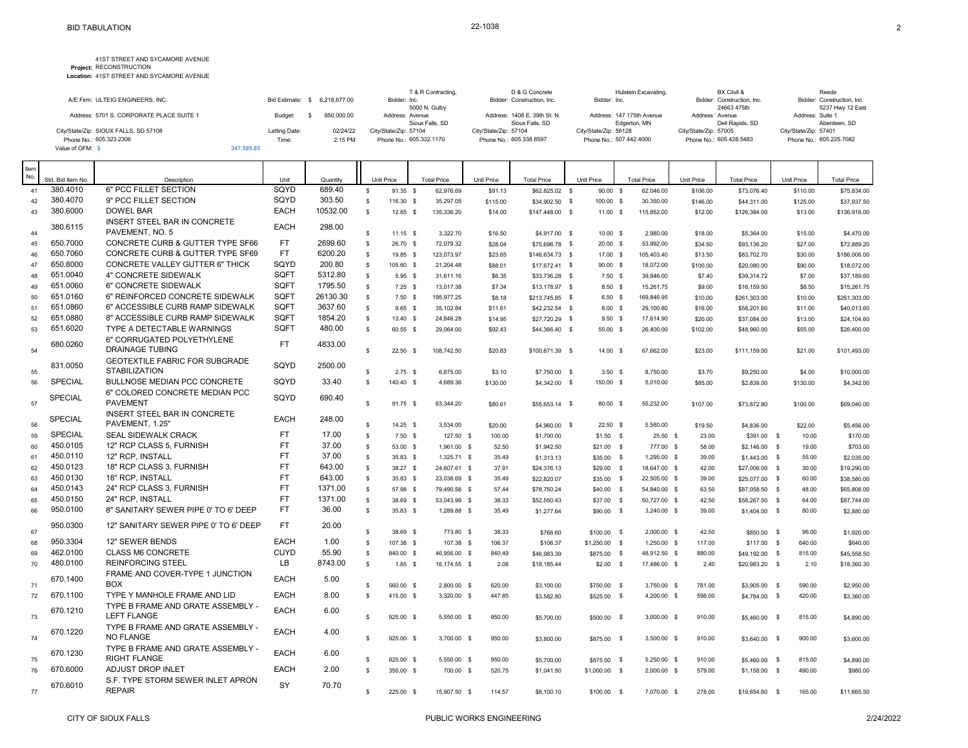| A/E Firm: ULTEIG ENGINEERS, INC.         |               | Bid Estimate: \$ 6.218.677.00 | T & R Contracting.<br>Bidder: Inc. | D & G Concrete<br>Bidder: Construction, Inc.    | Hulstein Excavating.<br>Bidder: Inc.      | BX Ciivil &<br>Bidder: Construction, Inc. | Reede<br>Bidder: Construction, Inc. |
|------------------------------------------|---------------|-------------------------------|------------------------------------|-------------------------------------------------|-------------------------------------------|-------------------------------------------|-------------------------------------|
|                                          |               |                               | 5000 N. Gulby                      |                                                 |                                           | 24663 475th                               | 5237 Hwy 12 East                    |
| Address: 5701 S. CORPORATE PLACE SUITE 1 | Budget:       | 850,000.00                    | Address: Avenue<br>Sioux Falls, SD | Address: 1408 E. 39th St. N.<br>Sioux Falls, SD | Address: 147 175th Avenue<br>Edgerton, MN | Address: Avenue<br>Dell Rapids, SD        | Address: Suite 1<br>Aberdeen, SD    |
| City/State/Zip: SIOUX FALLS, SD 57108    | Letting Date: | 02/24/22                      | City/State/Zip: 57104              | City/State/Zip: 57104                           | City/State/Zip: 56128                     | City/State/Zip: 57005                     | City/State/Zip: 57401               |
| Phone No.: 605.323.2306                  | Time:         | 2:15 PM                       | Phone No.: 605.332.1170            | Phone No.: 605.338.8597                         | Phone No.: 507.442.4000                   | Phone No.: 605.428.5483                   | Phone No.: 605.225.7082             |
| Value of OFM: \$                         | 347.595.85    |                               |                                    |                                                 |                                           |                                           |                                     |

| Item |                   |                                                       |             |          |              |            |                    |            |                    |                |             |                    |            |                    |            |                    |
|------|-------------------|-------------------------------------------------------|-------------|----------|--------------|------------|--------------------|------------|--------------------|----------------|-------------|--------------------|------------|--------------------|------------|--------------------|
| No.  | Std. Bid Item No. | Description                                           | Unit        | Quantity |              | Unit Price | <b>Total Price</b> | Unit Price | <b>Total Price</b> | Unit Price     |             | <b>Total Price</b> | Unit Price | <b>Total Price</b> | Unit Price | <b>Total Price</b> |
| 41   | 380.4010          | 6" PCC FILLET SECTION                                 | SOYD        | 689.40   | $\mathbb{S}$ | 91.35 \$   | 62,976.69          | \$91.13    | \$62,825.02 \$     |                | $90.00$ \$  | 62,046.00          | \$106.00   | \$73,076.40        | \$110.00   | \$75,834.00        |
| 42   | 380.4070          | 9" PCC FILLET SECTION                                 | SQYD        | 303.50   | $\sqrt{2}$   | 116.30 \$  | 35,297.05          | \$115.00   | \$34,902.50 \$     |                | 100.00 \$   | 30,350.00          | \$146.00   | \$44,311.00        | \$125.00   | \$37,937.50        |
| 43   | 380.6000          | DOWEL BAR                                             | <b>EACH</b> | 10532.00 | $\mathbb{S}$ | $12.85$ \$ | 135,336.20         | \$14.00    | \$147,448.00 \$    |                | 11.00 S     | 115,852.00         | \$12.00    | \$126,384.00       | \$13.00    | \$136,916.00       |
|      | 380.6115          | INSERT STEEL BAR IN CONCRETE                          | <b>EACH</b> | 298.00   |              |            |                    |            |                    |                |             |                    |            |                    |            |                    |
| 44   |                   | PAVEMENT, NO. 5                                       |             |          | $\mathbf s$  | $11.15$ \$ | 3.322.70           | \$16.50    | \$4,917.00 \$      |                | 10.00 S     | 2.980.00           | \$18.00    | \$5,364.00         | \$15.00    | \$4,470.00         |
| 45   | 650.7000          | CONCRETE CURB & GUTTER TYPE SF66                      | <b>FT</b>   | 2699.60  | $\mathbb{S}$ | 26.70 \$   | 72,079.32          | \$28.04    | \$75,696.78 \$     |                | 20.00 S     | 53,992.00          | \$34.50    | \$93,136.20        | \$27.00    | \$72,889.20        |
| 46   | 650.7060          | <b>CONCRETE CURB &amp; GUTTER TYPE SF69</b>           | <b>FT</b>   | 6200.20  | $\mathbb{S}$ | 19.85 \$   | 123.073.97         | \$23.65    | \$146,634.73 \$    |                | 17.00 \$    | 105,403.40         | \$13.50    | \$83,702.70        | \$30.00    | \$186,006.00       |
| 47   | 650.8000          | <b>CONCRETE VALLEY GUTTER 6" THICK</b>                | SQYD        | 200.80   | $\mathbb{S}$ | 105.60 \$  | 21,204.48          | \$88.01    | \$17,672.41 \$     |                | 90.00 S     | 18,072.00          | \$100.00   | \$20,080.00        | \$90.00    | \$18,072.00        |
| 48   | 651.0040          | 4" CONCRETE SIDEWALK                                  | SQFT        | 5312.80  | $\mathbb{S}$ | $5.95$ \$  | 31,611.16          | \$6.35     | \$33,736.28 \$     |                | $7.50$ \$   | 39,846.00          | \$7.40     | \$39,314.72        | \$7.00     | \$37,189.60        |
| 49   | 651.0060          | 6" CONCRETE SIDEWALK                                  | SQFT        | 1795.50  | $\mathbb{S}$ | $7.25$ \$  | 13,017.38          | \$7.34     | \$13,178.97 \$     |                | 8.50 \$     | 15,261.75          | \$9.00     | \$16,159.50        | \$8.50     | \$15,261.75        |
| 50   | 651.0160          | 6" REINFORCED CONCRETE SIDEWALK                       | SQFT        | 26130.30 | $\mathbb{S}$ | $7.50$ \$  | 195,977.25         | \$8.18     | \$213,745.85 \$    |                | $6.50$ \$   | 169,846.95         | \$10.00    | \$261,303.00       | \$10.00    | \$261,303.00       |
| 51   | 651.0860          | 6" ACCESSIBLE CURB RAMP SIDEWALK                      | SQFT        | 3637.60  | $\mathbf{s}$ | 9.65 S     | 35,102.84          | \$11.61    | \$42,232.54 \$     |                | 8.00 S      | 29,100.80          | \$16.00    | \$58,201.60        | \$11.00    | \$40,013.60        |
| 52   | 651.0880          | 8" ACCESSIBLE CURB RAMP SIDEWALK                      | SQFT        | 1854.20  | $\mathbb{S}$ | 13.40 \$   | 24,846.28          | \$14.95    | \$27,720.29 \$     |                | $9.50$ \$   | 17,614.90          | \$20.00    | \$37,084.00        | \$13.00    | \$24,104.60        |
| 53   | 651.6020          | TYPE A DETECTABLE WARNINGS                            | SQFT        | 480.00   | $\mathbf{s}$ | 60.55 \$   | 29,064.00          | \$92.43    | \$44,366.40 \$     |                | 55.00 \$    | 26,400.00          | \$102.00   | \$48,960.00        | \$55.00    | \$26,400.00        |
| 54   | 680.0260          | 6" CORRUGATED POLYETHYLENE<br>DRAINAGE TUBING         | FT.         | 4833.00  | S.           | 22.50 S    | 108.742.50         | \$20.83    | \$100.671.39 \$    |                | 14.00 S     | 67.662.00          | \$23.00    | \$111,159.00       | \$21.00    | \$101,493.00       |
|      |                   | GEOTEXTILE FABRIC FOR SUBGRADE                        | SQYD        |          |              |            |                    |            |                    |                |             |                    |            |                    |            |                    |
| 55   | 831.0050          | <b>STABILIZATION</b>                                  |             | 2500.00  | $\mathbf s$  | $2.75$ \$  | 6,875.00           | \$3.10     | \$7,750.00 \$      |                | $3.50$ \$   | 8.750.00           | \$3.70     | \$9,250.00         | \$4.00     | \$10,000.00        |
| 56   | <b>SPECIAL</b>    | <b>BULLNOSE MEDIAN PCC CONCRETE</b>                   | SQYD        | 33.40    | $\mathbb{S}$ | 140.40 \$  | 4,689.36           | \$130.00   | \$4,342.00 \$      |                | 150.00 \$   | 5,010.00           | \$85.00    | \$2,839.00         | \$130.00   | \$4,342.00         |
| 57   | <b>SPECIAL</b>    | 6" COLORED CONCRETE MEDIAN PCC<br><b>PAVEMENT</b>     | SQYD        | 690.40   | $\mathbb{S}$ | 91.75 \$   | 63,344.20          | \$80.61    | \$55,653.14 \$     |                | 80.00 \$    | 55,232.00          | \$107.00   | \$73,872.80        | \$100.00   | \$69,040.00        |
|      |                   | INSERT STEEL BAR IN CONCRETE                          |             |          |              |            |                    |            |                    |                |             |                    |            |                    |            |                    |
| 58   | <b>SPECIAL</b>    | PAVEMENT, 1.25"                                       | <b>EACH</b> | 248.00   | s            | $14.25$ \$ | 3,534.00           | \$20.00    | \$4,960.00 \$      |                | $22.50$ \$  | 5.580.00           | \$19.50    | \$4,836.00         | \$22.00    | \$5,456.00         |
| 59   | <b>SPECIAL</b>    | <b>SEAL SIDEWALK CRACK</b>                            | <b>FT</b>   | 17.00    | $\mathbb{S}$ | $7.50$ \$  | 127.50 \$          | 100.00     | \$1,700.00         |                | $$1.50$ \$  | $25.50$ \$         | 23.00      | \$391.00 \$        | 10.00      | \$170.00           |
| 60   | 450.0105          | 12" RCP CLASS 5, FURNISH                              | <b>FT</b>   | 37.00    | $\mathbf{s}$ | 53.00 \$   | 1.961.00 \$        | 52.50      | \$1,942.50         |                | $$21.00$ \$ | 777.00 \$          | 58.00      | $$2,146.00$ \$     | 19.00      | \$703.00           |
| 61   | 450.0110          | 12" RCP, INSTALL                                      | <b>FT</b>   | 37.00    | $\mathbb{S}$ | 35.83 \$   | 1,325.71 \$        | 35.49      | \$1,313.13         |                | $$35.00$ \$ | 1,295.00 \$        | 39.00      | $$1,443.00$ \$     | 55.00      | \$2,035.00         |
| 62   | 450.0123          | 18" RCP CLASS 3, FURNISH                              | <b>FT</b>   | 643.00   | S.           | 38.27 \$   | 24.607.61 \$       | 37.91      | \$24,376.13        |                | $$29.00$ \$ | 18.647.00 \$       | 42.00      | \$27,006.00 \$     | 30.00      | \$19,290.00        |
| 63   | 450.0130          | 18" RCP, INSTALL                                      | <b>FT</b>   | 643.00   | $\mathbb{S}$ | 35.83 \$   | 23,038.69 \$       | 35.49      | \$22,820.07        |                | $$35.00$ \$ | 22,505.00 \$       | 39.00      | \$25,077.00 \$     | 60.00      | \$38,580.00        |
| 64   | 450.0143          | 24" RCP CLASS 3. FURNISH                              | <b>FT</b>   | 1371.00  | $\mathbb{S}$ | 57.98 \$   | 79,490.58 \$       | 57.44      | \$78,750.24        |                | $$40.00$ \$ | 54,840.00 \$       | 63.50      | \$87.058.50 \$     | 48.00      | \$65,808.00        |
| 65   | 450.0150          | 24" RCP, INSTALL                                      | <b>FT</b>   | 1371.00  | $\mathbb S$  | 38.69 \$   | 53,043.99 \$       | 38.33      | \$52,550.43        |                | \$37.00 \$  | 50,727.00 \$       | 42.50      | \$58,267.50 \$     | 64.00      | \$87,744.00        |
| 66   | 950.0100          | 8" SANITARY SEWER PIPE 0' TO 6' DEEP                  | FT          | 36.00    | $\mathbb{S}$ | 35.83 \$   | 1,289.88 \$        | 35.49      | \$1,277.64         |                | \$90.00 \$  | 3,240.00 \$        | 39.00      | $$1,404.00$ \$     | 80.00      | \$2,880.00         |
| 67   | 950.0300          | 12" SANITARY SEWER PIPE 0' TO 6' DEEP                 | <b>FT</b>   | 20.00    | $\mathbf s$  | 38.69 \$   | 773.80 \$          | 38.33      | \$766.60           |                | \$100.00 \$ | 2,000.00 \$        | 42.50      | \$850.00 \$        | 96.00      | \$1,920.00         |
| 68   | 950.3304          | 12" SEWER BENDS                                       | <b>EACH</b> | 1.00     | $\mathbb{S}$ | 107.38 \$  | 107.38 \$          | 106.37     | \$106.37           | $$1,250.00$ \$ |             | 1,250.00 \$        | 117.00     | $$117.00$ \$       | 640.00     | \$640.00           |
| 69   | 462.0100          | <b>CLASS M6 CONCRETE</b>                              | <b>CUYD</b> | 55.90    | $\sqrt{2}$   | 840.00 \$  | 46,956.00 \$       | 840.49     | \$46,983.39        |                | \$875.00 \$ | 48,912.50 \$       | 880.00     | $$49,192.00$ \$    | 815.00     | \$45,558.50        |
| 70   | 480.0100          | <b>REINFORCING STEEL</b>                              | LB          | 8743.00  | $\mathbb{S}$ | $1.85$ \$  | 16,174.55 \$       | 2.08       | \$18,185.44        |                | $$2.00$ \$  | 17,486.00 \$       | 2.40       | \$20,983.20 \$     | 2.10       | \$18,360.30        |
| 71   | 670.1400          | FRAME AND COVER-TYPE 1 JUNCTION<br><b>BOX</b>         | <b>EACH</b> | 5.00     | $\mathbf s$  | 560.00 \$  | 2,800.00 \$        | 620.00     | \$3,100.00         |                | \$750.00 \$ | 3,750.00 \$        | 781.00     | \$3,905.00 \$      | 590.00     | \$2,950.00         |
| 72   | 670.1100          | TYPE Y MANHOLE FRAME AND LID                          | <b>EACH</b> | 8.00     | s            | 415.00 \$  | 3,320.00 \$        | 447.85     | \$3,582.80         |                | \$525.00 \$ | 4,200.00 \$        | 598.00     | \$4,784.00 \$      | 420.00     | \$3,360.00         |
|      |                   | TYPE B FRAME AND GRATE ASSEMBLY -                     |             |          |              |            |                    |            |                    |                |             |                    |            |                    |            |                    |
| 73   | 670.1210          | <b>LEFT FLANGE</b>                                    | <b>EACH</b> | 6.00     | s            | 925.00 \$  | 5.550.00 \$        | 950.00     | \$5,700.00         |                | \$500.00 \$ | 3.000.00 \$        | 910.00     | \$5,460.00 \$      | 815.00     | \$4,890.00         |
|      | 670.1220          | TYPE B FRAME AND GRATE ASSEMBLY -<br><b>NO FLANGE</b> | <b>EACH</b> | 4.00     |              |            |                    |            |                    |                |             |                    |            |                    |            |                    |
| 74   |                   | TYPE B FRAME AND GRATE ASSEMBLY -                     |             |          | s.           | 925.00 \$  | 3,700.00 \$        | 950.00     | \$3,800.00         |                | \$875.00 \$ | 3,500.00 \$        | 910.00     | \$3,640.00 \$      | 900.00     | \$3,600.00         |
| 75   | 670.1230          | <b>RIGHT FLANGE</b>                                   | <b>EACH</b> | 6.00     | \$           | 925.00 \$  | 5,550.00 \$        | 950.00     | \$5,700.00         |                | \$875.00 \$ | 5,250.00 \$        | 910.00     | \$5,460.00 \$      | 815.00     | \$4,890.00         |
| 76   | 670.6000          | ADJUST DROP INLET                                     | <b>EACH</b> | 2.00     | $\mathbb{S}$ | 350.00 \$  | 700.00 \$          | 520.75     | \$1,041.50         | \$1,000.00 \$  |             | $2,000.00$ \$      | 579.00     | $$1,158.00$ \$     | 490.00     | \$980.00           |
|      |                   | S.F. TYPE STORM SEWER INLET APRON                     |             |          |              |            |                    |            |                    |                |             |                    |            |                    |            |                    |
| 77   | 670.6010          | <b>REPAIR</b>                                         | SY          | 70.70    | s.           | 225.00 \$  | 15,907.50 \$       | 114.57     | \$8,100.10         |                | \$100.00 \$ | 7,070.00 \$        | 278.00     | \$19,654.60 \$     | 165.00     | \$11,665.50        |
|      |                   |                                                       |             |          |              |            |                    |            |                    |                |             |                    |            |                    |            |                    |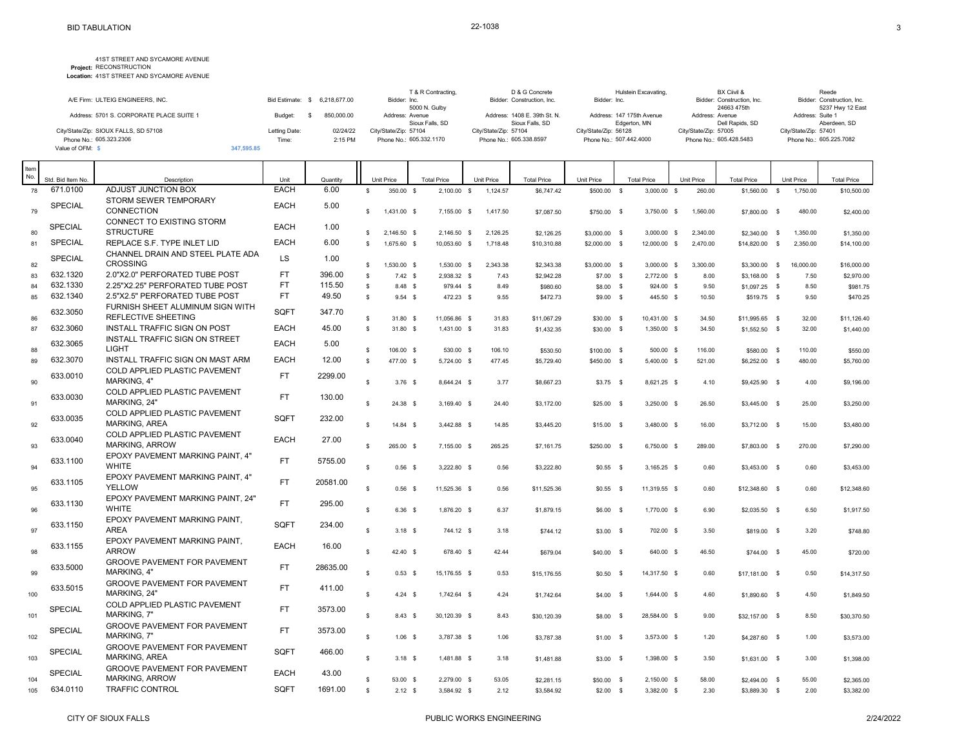| A/E Firm: ULTEIG ENGINEERS, INC.         |                  |              | T & R Contracting.            | D & G Concrete<br>Bidder: Construction, Inc. | Hulstein Excavating.      | BX Ciivil &<br>Bidder: Construction, Inc. | Reede<br>Bidder: Construction, Inc. |
|------------------------------------------|------------------|--------------|-------------------------------|----------------------------------------------|---------------------------|-------------------------------------------|-------------------------------------|
|                                          | Bid Estimate: \$ | 6.218.677.00 | Bidder: Inc.<br>5000 N. Gulby |                                              | Bidder: Inc.              | 24663 475th                               | 5237 Hwy 12 East                    |
|                                          |                  |              |                               |                                              |                           |                                           |                                     |
| Address: 5701 S. CORPORATE PLACE SUITE 1 | Budget:          | 850,000.00   | Address: Avenue               | Address: 1408 E. 39th St. N.                 | Address: 147 175th Avenue | Address: Avenue                           | Address: Suite 1                    |
|                                          |                  |              | Sioux Falls, SD               | Sioux Falls, SD                              | Edgerton, MN              | Dell Rapids, SD                           | Aberdeen, SD                        |
| City/State/Zip: SIOUX FALLS, SD 57108    | Letting Date:    | 02/24/22     | City/State/Zip: 57104         | City/State/Zip: 57104                        | City/State/Zip: 56128     | City/State/Zip: 57005                     | City/State/Zip: 57401               |
| Phone No.: 605.323.2306                  | Time:            | 2:15 PM      | Phone No.: 605.332.1170       | Phone No.: 605.338.8597                      | Phone No.: 507.442.4000   | Phone No.: 605.428.5483                   | Phone No.: 605.225.7082             |
| Value of OFM: \$                         | 347.595.85       |              |                               |                                              |                           |                                           |                                     |

| Item<br>No. | Std. Bid Item No. | Description                                                    | Unit        | Quantity | <b>Unit Price</b> |                   | <b>Total Price</b> | Unit Price |          | <b>Total Price</b> | Unit Price    | <b>Total Price</b> |              |              | Unit Price | <b>Total Price</b> |              | Unit Price | <b>Total Price</b> |
|-------------|-------------------|----------------------------------------------------------------|-------------|----------|-------------------|-------------------|--------------------|------------|----------|--------------------|---------------|--------------------|--------------|--------------|------------|--------------------|--------------|------------|--------------------|
| 78          | 671.0100          | ADJUST JUNCTION BOX                                            | <b>EACH</b> | 6.00     | $\mathbb{S}$      | 350.00 \$         | 2,100.00 \$        |            | 1,124.57 | \$6,747.42         | \$500.00      | $\mathbb{S}$       | 3,000.00     | $\mathbf{s}$ | 260.00     | $$1,560.00$ \$     |              | 1,750.00   | \$10,500.00        |
| 79          | <b>SPECIAL</b>    | STORM SEWER TEMPORARY<br><b>CONNECTION</b>                     | <b>EACH</b> | 5.00     | s.                | 1,431.00 \$       | 7.155.00 \$        |            | 1,417.50 | \$7.087.50         | \$750.00 \$   |                    | 3,750.00 \$  |              | 1,560.00   | \$7,800.00 \$      |              | 480.00     | \$2,400.00         |
| 80          | <b>SPECIAL</b>    | CONNECT TO EXISTING STORM<br><b>STRUCTURE</b>                  | <b>EACH</b> | 1.00     | s.                | 2,146.50 \$       | 2,146.50 \$        |            | 2,126.25 | \$2,126.25         | \$3,000.00 \$ |                    | 3,000.00 \$  |              | 2,340.00   | \$2,340.00         | $\mathbf{s}$ | 1,350.00   | \$1,350.00         |
| 81          | <b>SPECIAL</b>    | REPLACE S.F. TYPE INLET LID                                    | <b>EACH</b> | 6.00     | $\mathbf{s}$      | 1,675.60 \$       | 10.053.60 \$       |            | 1,718.48 | \$10,310.88        | \$2,000.00 \$ |                    | 12,000.00 \$ |              | 2,470.00   | \$14,820.00        | $\mathbf{s}$ | 2,350.00   | \$14,100.00        |
| 82          | <b>SPECIAL</b>    | CHANNEL DRAIN AND STEEL PLATE ADA<br><b>CROSSING</b>           | <b>LS</b>   | 1.00     | \$                | 1,530.00 \$       | 1,530.00 \$        |            | 2,343.38 | \$2,343.38         | \$3,000.00 \$ |                    | 3,000.00 \$  |              | 3,300.00   | \$3,300.00 \$      |              | 16,000.00  | \$16,000.00        |
| 83          | 632.1320          | 2.0"X2.0" PERFORATED TUBE POST                                 | <b>FT</b>   | 396.00   | s                 | 7.42 S            | 2.938.32 \$        |            | 7.43     | \$2,942.28         | $$7.00$ \$    |                    | 2,772.00 \$  |              | 8.00       | \$3,168,00 \$      |              | 7.50       | \$2,970.00         |
| 84          | 632.1330          | 2.25"X2.25" PERFORATED TUBE POST                               | <b>FT</b>   | 115.50   | \$                | 8.48 \$           | 979.44 \$          |            | 8.49     | \$980.60           | \$8.00 \$     |                    | 924.00 \$    |              | 9.50       | $$1,097.25$ \$     |              | 8.50       | \$981.75           |
| 85          | 632.1340          | 2.5"X2.5" PERFORATED TUBE POST                                 | <b>FT</b>   | 49.50    | $\mathbb{S}$      | $9.54$ \$         | 472.23 \$          |            | 9.55     | \$472.73           | \$9.00 \$     |                    | 445.50 \$    |              | 10.50      | \$519.75 \$        |              | 9.50       | \$470.25           |
| 86          | 632.3050          | FURNISH SHEET ALUMINUM SIGN WITH<br><b>REFLECTIVE SHEETING</b> | SQFT        | 347.70   | $\mathbb{S}$      | 31.80 \$          | 11.056.86 \$       |            | 31.83    |                    |               |                    |              |              | 34.50      |                    |              |            |                    |
| 87          | 632.3060          | INSTALL TRAFFIC SIGN ON POST                                   | <b>EACH</b> | 45.00    | $\mathbb{S}$      |                   |                    |            |          | \$11.067.29        | \$30.00 \$    |                    | 10,431.00 \$ |              |            | \$11,995.65 \$     |              | 32.00      | \$11.126.40        |
|             | 632.3065          | INSTALL TRAFFIC SIGN ON STREET                                 | <b>EACH</b> | 5.00     |                   | 31.80 \$          | 1,431.00 \$        |            | 31.83    | \$1,432.35         | \$30.00 \$    |                    | 1,350.00 \$  |              | 34.50      | $$1,552.50$ \$     |              | 32.00      | \$1,440.00         |
| 88          |                   | <b>LIGHT</b>                                                   |             |          | $\mathbf{s}$      | 106.00 \$         | 530.00 \$          |            | 106.10   | \$530.50           | \$100.00 \$   |                    | 500.00 \$    |              | 116.00     | \$580.00 \$        |              | 110.00     | \$550.00           |
| 89          | 632.3070          | INSTALL TRAFFIC SIGN ON MAST ARM                               | <b>EACH</b> | 12.00    | $\mathbb{S}$      | 477.00 \$         | 5,724.00 \$        |            | 477.45   | \$5,729.40         | \$450.00 \$   |                    | 5,400.00 \$  |              | 521.00     | \$6,252.00 \$      |              | 480.00     | \$5,760.00         |
| 90          | 633.0010          | COLD APPLIED PLASTIC PAVEMENT<br><b>MARKING, 4"</b>            | <b>FT</b>   | 2299.00  | $\mathbf{s}$      | $3.76$ \$         | 8.644.24 \$        |            | 3.77     | \$8,667.23         | $$3.75$ \$    |                    | 8,621.25 \$  |              | 4.10       | \$9,425.90 \$      |              | 4.00       | \$9,196.00         |
| 91          | 633.0030          | COLD APPLIED PLASTIC PAVEMENT<br>MARKING, 24'                  | <b>FT</b>   | 130.00   | $\mathbb{S}$      | 24.38 \$          | 3,169.40 \$        |            | 24.40    | \$3,172.00         | $$25.00$ \$   |                    | 3,250.00 \$  |              | 26.50      | \$3,445.00 \$      |              | 25.00      | \$3,250.00         |
| 92          | 633.0035          | <b>COLD APPLIED PLASTIC PAVEMENT</b><br><b>MARKING, AREA</b>   | SOFT        | 232.00   | $\mathbb{S}$      | 14.84 \$          | 3,442.88 \$        |            | 14.85    | \$3,445.20         | $$15.00$ \$   |                    | 3,480.00 \$  |              | 16.00      | \$3,712.00 \$      |              | 15.00      | \$3,480.00         |
| 93          | 633.0040          | COLD APPLIED PLASTIC PAVEMENT<br><b>MARKING, ARROW</b>         | <b>EACH</b> | 27.00    | $\mathbf{s}$      | 265.00 \$         | 7,155.00 \$        |            | 265.25   | \$7,161.75         | \$250.00 \$   |                    | 6,750.00 \$  |              | 289.00     | \$7,803.00 \$      |              | 270.00     | \$7,290.00         |
| 94          | 633.1100          | EPOXY PAVEMENT MARKING PAINT, 4"<br><b>WHITE</b>               | <b>FT</b>   | 5755.00  | s.                | $0.56-$           | 3,222.80 \$        |            | 0.56     | \$3,222.80         | $$0.55$ \$    |                    | 3,165.25 \$  |              | 0.60       | \$3,453.00 \$      |              | 0.60       | \$3,453.00         |
| 95          | 633.1105          | EPOXY PAVEMENT MARKING PAINT. 4"<br><b>YELLOW</b>              | <b>FT</b>   | 20581.00 | $\mathsf{s}$      | $0.56-$           | 11,525.36 \$       |            | 0.56     | \$11,525.36        | $$0.55$ \$    |                    | 11,319.55 \$ |              | 0.60       | \$12,348.60 \$     |              | 0.60       | \$12,348.60        |
| 96          | 633.1130          | EPOXY PAVEMENT MARKING PAINT, 24"<br><b>WHITE</b>              | <b>FT</b>   | 295.00   | <b>S</b>          | 6.36 <sup>5</sup> | 1,876.20 \$        |            | 6.37     | \$1,879.15         | $$6.00$ \$    |                    | 1,770.00 \$  |              | 6.90       | $$2,035.50$ \$     |              | 6.50       | \$1,917.50         |
| 97          | 633.1150          | EPOXY PAVEMENT MARKING PAINT,<br><b>AREA</b>                   | SQFT        | 234.00   | $\mathbb{S}$      | $3.18$ \$         | 744.12 \$          |            | 3.18     | \$744.12           | $$3.00$ \$    |                    | 702.00 \$    |              | 3.50       | \$819.00 \$        |              | 3.20       | \$748.80           |
| 98          | 633.1155          | EPOXY PAVEMENT MARKING PAINT.<br><b>ARROW</b>                  | <b>EACH</b> | 16.00    | $\mathbf{s}$      | 42.40 \$          | 678.40 \$          |            | 42.44    | \$679.04           | \$40.00 \$    |                    | 640.00 \$    |              | 46.50      | \$744.00 \$        |              | 45.00      | \$720.00           |
| 99          | 633.5000          | <b>GROOVE PAVEMENT FOR PAVEMENT</b><br><b>MARKING, 4"</b>      | <b>FT</b>   | 28635.00 | s                 | 0.53S             |                    |            |          |                    |               |                    |              |              |            |                    |              |            |                    |
|             | 633.5015          | GROOVE PAVEMENT FOR PAVEMENT<br>MARKING, 24'                   | FT.         | 411.00   |                   |                   | 15,176.55 \$       |            | 0.53     | \$15,176.55        | $$0.50$ \$    |                    | 14.317.50 \$ |              | 0.60       | \$17,181.00 \$     |              | 0.50       | \$14,317.50        |
| 100         | SPECIAL           | COLD APPLIED PLASTIC PAVEMENT                                  | <b>FT</b>   | 3573.00  | $\mathbf{s}$      | 4.24 S            | 1,742.64 \$        |            | 4.24     | \$1,742.64         | $$4.00$ \$    |                    | 1,644.00 \$  |              | 4.60       | \$1,890.60 \$      |              | 4.50       | \$1,849.50         |
| 101         | SPECIAL           | MARKING, 7"<br><b>GROOVE PAVEMENT FOR PAVEMENT</b>             | <b>FT</b>   | 3573.00  | s                 | 8.43 \$           | 30,120.39 \$       |            | 8.43     | \$30,120.39        | \$8.00 \$     |                    | 28,584.00 \$ |              | 9.00       | \$32,157.00 \$     |              | 8.50       | \$30,370.50        |
| 102         | <b>SPECIAL</b>    | <b>MARKING. 7"</b><br><b>GROOVE PAVEMENT FOR PAVEMENT</b>      | SQFT        | 466.00   | s                 | $1.06$ \$         | 3,787.38 \$        |            | 1.06     | \$3,787.38         | $$1.00$ \$    |                    | 3,573.00 \$  |              | 1.20       | \$4,287.60 \$      |              | 1.00       | \$3,573.00         |
| 103         | SPECIAL           | <b>MARKING, AREA</b><br><b>GROOVE PAVEMENT FOR PAVEMENT</b>    | <b>EACH</b> |          | s                 | $3.18$ \$         | 1,481.88 \$        |            | 3.18     | \$1,481.88         | $$3.00$ \$    |                    | 1,398.00 \$  |              | 3.50       | \$1,631.00 \$      |              | 3.00       | \$1,398.00         |
| 104         |                   | <b>MARKING, ARROW</b>                                          |             | 43.00    | \$                | 53.00 \$          | 2,279.00 \$        |            | 53.05    | \$2,281.15         | \$50.00 \$    |                    | 2,150.00 \$  |              | 58.00      | \$2,494.00         | $^{\circ}$   | 55.00      | \$2,365.00         |
| 105         | 634.0110          | <b>TRAFFIC CONTROL</b>                                         | SQFT        | 1691.00  | $\mathbf{s}$      | $2.12$ \$         | 3,584.92 \$        |            | 2.12     | \$3,584.92         | $$2.00$ \$    |                    | 3,382.00 \$  |              | 2.30       | \$3,889.30 \$      |              | 2.00       | \$3,382.00         |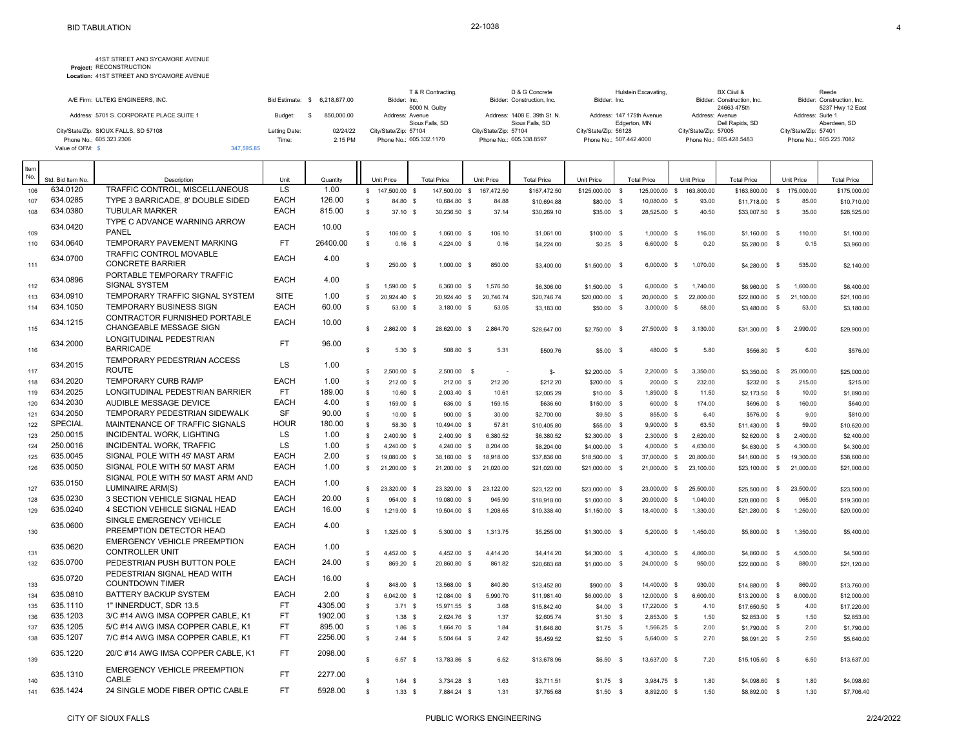|                                          |               |                               | T & R Contracting,      | D & G Concrete               | Hulstein Excavating,      | BX Ciivil &                | Reede                      |
|------------------------------------------|---------------|-------------------------------|-------------------------|------------------------------|---------------------------|----------------------------|----------------------------|
| A/E Firm: ULTEIG ENGINEERS, INC.         |               | Bid Estimate: \$ 6.218.677.00 | Bidder: Inc.            | Bidder: Construction, Inc.   | Bidder: Inc.              | Bidder: Construction, Inc. | Bidder: Construction, Inc. |
|                                          |               |                               | 5000 N. Gulby           |                              |                           | 24663 475th                | 5237 Hwy 12 East           |
| Address: 5701 S. CORPORATE PLACE SUITE 1 | Budget:       | 850.000.00                    | Address: Avenue         | Address: 1408 E. 39th St. N. | Address: 147 175th Avenue | Address: Avenue            | Address: Suite 1           |
|                                          |               |                               | Sioux Falls, SD         | Sioux Falls, SD              | Edgerton, MN              | Dell Rapids, SD            | Aberdeen, SD               |
| City/State/Zip: SIOUX FALLS, SD 57108    | Letting Date: | 02/24/22                      | City/State/Zip: 57104   | City/State/Zip: 57104        | City/State/Zip: 56128     | City/State/Zip: 57005      | City/State/Zip: 57401      |
| Phone No.: 605.323.2306                  | Time:         | 2:15 PM                       | Phone No.: 605.332.1170 | Phone No.: 605.338.8597      | Phone No.: 507.442.4000   | Phone No.: 605.428.5483    | Phone No.: 605.225.7082    |
| Value of OFM: \$                         | 347.595.85    |                               |                         |                              |                           |                            |                            |

| Unit Price<br>Unit Price<br><b>Total Price</b><br>Unit Price<br>634.0120<br>TRAFFIC CONTROL. MISCELLANEOUS<br>LS<br>1.00<br>106<br>\$147,500.00\$<br>147,500.00 \$<br>167,472.50<br>\$167,472.50<br>125,000.00 \$<br>163,800.00<br>\$163,800.00 \$ 175,000.00<br>\$125,000.00 \$<br>\$175,000.00<br>634.0285<br><b>EACH</b><br>126.00<br>TYPE 3 BARRICADE, 8' DOUBLE SIDED<br>107<br>\$<br>84.80 \$<br>10,684.80 \$<br>84.88<br>10,080.00 \$<br>93.00<br>\$10,694.88<br>\$80.00 \$<br>\$11,718.00 \$<br>85.00<br>\$10,710.00<br><b>EACH</b><br>634.0380<br><b>TUBULAR MARKER</b><br>815.00<br>$\mathbb{S}$<br>$37.10$ \$<br>30.236.50 \$<br>37.14<br>\$30,269.10<br>\$35.00 \$<br>28,525.00 \$<br>40.50<br>\$33,007.50 \$<br>35.00<br>\$28,525.00<br>108<br>TYPE C ADVANCE WARNING ARROW<br>634.0420<br><b>EACH</b><br>10.00<br>PANEL<br>109<br>s.<br>106.00 \$<br>1.060.00 \$<br>106.10<br>116.00<br>\$1,061.00<br>$$100.00$ \$<br>1.000.00 \$<br>$$1,160.00$ \$<br>110.00<br>\$1,100.00<br>634.0640<br>TEMPORARY PAVEMENT MARKING<br><b>FT</b><br>26400.00<br>$\mathbb{S}$<br>110<br>$0.16$ \$<br>4,224.00 \$<br>0.16<br>6,600.00 \$<br>0.20<br>0.15<br>\$4,224.00<br>$$0.25$ \$<br>\$5,280.00 \$<br>\$3,960.00<br><b>TRAFFIC CONTROL MOVABLE</b><br>634.0700<br><b>EACH</b><br>4.00<br><b>CONCRETE BARRIER</b><br>111<br>\$.<br>250.00 \$<br>1,000.00 \$<br>850.00<br>6,000.00 \$<br>1,070.00<br>535.00<br>\$3,400.00<br>$$1,500.00$ \$<br>\$4,280.00<br>$\mathbb{S}$<br>\$2,140.00<br>PORTABLE TEMPORARY TRAFFIC<br>634.0896<br><b>EACH</b><br>4.00<br><b>SIGNAL SYSTEM</b><br>112<br>\$<br>1,590.00 \$<br>6,360.00 \$<br>1,576.50<br>$6,000.00$ \$<br>1,740.00<br>1,600.00<br>\$6,306.00<br>\$1,500.00 \$<br>\$6,960.00 \$<br>\$6,400.00<br>634.0910<br>TEMPORARY TRAFFIC SIGNAL SYSTEM<br><b>SITE</b><br>1.00<br>\$.<br>113<br>20,924.40 \$<br>20,924.40 \$<br>20.746.74<br>\$20,746.74<br>\$20,000.00<br>$^{\circ}$<br>20,000.00 \$<br>22,800.00<br>\$22,800.00<br>$\mathbb{S}$<br>21.100.00<br>\$21,100.00<br>634.1050<br><b>TEMPORARY BUSINESS SIGN</b><br><b>EACH</b><br>60.00<br>114<br>s<br>53.00 \$<br>3,180.00 \$<br>$3,000.00$ \$<br>53.05<br>\$3,183.00<br>\$50.00 \$<br>58.00<br>\$3,480.00<br>$\mathbb{S}$<br>53.00<br>\$3,180.00<br>CONTRACTOR FURNISHED PORTABLE<br><b>EACH</b><br>634.1215<br>10.00<br><b>CHANGEABLE MESSAGE SIGN</b><br>115<br>2,862.00 \$<br>2.864.70<br>3,130.00<br>s.<br>28,620.00 \$<br>27,500.00 \$<br>2.990.00<br>\$28,647.00<br>\$2,750.00 \$<br>\$31,300.00<br>$\mathbb{S}$<br>\$29,900.00<br>LONGITUDINAL PEDESTRIAN<br>634.2000<br><b>FT</b><br>96.00<br><b>BARRICADE</b><br>116<br>5.30 S<br>508.80 \$<br>5.31<br>\$509.76<br>$$5.00$ \$<br>5.80<br>6.00<br>\$576.00<br>s.<br>480.00 \$<br>\$556.80<br>$\mathbf{s}$<br>TEMPORARY PEDESTRIAN ACCESS<br>634.2015<br>LS<br>1.00<br><b>ROUTE</b><br>117<br>2.500.00 \$<br>$2.500.00$ \$<br>3.350.00<br>s.<br>\$-<br>\$2,200.00 \$<br>2,200.00 \$<br>\$3,350.00 \$<br>25,000.00<br>\$25,000.00<br>÷.<br>634.2020<br>TEMPORARY CURB RAMP<br><b>EACH</b><br>1.00<br>\$212.20<br>118<br><b>S</b><br>212.00 \$<br>212.00 \$<br>212.20<br>\$200.00 \$<br>200.00 \$<br>232.00<br>\$232.00<br>$\mathsf{s}$<br>215.00<br>\$215.00<br>634.2025<br>LONGITUDINAL PEDESTRIAN BARRIER<br><b>FT</b><br>189.00<br>119<br>$\mathbb S$<br>10.60 \$<br>2.003.40 \$<br>10.61<br>\$2,005.29<br>$$10.00$ \$<br>1.890.00 \$<br>11.50<br>$$2,173.50$ \$<br>10.00<br>\$1,890.00<br>634.2030<br><b>EACH</b><br>AUDIBLE MESSAGE DEVICE<br>4.00<br>$\mathbb{S}$<br>120<br>159.00 \$<br>636.00 \$<br>159.15<br>\$150.00 \$<br>600.00 \$<br>174.00<br>160.00<br>\$640.00<br>\$636.60<br>\$696.00 \$<br>634.2050<br><b>SF</b><br>TEMPORARY PEDESTRIAN SIDEWALK<br>90.00<br>121<br>s<br>10.00 S<br>30.00<br>\$2,700.00<br>$$9.50$ \$<br>855.00 \$<br>6.40<br>\$810.00<br>900.00 \$<br>\$576.00 \$<br>9.00<br><b>SPECIAL</b><br><b>HOUR</b><br>MAINTENANCE OF TRAFFIC SIGNALS<br>180.00<br>$\mathbb{S}$<br>122<br>58.30 \$<br>10,494.00 \$<br>57.81<br>$9,900.00$ \$<br>63.50<br>$$11,430.00$ \$<br>59.00<br>\$10,620.00<br>\$10,405.80<br>\$55.00 \$<br>250.0015<br>LS.<br>INCIDENTAL WORK, LIGHTING<br>1.00<br>$\mathbb{S}$<br>123<br>2,400.90 \$<br>2,400.90 \$<br>6.380.52<br>\$6,380.52<br>\$2,300.00 \$<br>2,300.00 \$<br>2,620.00<br>\$2,620.00 \$<br>2,400.00<br>\$2,400.00<br>250.0016<br>INCIDENTAL WORK, TRAFFIC<br>LS<br>1.00<br>s<br>124<br>4,240.00 \$<br>4,240.00 \$<br>8,204.00<br>\$8,204.00<br>\$4,000.00 \$<br>4,000.00 \$<br>4,630.00<br>\$4,630.00 \$<br>4,300.00<br>\$4,300.00<br>635.0045<br>SIGNAL POLE WITH 45' MAST ARM<br><b>EACH</b><br>2.00<br>125<br>\$.<br>19,080.00 \$<br>38,160.00 \$<br>18,918.00<br>\$37,836.00<br>\$18,500.00 \$<br>37,000.00 \$<br>20,800.00<br>\$41,600.00<br>$\mathbb{S}$<br>19,300.00<br>\$38,600.00<br>635.0050<br><b>EACH</b><br>1.00<br>SIGNAL POLE WITH 50' MAST ARM<br>126<br>$\mathbb{S}$<br>21,200.00 \$<br>21,200.00 \$<br>21,020.00<br>\$21,020.00<br>\$21,000.00 \$<br>21,000.00 \$<br>23,100.00<br>\$23,100.00 \$<br>21,000.00<br>\$21,000.00<br>SIGNAL POLE WITH 50' MAST ARM AND<br><b>EACH</b><br>635.0150<br>1.00<br>LUMINAIRE ARM(S)<br>127<br>23,320.00 \$<br>23,320.00 \$<br>23,122.00<br>\$23,122.00<br>\$23,000.00 \$<br>25,500.00<br>23,500.00<br>\$23,500.00<br>s.<br>23,000.00 \$<br>\$25,500.00<br>$\mathbb{S}$<br>635.0230<br>EACH<br>20.00<br>3 SECTION VEHICLE SIGNAL HEAD<br>128<br>s<br>954.00 \$<br>19,080.00 \$<br>945.90<br>20,000.00 \$<br>1,040.00<br>965.00<br>\$19,300.00<br>\$18,918.00<br>$$1,000.00$ \$<br>\$20,800.00<br>- \$<br>635.0240<br><b>EACH</b><br>4 SECTION VEHICLE SIGNAL HEAD<br>16.00<br>129<br>\$<br>1,219.00 \$<br>1,208.65<br>\$19,338.40<br>18,400.00 \$<br>1,330.00<br>\$21,280.00<br>\$20,000.00<br>19,504.00 \$<br>$$1,150.00$ \$<br>$\mathbb{S}$<br>1,250.00<br>SINGLE EMERGENCY VEHICLE<br>635.0600<br><b>EACH</b><br>4.00<br>PREEMPTION DETECTOR HEAD<br>130<br>1,325.00 \$<br>1,313.75<br>s.<br>5,300.00 \$<br>\$5,255.00<br>5,200.00 \$<br>1,450.00<br>1,350.00<br>\$5,400.00<br>\$1,300.00 \$<br>\$5,800.00<br>$\mathbb{S}$<br><b>EMERGENCY VEHICLE PREEMPTION</b><br>635.0620<br><b>EACH</b><br>1.00<br><b>CONTROLLER UNIT</b><br>131<br>4,452.00 \$<br>\$.<br>4.452.00 \$<br>4,414.20<br>\$4,300.00 \$<br>4,300.00 \$<br>4.860.00<br>4,500.00<br>\$4,500.00<br>\$4,414.20<br>\$4,860.00<br>$\mathbb{S}$<br>635.0700<br><b>EACH</b><br>PEDESTRIAN PUSH BUTTON POLE<br>24.00<br>132<br>\$<br>869.20 \$<br>20,860.80 \$<br>861.82<br>\$20,683.68<br>\$1,000.00 \$<br>24,000.00 \$<br>950.00<br>\$22,800.00<br>880.00<br>\$21,120.00<br>$\mathbb{S}$<br>PEDESTRIAN SIGNAL HEAD WITH<br>635.0720<br><b>EACH</b><br>16.00<br><b>COUNTDOWN TIMER</b><br>133<br>\$<br>848.00 \$<br>13,568.00 \$<br>840.80<br>14,400.00 \$<br>930.00<br>860.00<br>\$13,452.80<br>\$900.00 \$<br>\$14,880.00 \$<br>\$13,760.00<br><b>EACH</b><br>635.0810<br><b>BATTERY BACKUP SYSTEM</b><br>2.00<br>$\mathbb{S}$<br>6,042.00 \$<br>134<br>12,084.00 \$<br>5.990.70<br>\$6,000.00 \$<br>12,000.00 \$<br>6,600.00<br>\$13,200.00 \$<br>6,000.00<br>\$12,000.00<br>\$11,981.40<br>635.1110<br>4305.00<br>1" INNERDUCT, SDR 13.5<br><b>FT</b><br>$\mathbb{S}$<br>135<br>$3.71$ \$<br>15,971.55 \$<br>3.68<br>\$15,842.40<br>$$4.00$ \$<br>17,220.00 \$<br>4.10<br>\$17,650.50 \$<br>4.00<br>\$17,220.00<br>635.1203<br><b>FT</b><br>1902.00<br>3/C #14 AWG IMSA COPPER CABLE, K1<br>136<br>$\mathbb{S}$<br>$1.38$ \$<br>2,624.76 \$<br>1.37<br>\$2,605.74<br>$$1.50$ \$<br>2,853.00 \$<br>1.50<br>\$2,853,00 \$<br>1.50<br>\$2,853.00<br>635.1205<br>FT<br>5/C #14 AWG IMSA COPPER CABLE, K1<br>895.00<br>$\mathbb{S}$<br>137<br>$1.86$ \$<br>1,664.70 \$<br>1.84<br>\$1,646.80<br>$$1.75$ \$<br>1,566.25 \$<br>2.00<br>\$1,790.00 \$<br>2.00<br>\$1,790.00<br>635.1207<br><b>FT</b><br>2256.00<br>7/C #14 AWG IMSA COPPER CABLE, K1<br>s.<br>138<br>2.44 S<br>2.42<br>2.70<br>5,504.64 \$<br>\$5,459.52<br>$$2.50$ \$<br>5,640.00 \$<br>\$6,091.20 \$<br>2.50<br>\$5,640.00<br>FT<br>635.1220<br>20/C #14 AWG IMSA COPPER CABLE, K1<br>2098.00<br>$\mathbf{s}$<br>139<br>6.57S<br>13,783.86 \$<br>6.52<br>7.20<br>13,637.00 \$<br>6.50<br>\$13,678.96<br>$$6.50$ \$<br>\$15,105.60 \$<br>\$13,637.00<br><b>EMERGENCY VEHICLE PREEMPTION</b><br><b>FT</b><br>635.1310<br>2277.00<br>CABLE<br>1.63<br>1.80<br>1.80<br>140<br>s<br>3,734.28 \$<br>$$1.75$ \$<br>3,984.75 \$<br>\$4,098.60<br>$1.64$ \$<br>\$3,711.51<br>\$4,098.60<br>- \$<br><b>FT</b><br>635.1424<br>24 SINGLE MODE FIBER OPTIC CABLE<br>5928.00<br>141<br>$\mathbb S$<br>1.33S<br>7,884.24 \$<br>1.31<br>8,892.00 \$<br>1.50<br>1.30<br>\$7,765.68<br>$$1.50$ \$<br>\$8,892.00 \$<br>\$7,706.40 | Item<br>No. |                   |             |      |          |  |                    |  |                    |            |  |            |                    |  |                    |
|-----------------------------------------------------------------------------------------------------------------------------------------------------------------------------------------------------------------------------------------------------------------------------------------------------------------------------------------------------------------------------------------------------------------------------------------------------------------------------------------------------------------------------------------------------------------------------------------------------------------------------------------------------------------------------------------------------------------------------------------------------------------------------------------------------------------------------------------------------------------------------------------------------------------------------------------------------------------------------------------------------------------------------------------------------------------------------------------------------------------------------------------------------------------------------------------------------------------------------------------------------------------------------------------------------------------------------------------------------------------------------------------------------------------------------------------------------------------------------------------------------------------------------------------------------------------------------------------------------------------------------------------------------------------------------------------------------------------------------------------------------------------------------------------------------------------------------------------------------------------------------------------------------------------------------------------------------------------------------------------------------------------------------------------------------------------------------------------------------------------------------------------------------------------------------------------------------------------------------------------------------------------------------------------------------------------------------------------------------------------------------------------------------------------------------------------------------------------------------------------------------------------------------------------------------------------------------------------------------------------------------------------------------------------------------------------------------------------------------------------------------------------------------------------------------------------------------------------------------------------------------------------------------------------------------------------------------------------------------------------------------------------------------------------------------------------------------------------------------------------------------------------------------------------------------------------------------------------------------------------------------------------------------------------------------------------------------------------------------------------------------------------------------------------------------------------------------------------------------------------------------------------------------------------------------------------------------------------------------------------------------------------------------------------------------------------------------------------------------------------------------------------------------------------------------------------------------------------------------------------------------------------------------------------------------------------------------------------------------------------------------------------------------------------------------------------------------------------------------------------------------------------------------------------------------------------------------------------------------------------------------------------------------------------------------------------------------------------------------------------------------------------------------------------------------------------------------------------------------------------------------------------------------------------------------------------------------------------------------------------------------------------------------------------------------------------------------------------------------------------------------------------------------------------------------------------------------------------------------------------------------------------------------------------------------------------------------------------------------------------------------------------------------------------------------------------------------------------------------------------------------------------------------------------------------------------------------------------------------------------------------------------------------------------------------------------------------------------------------------------------------------------------------------------------------------------------------------------------------------------------------------------------------------------------------------------------------------------------------------------------------------------------------------------------------------------------------------------------------------------------------------------------------------------------------------------------------------------------------------------------------------------------------------------------------------------------------------------------------------------------------------------------------------------------------------------------------------------------------------------------------------------------------------------------------------------------------------------------------------------------------------------------------------------------------------------------------------------------------------------------------------------------------------------------------------------------------------------------------------------------------------------------------------------------------------------------------------------------------------------------------------------------------------------------------------------------------------------------------------------------------------------------------------------------------------------------------------------------------------------------------------------------------------------------------------------------------------------------------------------------------------------------------------------------------------------------------------------------------------------------------------------------------------------------------------------------------------------------------------------------------------------------------------------------------------------------------------------------------------------------------------------------------------------------------------------------------------------------------------------------------------------------------------------------------------------------------------------------------------------------------------------------------------------------------------------------------------------------------------------------------------------------------------------------------------------------------------------------------------------------------------------------------------------------------------------------------------------------------------------------------------------------------------------------------------------------------------------------------------------------------------------------------------------------------------------------------------------------------------------------------------------------------------------------------------------------------------------------------------------------------------------------------------------------------------------------------------------------------------------------------------------------------------------------------------------------------------------------------------------------------------------------------------------------------------------------------------------------------|-------------|-------------------|-------------|------|----------|--|--------------------|--|--------------------|------------|--|------------|--------------------|--|--------------------|
|                                                                                                                                                                                                                                                                                                                                                                                                                                                                                                                                                                                                                                                                                                                                                                                                                                                                                                                                                                                                                                                                                                                                                                                                                                                                                                                                                                                                                                                                                                                                                                                                                                                                                                                                                                                                                                                                                                                                                                                                                                                                                                                                                                                                                                                                                                                                                                                                                                                                                                                                                                                                                                                                                                                                                                                                                                                                                                                                                                                                                                                                                                                                                                                                                                                                                                                                                                                                                                                                                                                                                                                                                                                                                                                                                                                                                                                                                                                                                                                                                                                                                                                                                                                                                                                                                                                                                                                                                                                                                                                                                                                                                                                                                                                                                                                                                                                                                                                                                                                                                                                                                                                                                                                                                                                                                                                                                                                                                                                                                                                                                                                                                                                                                                                                                                                                                                                                                                                                                                                                                                                                                                                                                                                                                                                                                                                                                                                                                                                                                                                                                                                                                                                                                                                                                                                                                                                                                                                                                                                                                                                                                                                                                                                                                                                                                                                                                                                                                                                                                                                                                                                                                                                                                                                                                                                                                                                                                                                                                                                                                                                                                                                                                                                                                                                                                                                                                                                                                                                                                                                                                                                                                                                                                                                             |             | Std. Bid Item No. | Description | Unit | Quantity |  | <b>Total Price</b> |  | <b>Total Price</b> | Unit Price |  | Unit Price | <b>Total Price</b> |  | <b>Total Price</b> |
|                                                                                                                                                                                                                                                                                                                                                                                                                                                                                                                                                                                                                                                                                                                                                                                                                                                                                                                                                                                                                                                                                                                                                                                                                                                                                                                                                                                                                                                                                                                                                                                                                                                                                                                                                                                                                                                                                                                                                                                                                                                                                                                                                                                                                                                                                                                                                                                                                                                                                                                                                                                                                                                                                                                                                                                                                                                                                                                                                                                                                                                                                                                                                                                                                                                                                                                                                                                                                                                                                                                                                                                                                                                                                                                                                                                                                                                                                                                                                                                                                                                                                                                                                                                                                                                                                                                                                                                                                                                                                                                                                                                                                                                                                                                                                                                                                                                                                                                                                                                                                                                                                                                                                                                                                                                                                                                                                                                                                                                                                                                                                                                                                                                                                                                                                                                                                                                                                                                                                                                                                                                                                                                                                                                                                                                                                                                                                                                                                                                                                                                                                                                                                                                                                                                                                                                                                                                                                                                                                                                                                                                                                                                                                                                                                                                                                                                                                                                                                                                                                                                                                                                                                                                                                                                                                                                                                                                                                                                                                                                                                                                                                                                                                                                                                                                                                                                                                                                                                                                                                                                                                                                                                                                                                                                             |             |                   |             |      |          |  |                    |  |                    |            |  |            |                    |  |                    |
|                                                                                                                                                                                                                                                                                                                                                                                                                                                                                                                                                                                                                                                                                                                                                                                                                                                                                                                                                                                                                                                                                                                                                                                                                                                                                                                                                                                                                                                                                                                                                                                                                                                                                                                                                                                                                                                                                                                                                                                                                                                                                                                                                                                                                                                                                                                                                                                                                                                                                                                                                                                                                                                                                                                                                                                                                                                                                                                                                                                                                                                                                                                                                                                                                                                                                                                                                                                                                                                                                                                                                                                                                                                                                                                                                                                                                                                                                                                                                                                                                                                                                                                                                                                                                                                                                                                                                                                                                                                                                                                                                                                                                                                                                                                                                                                                                                                                                                                                                                                                                                                                                                                                                                                                                                                                                                                                                                                                                                                                                                                                                                                                                                                                                                                                                                                                                                                                                                                                                                                                                                                                                                                                                                                                                                                                                                                                                                                                                                                                                                                                                                                                                                                                                                                                                                                                                                                                                                                                                                                                                                                                                                                                                                                                                                                                                                                                                                                                                                                                                                                                                                                                                                                                                                                                                                                                                                                                                                                                                                                                                                                                                                                                                                                                                                                                                                                                                                                                                                                                                                                                                                                                                                                                                                                             |             |                   |             |      |          |  |                    |  |                    |            |  |            |                    |  |                    |
|                                                                                                                                                                                                                                                                                                                                                                                                                                                                                                                                                                                                                                                                                                                                                                                                                                                                                                                                                                                                                                                                                                                                                                                                                                                                                                                                                                                                                                                                                                                                                                                                                                                                                                                                                                                                                                                                                                                                                                                                                                                                                                                                                                                                                                                                                                                                                                                                                                                                                                                                                                                                                                                                                                                                                                                                                                                                                                                                                                                                                                                                                                                                                                                                                                                                                                                                                                                                                                                                                                                                                                                                                                                                                                                                                                                                                                                                                                                                                                                                                                                                                                                                                                                                                                                                                                                                                                                                                                                                                                                                                                                                                                                                                                                                                                                                                                                                                                                                                                                                                                                                                                                                                                                                                                                                                                                                                                                                                                                                                                                                                                                                                                                                                                                                                                                                                                                                                                                                                                                                                                                                                                                                                                                                                                                                                                                                                                                                                                                                                                                                                                                                                                                                                                                                                                                                                                                                                                                                                                                                                                                                                                                                                                                                                                                                                                                                                                                                                                                                                                                                                                                                                                                                                                                                                                                                                                                                                                                                                                                                                                                                                                                                                                                                                                                                                                                                                                                                                                                                                                                                                                                                                                                                                                                             |             |                   |             |      |          |  |                    |  |                    |            |  |            |                    |  |                    |
|                                                                                                                                                                                                                                                                                                                                                                                                                                                                                                                                                                                                                                                                                                                                                                                                                                                                                                                                                                                                                                                                                                                                                                                                                                                                                                                                                                                                                                                                                                                                                                                                                                                                                                                                                                                                                                                                                                                                                                                                                                                                                                                                                                                                                                                                                                                                                                                                                                                                                                                                                                                                                                                                                                                                                                                                                                                                                                                                                                                                                                                                                                                                                                                                                                                                                                                                                                                                                                                                                                                                                                                                                                                                                                                                                                                                                                                                                                                                                                                                                                                                                                                                                                                                                                                                                                                                                                                                                                                                                                                                                                                                                                                                                                                                                                                                                                                                                                                                                                                                                                                                                                                                                                                                                                                                                                                                                                                                                                                                                                                                                                                                                                                                                                                                                                                                                                                                                                                                                                                                                                                                                                                                                                                                                                                                                                                                                                                                                                                                                                                                                                                                                                                                                                                                                                                                                                                                                                                                                                                                                                                                                                                                                                                                                                                                                                                                                                                                                                                                                                                                                                                                                                                                                                                                                                                                                                                                                                                                                                                                                                                                                                                                                                                                                                                                                                                                                                                                                                                                                                                                                                                                                                                                                                                             |             |                   |             |      |          |  |                    |  |                    |            |  |            |                    |  |                    |
|                                                                                                                                                                                                                                                                                                                                                                                                                                                                                                                                                                                                                                                                                                                                                                                                                                                                                                                                                                                                                                                                                                                                                                                                                                                                                                                                                                                                                                                                                                                                                                                                                                                                                                                                                                                                                                                                                                                                                                                                                                                                                                                                                                                                                                                                                                                                                                                                                                                                                                                                                                                                                                                                                                                                                                                                                                                                                                                                                                                                                                                                                                                                                                                                                                                                                                                                                                                                                                                                                                                                                                                                                                                                                                                                                                                                                                                                                                                                                                                                                                                                                                                                                                                                                                                                                                                                                                                                                                                                                                                                                                                                                                                                                                                                                                                                                                                                                                                                                                                                                                                                                                                                                                                                                                                                                                                                                                                                                                                                                                                                                                                                                                                                                                                                                                                                                                                                                                                                                                                                                                                                                                                                                                                                                                                                                                                                                                                                                                                                                                                                                                                                                                                                                                                                                                                                                                                                                                                                                                                                                                                                                                                                                                                                                                                                                                                                                                                                                                                                                                                                                                                                                                                                                                                                                                                                                                                                                                                                                                                                                                                                                                                                                                                                                                                                                                                                                                                                                                                                                                                                                                                                                                                                                                                             |             |                   |             |      |          |  |                    |  |                    |            |  |            |                    |  |                    |
|                                                                                                                                                                                                                                                                                                                                                                                                                                                                                                                                                                                                                                                                                                                                                                                                                                                                                                                                                                                                                                                                                                                                                                                                                                                                                                                                                                                                                                                                                                                                                                                                                                                                                                                                                                                                                                                                                                                                                                                                                                                                                                                                                                                                                                                                                                                                                                                                                                                                                                                                                                                                                                                                                                                                                                                                                                                                                                                                                                                                                                                                                                                                                                                                                                                                                                                                                                                                                                                                                                                                                                                                                                                                                                                                                                                                                                                                                                                                                                                                                                                                                                                                                                                                                                                                                                                                                                                                                                                                                                                                                                                                                                                                                                                                                                                                                                                                                                                                                                                                                                                                                                                                                                                                                                                                                                                                                                                                                                                                                                                                                                                                                                                                                                                                                                                                                                                                                                                                                                                                                                                                                                                                                                                                                                                                                                                                                                                                                                                                                                                                                                                                                                                                                                                                                                                                                                                                                                                                                                                                                                                                                                                                                                                                                                                                                                                                                                                                                                                                                                                                                                                                                                                                                                                                                                                                                                                                                                                                                                                                                                                                                                                                                                                                                                                                                                                                                                                                                                                                                                                                                                                                                                                                                                                             |             |                   |             |      |          |  |                    |  |                    |            |  |            |                    |  |                    |
|                                                                                                                                                                                                                                                                                                                                                                                                                                                                                                                                                                                                                                                                                                                                                                                                                                                                                                                                                                                                                                                                                                                                                                                                                                                                                                                                                                                                                                                                                                                                                                                                                                                                                                                                                                                                                                                                                                                                                                                                                                                                                                                                                                                                                                                                                                                                                                                                                                                                                                                                                                                                                                                                                                                                                                                                                                                                                                                                                                                                                                                                                                                                                                                                                                                                                                                                                                                                                                                                                                                                                                                                                                                                                                                                                                                                                                                                                                                                                                                                                                                                                                                                                                                                                                                                                                                                                                                                                                                                                                                                                                                                                                                                                                                                                                                                                                                                                                                                                                                                                                                                                                                                                                                                                                                                                                                                                                                                                                                                                                                                                                                                                                                                                                                                                                                                                                                                                                                                                                                                                                                                                                                                                                                                                                                                                                                                                                                                                                                                                                                                                                                                                                                                                                                                                                                                                                                                                                                                                                                                                                                                                                                                                                                                                                                                                                                                                                                                                                                                                                                                                                                                                                                                                                                                                                                                                                                                                                                                                                                                                                                                                                                                                                                                                                                                                                                                                                                                                                                                                                                                                                                                                                                                                                                             |             |                   |             |      |          |  |                    |  |                    |            |  |            |                    |  |                    |
|                                                                                                                                                                                                                                                                                                                                                                                                                                                                                                                                                                                                                                                                                                                                                                                                                                                                                                                                                                                                                                                                                                                                                                                                                                                                                                                                                                                                                                                                                                                                                                                                                                                                                                                                                                                                                                                                                                                                                                                                                                                                                                                                                                                                                                                                                                                                                                                                                                                                                                                                                                                                                                                                                                                                                                                                                                                                                                                                                                                                                                                                                                                                                                                                                                                                                                                                                                                                                                                                                                                                                                                                                                                                                                                                                                                                                                                                                                                                                                                                                                                                                                                                                                                                                                                                                                                                                                                                                                                                                                                                                                                                                                                                                                                                                                                                                                                                                                                                                                                                                                                                                                                                                                                                                                                                                                                                                                                                                                                                                                                                                                                                                                                                                                                                                                                                                                                                                                                                                                                                                                                                                                                                                                                                                                                                                                                                                                                                                                                                                                                                                                                                                                                                                                                                                                                                                                                                                                                                                                                                                                                                                                                                                                                                                                                                                                                                                                                                                                                                                                                                                                                                                                                                                                                                                                                                                                                                                                                                                                                                                                                                                                                                                                                                                                                                                                                                                                                                                                                                                                                                                                                                                                                                                                                             |             |                   |             |      |          |  |                    |  |                    |            |  |            |                    |  |                    |
|                                                                                                                                                                                                                                                                                                                                                                                                                                                                                                                                                                                                                                                                                                                                                                                                                                                                                                                                                                                                                                                                                                                                                                                                                                                                                                                                                                                                                                                                                                                                                                                                                                                                                                                                                                                                                                                                                                                                                                                                                                                                                                                                                                                                                                                                                                                                                                                                                                                                                                                                                                                                                                                                                                                                                                                                                                                                                                                                                                                                                                                                                                                                                                                                                                                                                                                                                                                                                                                                                                                                                                                                                                                                                                                                                                                                                                                                                                                                                                                                                                                                                                                                                                                                                                                                                                                                                                                                                                                                                                                                                                                                                                                                                                                                                                                                                                                                                                                                                                                                                                                                                                                                                                                                                                                                                                                                                                                                                                                                                                                                                                                                                                                                                                                                                                                                                                                                                                                                                                                                                                                                                                                                                                                                                                                                                                                                                                                                                                                                                                                                                                                                                                                                                                                                                                                                                                                                                                                                                                                                                                                                                                                                                                                                                                                                                                                                                                                                                                                                                                                                                                                                                                                                                                                                                                                                                                                                                                                                                                                                                                                                                                                                                                                                                                                                                                                                                                                                                                                                                                                                                                                                                                                                                                                             |             |                   |             |      |          |  |                    |  |                    |            |  |            |                    |  |                    |
|                                                                                                                                                                                                                                                                                                                                                                                                                                                                                                                                                                                                                                                                                                                                                                                                                                                                                                                                                                                                                                                                                                                                                                                                                                                                                                                                                                                                                                                                                                                                                                                                                                                                                                                                                                                                                                                                                                                                                                                                                                                                                                                                                                                                                                                                                                                                                                                                                                                                                                                                                                                                                                                                                                                                                                                                                                                                                                                                                                                                                                                                                                                                                                                                                                                                                                                                                                                                                                                                                                                                                                                                                                                                                                                                                                                                                                                                                                                                                                                                                                                                                                                                                                                                                                                                                                                                                                                                                                                                                                                                                                                                                                                                                                                                                                                                                                                                                                                                                                                                                                                                                                                                                                                                                                                                                                                                                                                                                                                                                                                                                                                                                                                                                                                                                                                                                                                                                                                                                                                                                                                                                                                                                                                                                                                                                                                                                                                                                                                                                                                                                                                                                                                                                                                                                                                                                                                                                                                                                                                                                                                                                                                                                                                                                                                                                                                                                                                                                                                                                                                                                                                                                                                                                                                                                                                                                                                                                                                                                                                                                                                                                                                                                                                                                                                                                                                                                                                                                                                                                                                                                                                                                                                                                                                             |             |                   |             |      |          |  |                    |  |                    |            |  |            |                    |  |                    |
|                                                                                                                                                                                                                                                                                                                                                                                                                                                                                                                                                                                                                                                                                                                                                                                                                                                                                                                                                                                                                                                                                                                                                                                                                                                                                                                                                                                                                                                                                                                                                                                                                                                                                                                                                                                                                                                                                                                                                                                                                                                                                                                                                                                                                                                                                                                                                                                                                                                                                                                                                                                                                                                                                                                                                                                                                                                                                                                                                                                                                                                                                                                                                                                                                                                                                                                                                                                                                                                                                                                                                                                                                                                                                                                                                                                                                                                                                                                                                                                                                                                                                                                                                                                                                                                                                                                                                                                                                                                                                                                                                                                                                                                                                                                                                                                                                                                                                                                                                                                                                                                                                                                                                                                                                                                                                                                                                                                                                                                                                                                                                                                                                                                                                                                                                                                                                                                                                                                                                                                                                                                                                                                                                                                                                                                                                                                                                                                                                                                                                                                                                                                                                                                                                                                                                                                                                                                                                                                                                                                                                                                                                                                                                                                                                                                                                                                                                                                                                                                                                                                                                                                                                                                                                                                                                                                                                                                                                                                                                                                                                                                                                                                                                                                                                                                                                                                                                                                                                                                                                                                                                                                                                                                                                                                             |             |                   |             |      |          |  |                    |  |                    |            |  |            |                    |  |                    |
|                                                                                                                                                                                                                                                                                                                                                                                                                                                                                                                                                                                                                                                                                                                                                                                                                                                                                                                                                                                                                                                                                                                                                                                                                                                                                                                                                                                                                                                                                                                                                                                                                                                                                                                                                                                                                                                                                                                                                                                                                                                                                                                                                                                                                                                                                                                                                                                                                                                                                                                                                                                                                                                                                                                                                                                                                                                                                                                                                                                                                                                                                                                                                                                                                                                                                                                                                                                                                                                                                                                                                                                                                                                                                                                                                                                                                                                                                                                                                                                                                                                                                                                                                                                                                                                                                                                                                                                                                                                                                                                                                                                                                                                                                                                                                                                                                                                                                                                                                                                                                                                                                                                                                                                                                                                                                                                                                                                                                                                                                                                                                                                                                                                                                                                                                                                                                                                                                                                                                                                                                                                                                                                                                                                                                                                                                                                                                                                                                                                                                                                                                                                                                                                                                                                                                                                                                                                                                                                                                                                                                                                                                                                                                                                                                                                                                                                                                                                                                                                                                                                                                                                                                                                                                                                                                                                                                                                                                                                                                                                                                                                                                                                                                                                                                                                                                                                                                                                                                                                                                                                                                                                                                                                                                                                             |             |                   |             |      |          |  |                    |  |                    |            |  |            |                    |  |                    |
|                                                                                                                                                                                                                                                                                                                                                                                                                                                                                                                                                                                                                                                                                                                                                                                                                                                                                                                                                                                                                                                                                                                                                                                                                                                                                                                                                                                                                                                                                                                                                                                                                                                                                                                                                                                                                                                                                                                                                                                                                                                                                                                                                                                                                                                                                                                                                                                                                                                                                                                                                                                                                                                                                                                                                                                                                                                                                                                                                                                                                                                                                                                                                                                                                                                                                                                                                                                                                                                                                                                                                                                                                                                                                                                                                                                                                                                                                                                                                                                                                                                                                                                                                                                                                                                                                                                                                                                                                                                                                                                                                                                                                                                                                                                                                                                                                                                                                                                                                                                                                                                                                                                                                                                                                                                                                                                                                                                                                                                                                                                                                                                                                                                                                                                                                                                                                                                                                                                                                                                                                                                                                                                                                                                                                                                                                                                                                                                                                                                                                                                                                                                                                                                                                                                                                                                                                                                                                                                                                                                                                                                                                                                                                                                                                                                                                                                                                                                                                                                                                                                                                                                                                                                                                                                                                                                                                                                                                                                                                                                                                                                                                                                                                                                                                                                                                                                                                                                                                                                                                                                                                                                                                                                                                                                             |             |                   |             |      |          |  |                    |  |                    |            |  |            |                    |  |                    |
|                                                                                                                                                                                                                                                                                                                                                                                                                                                                                                                                                                                                                                                                                                                                                                                                                                                                                                                                                                                                                                                                                                                                                                                                                                                                                                                                                                                                                                                                                                                                                                                                                                                                                                                                                                                                                                                                                                                                                                                                                                                                                                                                                                                                                                                                                                                                                                                                                                                                                                                                                                                                                                                                                                                                                                                                                                                                                                                                                                                                                                                                                                                                                                                                                                                                                                                                                                                                                                                                                                                                                                                                                                                                                                                                                                                                                                                                                                                                                                                                                                                                                                                                                                                                                                                                                                                                                                                                                                                                                                                                                                                                                                                                                                                                                                                                                                                                                                                                                                                                                                                                                                                                                                                                                                                                                                                                                                                                                                                                                                                                                                                                                                                                                                                                                                                                                                                                                                                                                                                                                                                                                                                                                                                                                                                                                                                                                                                                                                                                                                                                                                                                                                                                                                                                                                                                                                                                                                                                                                                                                                                                                                                                                                                                                                                                                                                                                                                                                                                                                                                                                                                                                                                                                                                                                                                                                                                                                                                                                                                                                                                                                                                                                                                                                                                                                                                                                                                                                                                                                                                                                                                                                                                                                                                             |             |                   |             |      |          |  |                    |  |                    |            |  |            |                    |  |                    |
|                                                                                                                                                                                                                                                                                                                                                                                                                                                                                                                                                                                                                                                                                                                                                                                                                                                                                                                                                                                                                                                                                                                                                                                                                                                                                                                                                                                                                                                                                                                                                                                                                                                                                                                                                                                                                                                                                                                                                                                                                                                                                                                                                                                                                                                                                                                                                                                                                                                                                                                                                                                                                                                                                                                                                                                                                                                                                                                                                                                                                                                                                                                                                                                                                                                                                                                                                                                                                                                                                                                                                                                                                                                                                                                                                                                                                                                                                                                                                                                                                                                                                                                                                                                                                                                                                                                                                                                                                                                                                                                                                                                                                                                                                                                                                                                                                                                                                                                                                                                                                                                                                                                                                                                                                                                                                                                                                                                                                                                                                                                                                                                                                                                                                                                                                                                                                                                                                                                                                                                                                                                                                                                                                                                                                                                                                                                                                                                                                                                                                                                                                                                                                                                                                                                                                                                                                                                                                                                                                                                                                                                                                                                                                                                                                                                                                                                                                                                                                                                                                                                                                                                                                                                                                                                                                                                                                                                                                                                                                                                                                                                                                                                                                                                                                                                                                                                                                                                                                                                                                                                                                                                                                                                                                                                             |             |                   |             |      |          |  |                    |  |                    |            |  |            |                    |  |                    |
|                                                                                                                                                                                                                                                                                                                                                                                                                                                                                                                                                                                                                                                                                                                                                                                                                                                                                                                                                                                                                                                                                                                                                                                                                                                                                                                                                                                                                                                                                                                                                                                                                                                                                                                                                                                                                                                                                                                                                                                                                                                                                                                                                                                                                                                                                                                                                                                                                                                                                                                                                                                                                                                                                                                                                                                                                                                                                                                                                                                                                                                                                                                                                                                                                                                                                                                                                                                                                                                                                                                                                                                                                                                                                                                                                                                                                                                                                                                                                                                                                                                                                                                                                                                                                                                                                                                                                                                                                                                                                                                                                                                                                                                                                                                                                                                                                                                                                                                                                                                                                                                                                                                                                                                                                                                                                                                                                                                                                                                                                                                                                                                                                                                                                                                                                                                                                                                                                                                                                                                                                                                                                                                                                                                                                                                                                                                                                                                                                                                                                                                                                                                                                                                                                                                                                                                                                                                                                                                                                                                                                                                                                                                                                                                                                                                                                                                                                                                                                                                                                                                                                                                                                                                                                                                                                                                                                                                                                                                                                                                                                                                                                                                                                                                                                                                                                                                                                                                                                                                                                                                                                                                                                                                                                                                             |             |                   |             |      |          |  |                    |  |                    |            |  |            |                    |  |                    |
|                                                                                                                                                                                                                                                                                                                                                                                                                                                                                                                                                                                                                                                                                                                                                                                                                                                                                                                                                                                                                                                                                                                                                                                                                                                                                                                                                                                                                                                                                                                                                                                                                                                                                                                                                                                                                                                                                                                                                                                                                                                                                                                                                                                                                                                                                                                                                                                                                                                                                                                                                                                                                                                                                                                                                                                                                                                                                                                                                                                                                                                                                                                                                                                                                                                                                                                                                                                                                                                                                                                                                                                                                                                                                                                                                                                                                                                                                                                                                                                                                                                                                                                                                                                                                                                                                                                                                                                                                                                                                                                                                                                                                                                                                                                                                                                                                                                                                                                                                                                                                                                                                                                                                                                                                                                                                                                                                                                                                                                                                                                                                                                                                                                                                                                                                                                                                                                                                                                                                                                                                                                                                                                                                                                                                                                                                                                                                                                                                                                                                                                                                                                                                                                                                                                                                                                                                                                                                                                                                                                                                                                                                                                                                                                                                                                                                                                                                                                                                                                                                                                                                                                                                                                                                                                                                                                                                                                                                                                                                                                                                                                                                                                                                                                                                                                                                                                                                                                                                                                                                                                                                                                                                                                                                                                             |             |                   |             |      |          |  |                    |  |                    |            |  |            |                    |  |                    |
|                                                                                                                                                                                                                                                                                                                                                                                                                                                                                                                                                                                                                                                                                                                                                                                                                                                                                                                                                                                                                                                                                                                                                                                                                                                                                                                                                                                                                                                                                                                                                                                                                                                                                                                                                                                                                                                                                                                                                                                                                                                                                                                                                                                                                                                                                                                                                                                                                                                                                                                                                                                                                                                                                                                                                                                                                                                                                                                                                                                                                                                                                                                                                                                                                                                                                                                                                                                                                                                                                                                                                                                                                                                                                                                                                                                                                                                                                                                                                                                                                                                                                                                                                                                                                                                                                                                                                                                                                                                                                                                                                                                                                                                                                                                                                                                                                                                                                                                                                                                                                                                                                                                                                                                                                                                                                                                                                                                                                                                                                                                                                                                                                                                                                                                                                                                                                                                                                                                                                                                                                                                                                                                                                                                                                                                                                                                                                                                                                                                                                                                                                                                                                                                                                                                                                                                                                                                                                                                                                                                                                                                                                                                                                                                                                                                                                                                                                                                                                                                                                                                                                                                                                                                                                                                                                                                                                                                                                                                                                                                                                                                                                                                                                                                                                                                                                                                                                                                                                                                                                                                                                                                                                                                                                                                             |             |                   |             |      |          |  |                    |  |                    |            |  |            |                    |  |                    |
|                                                                                                                                                                                                                                                                                                                                                                                                                                                                                                                                                                                                                                                                                                                                                                                                                                                                                                                                                                                                                                                                                                                                                                                                                                                                                                                                                                                                                                                                                                                                                                                                                                                                                                                                                                                                                                                                                                                                                                                                                                                                                                                                                                                                                                                                                                                                                                                                                                                                                                                                                                                                                                                                                                                                                                                                                                                                                                                                                                                                                                                                                                                                                                                                                                                                                                                                                                                                                                                                                                                                                                                                                                                                                                                                                                                                                                                                                                                                                                                                                                                                                                                                                                                                                                                                                                                                                                                                                                                                                                                                                                                                                                                                                                                                                                                                                                                                                                                                                                                                                                                                                                                                                                                                                                                                                                                                                                                                                                                                                                                                                                                                                                                                                                                                                                                                                                                                                                                                                                                                                                                                                                                                                                                                                                                                                                                                                                                                                                                                                                                                                                                                                                                                                                                                                                                                                                                                                                                                                                                                                                                                                                                                                                                                                                                                                                                                                                                                                                                                                                                                                                                                                                                                                                                                                                                                                                                                                                                                                                                                                                                                                                                                                                                                                                                                                                                                                                                                                                                                                                                                                                                                                                                                                                                             |             |                   |             |      |          |  |                    |  |                    |            |  |            |                    |  |                    |
|                                                                                                                                                                                                                                                                                                                                                                                                                                                                                                                                                                                                                                                                                                                                                                                                                                                                                                                                                                                                                                                                                                                                                                                                                                                                                                                                                                                                                                                                                                                                                                                                                                                                                                                                                                                                                                                                                                                                                                                                                                                                                                                                                                                                                                                                                                                                                                                                                                                                                                                                                                                                                                                                                                                                                                                                                                                                                                                                                                                                                                                                                                                                                                                                                                                                                                                                                                                                                                                                                                                                                                                                                                                                                                                                                                                                                                                                                                                                                                                                                                                                                                                                                                                                                                                                                                                                                                                                                                                                                                                                                                                                                                                                                                                                                                                                                                                                                                                                                                                                                                                                                                                                                                                                                                                                                                                                                                                                                                                                                                                                                                                                                                                                                                                                                                                                                                                                                                                                                                                                                                                                                                                                                                                                                                                                                                                                                                                                                                                                                                                                                                                                                                                                                                                                                                                                                                                                                                                                                                                                                                                                                                                                                                                                                                                                                                                                                                                                                                                                                                                                                                                                                                                                                                                                                                                                                                                                                                                                                                                                                                                                                                                                                                                                                                                                                                                                                                                                                                                                                                                                                                                                                                                                                                                             |             |                   |             |      |          |  |                    |  |                    |            |  |            |                    |  |                    |
|                                                                                                                                                                                                                                                                                                                                                                                                                                                                                                                                                                                                                                                                                                                                                                                                                                                                                                                                                                                                                                                                                                                                                                                                                                                                                                                                                                                                                                                                                                                                                                                                                                                                                                                                                                                                                                                                                                                                                                                                                                                                                                                                                                                                                                                                                                                                                                                                                                                                                                                                                                                                                                                                                                                                                                                                                                                                                                                                                                                                                                                                                                                                                                                                                                                                                                                                                                                                                                                                                                                                                                                                                                                                                                                                                                                                                                                                                                                                                                                                                                                                                                                                                                                                                                                                                                                                                                                                                                                                                                                                                                                                                                                                                                                                                                                                                                                                                                                                                                                                                                                                                                                                                                                                                                                                                                                                                                                                                                                                                                                                                                                                                                                                                                                                                                                                                                                                                                                                                                                                                                                                                                                                                                                                                                                                                                                                                                                                                                                                                                                                                                                                                                                                                                                                                                                                                                                                                                                                                                                                                                                                                                                                                                                                                                                                                                                                                                                                                                                                                                                                                                                                                                                                                                                                                                                                                                                                                                                                                                                                                                                                                                                                                                                                                                                                                                                                                                                                                                                                                                                                                                                                                                                                                                                             |             |                   |             |      |          |  |                    |  |                    |            |  |            |                    |  |                    |
|                                                                                                                                                                                                                                                                                                                                                                                                                                                                                                                                                                                                                                                                                                                                                                                                                                                                                                                                                                                                                                                                                                                                                                                                                                                                                                                                                                                                                                                                                                                                                                                                                                                                                                                                                                                                                                                                                                                                                                                                                                                                                                                                                                                                                                                                                                                                                                                                                                                                                                                                                                                                                                                                                                                                                                                                                                                                                                                                                                                                                                                                                                                                                                                                                                                                                                                                                                                                                                                                                                                                                                                                                                                                                                                                                                                                                                                                                                                                                                                                                                                                                                                                                                                                                                                                                                                                                                                                                                                                                                                                                                                                                                                                                                                                                                                                                                                                                                                                                                                                                                                                                                                                                                                                                                                                                                                                                                                                                                                                                                                                                                                                                                                                                                                                                                                                                                                                                                                                                                                                                                                                                                                                                                                                                                                                                                                                                                                                                                                                                                                                                                                                                                                                                                                                                                                                                                                                                                                                                                                                                                                                                                                                                                                                                                                                                                                                                                                                                                                                                                                                                                                                                                                                                                                                                                                                                                                                                                                                                                                                                                                                                                                                                                                                                                                                                                                                                                                                                                                                                                                                                                                                                                                                                                                             |             |                   |             |      |          |  |                    |  |                    |            |  |            |                    |  |                    |
|                                                                                                                                                                                                                                                                                                                                                                                                                                                                                                                                                                                                                                                                                                                                                                                                                                                                                                                                                                                                                                                                                                                                                                                                                                                                                                                                                                                                                                                                                                                                                                                                                                                                                                                                                                                                                                                                                                                                                                                                                                                                                                                                                                                                                                                                                                                                                                                                                                                                                                                                                                                                                                                                                                                                                                                                                                                                                                                                                                                                                                                                                                                                                                                                                                                                                                                                                                                                                                                                                                                                                                                                                                                                                                                                                                                                                                                                                                                                                                                                                                                                                                                                                                                                                                                                                                                                                                                                                                                                                                                                                                                                                                                                                                                                                                                                                                                                                                                                                                                                                                                                                                                                                                                                                                                                                                                                                                                                                                                                                                                                                                                                                                                                                                                                                                                                                                                                                                                                                                                                                                                                                                                                                                                                                                                                                                                                                                                                                                                                                                                                                                                                                                                                                                                                                                                                                                                                                                                                                                                                                                                                                                                                                                                                                                                                                                                                                                                                                                                                                                                                                                                                                                                                                                                                                                                                                                                                                                                                                                                                                                                                                                                                                                                                                                                                                                                                                                                                                                                                                                                                                                                                                                                                                                                             |             |                   |             |      |          |  |                    |  |                    |            |  |            |                    |  |                    |
|                                                                                                                                                                                                                                                                                                                                                                                                                                                                                                                                                                                                                                                                                                                                                                                                                                                                                                                                                                                                                                                                                                                                                                                                                                                                                                                                                                                                                                                                                                                                                                                                                                                                                                                                                                                                                                                                                                                                                                                                                                                                                                                                                                                                                                                                                                                                                                                                                                                                                                                                                                                                                                                                                                                                                                                                                                                                                                                                                                                                                                                                                                                                                                                                                                                                                                                                                                                                                                                                                                                                                                                                                                                                                                                                                                                                                                                                                                                                                                                                                                                                                                                                                                                                                                                                                                                                                                                                                                                                                                                                                                                                                                                                                                                                                                                                                                                                                                                                                                                                                                                                                                                                                                                                                                                                                                                                                                                                                                                                                                                                                                                                                                                                                                                                                                                                                                                                                                                                                                                                                                                                                                                                                                                                                                                                                                                                                                                                                                                                                                                                                                                                                                                                                                                                                                                                                                                                                                                                                                                                                                                                                                                                                                                                                                                                                                                                                                                                                                                                                                                                                                                                                                                                                                                                                                                                                                                                                                                                                                                                                                                                                                                                                                                                                                                                                                                                                                                                                                                                                                                                                                                                                                                                                                                             |             |                   |             |      |          |  |                    |  |                    |            |  |            |                    |  |                    |
|                                                                                                                                                                                                                                                                                                                                                                                                                                                                                                                                                                                                                                                                                                                                                                                                                                                                                                                                                                                                                                                                                                                                                                                                                                                                                                                                                                                                                                                                                                                                                                                                                                                                                                                                                                                                                                                                                                                                                                                                                                                                                                                                                                                                                                                                                                                                                                                                                                                                                                                                                                                                                                                                                                                                                                                                                                                                                                                                                                                                                                                                                                                                                                                                                                                                                                                                                                                                                                                                                                                                                                                                                                                                                                                                                                                                                                                                                                                                                                                                                                                                                                                                                                                                                                                                                                                                                                                                                                                                                                                                                                                                                                                                                                                                                                                                                                                                                                                                                                                                                                                                                                                                                                                                                                                                                                                                                                                                                                                                                                                                                                                                                                                                                                                                                                                                                                                                                                                                                                                                                                                                                                                                                                                                                                                                                                                                                                                                                                                                                                                                                                                                                                                                                                                                                                                                                                                                                                                                                                                                                                                                                                                                                                                                                                                                                                                                                                                                                                                                                                                                                                                                                                                                                                                                                                                                                                                                                                                                                                                                                                                                                                                                                                                                                                                                                                                                                                                                                                                                                                                                                                                                                                                                                                                             |             |                   |             |      |          |  |                    |  |                    |            |  |            |                    |  |                    |
|                                                                                                                                                                                                                                                                                                                                                                                                                                                                                                                                                                                                                                                                                                                                                                                                                                                                                                                                                                                                                                                                                                                                                                                                                                                                                                                                                                                                                                                                                                                                                                                                                                                                                                                                                                                                                                                                                                                                                                                                                                                                                                                                                                                                                                                                                                                                                                                                                                                                                                                                                                                                                                                                                                                                                                                                                                                                                                                                                                                                                                                                                                                                                                                                                                                                                                                                                                                                                                                                                                                                                                                                                                                                                                                                                                                                                                                                                                                                                                                                                                                                                                                                                                                                                                                                                                                                                                                                                                                                                                                                                                                                                                                                                                                                                                                                                                                                                                                                                                                                                                                                                                                                                                                                                                                                                                                                                                                                                                                                                                                                                                                                                                                                                                                                                                                                                                                                                                                                                                                                                                                                                                                                                                                                                                                                                                                                                                                                                                                                                                                                                                                                                                                                                                                                                                                                                                                                                                                                                                                                                                                                                                                                                                                                                                                                                                                                                                                                                                                                                                                                                                                                                                                                                                                                                                                                                                                                                                                                                                                                                                                                                                                                                                                                                                                                                                                                                                                                                                                                                                                                                                                                                                                                                                                             |             |                   |             |      |          |  |                    |  |                    |            |  |            |                    |  |                    |
|                                                                                                                                                                                                                                                                                                                                                                                                                                                                                                                                                                                                                                                                                                                                                                                                                                                                                                                                                                                                                                                                                                                                                                                                                                                                                                                                                                                                                                                                                                                                                                                                                                                                                                                                                                                                                                                                                                                                                                                                                                                                                                                                                                                                                                                                                                                                                                                                                                                                                                                                                                                                                                                                                                                                                                                                                                                                                                                                                                                                                                                                                                                                                                                                                                                                                                                                                                                                                                                                                                                                                                                                                                                                                                                                                                                                                                                                                                                                                                                                                                                                                                                                                                                                                                                                                                                                                                                                                                                                                                                                                                                                                                                                                                                                                                                                                                                                                                                                                                                                                                                                                                                                                                                                                                                                                                                                                                                                                                                                                                                                                                                                                                                                                                                                                                                                                                                                                                                                                                                                                                                                                                                                                                                                                                                                                                                                                                                                                                                                                                                                                                                                                                                                                                                                                                                                                                                                                                                                                                                                                                                                                                                                                                                                                                                                                                                                                                                                                                                                                                                                                                                                                                                                                                                                                                                                                                                                                                                                                                                                                                                                                                                                                                                                                                                                                                                                                                                                                                                                                                                                                                                                                                                                                                                             |             |                   |             |      |          |  |                    |  |                    |            |  |            |                    |  |                    |
|                                                                                                                                                                                                                                                                                                                                                                                                                                                                                                                                                                                                                                                                                                                                                                                                                                                                                                                                                                                                                                                                                                                                                                                                                                                                                                                                                                                                                                                                                                                                                                                                                                                                                                                                                                                                                                                                                                                                                                                                                                                                                                                                                                                                                                                                                                                                                                                                                                                                                                                                                                                                                                                                                                                                                                                                                                                                                                                                                                                                                                                                                                                                                                                                                                                                                                                                                                                                                                                                                                                                                                                                                                                                                                                                                                                                                                                                                                                                                                                                                                                                                                                                                                                                                                                                                                                                                                                                                                                                                                                                                                                                                                                                                                                                                                                                                                                                                                                                                                                                                                                                                                                                                                                                                                                                                                                                                                                                                                                                                                                                                                                                                                                                                                                                                                                                                                                                                                                                                                                                                                                                                                                                                                                                                                                                                                                                                                                                                                                                                                                                                                                                                                                                                                                                                                                                                                                                                                                                                                                                                                                                                                                                                                                                                                                                                                                                                                                                                                                                                                                                                                                                                                                                                                                                                                                                                                                                                                                                                                                                                                                                                                                                                                                                                                                                                                                                                                                                                                                                                                                                                                                                                                                                                                                             |             |                   |             |      |          |  |                    |  |                    |            |  |            |                    |  |                    |
|                                                                                                                                                                                                                                                                                                                                                                                                                                                                                                                                                                                                                                                                                                                                                                                                                                                                                                                                                                                                                                                                                                                                                                                                                                                                                                                                                                                                                                                                                                                                                                                                                                                                                                                                                                                                                                                                                                                                                                                                                                                                                                                                                                                                                                                                                                                                                                                                                                                                                                                                                                                                                                                                                                                                                                                                                                                                                                                                                                                                                                                                                                                                                                                                                                                                                                                                                                                                                                                                                                                                                                                                                                                                                                                                                                                                                                                                                                                                                                                                                                                                                                                                                                                                                                                                                                                                                                                                                                                                                                                                                                                                                                                                                                                                                                                                                                                                                                                                                                                                                                                                                                                                                                                                                                                                                                                                                                                                                                                                                                                                                                                                                                                                                                                                                                                                                                                                                                                                                                                                                                                                                                                                                                                                                                                                                                                                                                                                                                                                                                                                                                                                                                                                                                                                                                                                                                                                                                                                                                                                                                                                                                                                                                                                                                                                                                                                                                                                                                                                                                                                                                                                                                                                                                                                                                                                                                                                                                                                                                                                                                                                                                                                                                                                                                                                                                                                                                                                                                                                                                                                                                                                                                                                                                                             |             |                   |             |      |          |  |                    |  |                    |            |  |            |                    |  |                    |
|                                                                                                                                                                                                                                                                                                                                                                                                                                                                                                                                                                                                                                                                                                                                                                                                                                                                                                                                                                                                                                                                                                                                                                                                                                                                                                                                                                                                                                                                                                                                                                                                                                                                                                                                                                                                                                                                                                                                                                                                                                                                                                                                                                                                                                                                                                                                                                                                                                                                                                                                                                                                                                                                                                                                                                                                                                                                                                                                                                                                                                                                                                                                                                                                                                                                                                                                                                                                                                                                                                                                                                                                                                                                                                                                                                                                                                                                                                                                                                                                                                                                                                                                                                                                                                                                                                                                                                                                                                                                                                                                                                                                                                                                                                                                                                                                                                                                                                                                                                                                                                                                                                                                                                                                                                                                                                                                                                                                                                                                                                                                                                                                                                                                                                                                                                                                                                                                                                                                                                                                                                                                                                                                                                                                                                                                                                                                                                                                                                                                                                                                                                                                                                                                                                                                                                                                                                                                                                                                                                                                                                                                                                                                                                                                                                                                                                                                                                                                                                                                                                                                                                                                                                                                                                                                                                                                                                                                                                                                                                                                                                                                                                                                                                                                                                                                                                                                                                                                                                                                                                                                                                                                                                                                                                                             |             |                   |             |      |          |  |                    |  |                    |            |  |            |                    |  |                    |
|                                                                                                                                                                                                                                                                                                                                                                                                                                                                                                                                                                                                                                                                                                                                                                                                                                                                                                                                                                                                                                                                                                                                                                                                                                                                                                                                                                                                                                                                                                                                                                                                                                                                                                                                                                                                                                                                                                                                                                                                                                                                                                                                                                                                                                                                                                                                                                                                                                                                                                                                                                                                                                                                                                                                                                                                                                                                                                                                                                                                                                                                                                                                                                                                                                                                                                                                                                                                                                                                                                                                                                                                                                                                                                                                                                                                                                                                                                                                                                                                                                                                                                                                                                                                                                                                                                                                                                                                                                                                                                                                                                                                                                                                                                                                                                                                                                                                                                                                                                                                                                                                                                                                                                                                                                                                                                                                                                                                                                                                                                                                                                                                                                                                                                                                                                                                                                                                                                                                                                                                                                                                                                                                                                                                                                                                                                                                                                                                                                                                                                                                                                                                                                                                                                                                                                                                                                                                                                                                                                                                                                                                                                                                                                                                                                                                                                                                                                                                                                                                                                                                                                                                                                                                                                                                                                                                                                                                                                                                                                                                                                                                                                                                                                                                                                                                                                                                                                                                                                                                                                                                                                                                                                                                                                                             |             |                   |             |      |          |  |                    |  |                    |            |  |            |                    |  |                    |
|                                                                                                                                                                                                                                                                                                                                                                                                                                                                                                                                                                                                                                                                                                                                                                                                                                                                                                                                                                                                                                                                                                                                                                                                                                                                                                                                                                                                                                                                                                                                                                                                                                                                                                                                                                                                                                                                                                                                                                                                                                                                                                                                                                                                                                                                                                                                                                                                                                                                                                                                                                                                                                                                                                                                                                                                                                                                                                                                                                                                                                                                                                                                                                                                                                                                                                                                                                                                                                                                                                                                                                                                                                                                                                                                                                                                                                                                                                                                                                                                                                                                                                                                                                                                                                                                                                                                                                                                                                                                                                                                                                                                                                                                                                                                                                                                                                                                                                                                                                                                                                                                                                                                                                                                                                                                                                                                                                                                                                                                                                                                                                                                                                                                                                                                                                                                                                                                                                                                                                                                                                                                                                                                                                                                                                                                                                                                                                                                                                                                                                                                                                                                                                                                                                                                                                                                                                                                                                                                                                                                                                                                                                                                                                                                                                                                                                                                                                                                                                                                                                                                                                                                                                                                                                                                                                                                                                                                                                                                                                                                                                                                                                                                                                                                                                                                                                                                                                                                                                                                                                                                                                                                                                                                                                                             |             |                   |             |      |          |  |                    |  |                    |            |  |            |                    |  |                    |
|                                                                                                                                                                                                                                                                                                                                                                                                                                                                                                                                                                                                                                                                                                                                                                                                                                                                                                                                                                                                                                                                                                                                                                                                                                                                                                                                                                                                                                                                                                                                                                                                                                                                                                                                                                                                                                                                                                                                                                                                                                                                                                                                                                                                                                                                                                                                                                                                                                                                                                                                                                                                                                                                                                                                                                                                                                                                                                                                                                                                                                                                                                                                                                                                                                                                                                                                                                                                                                                                                                                                                                                                                                                                                                                                                                                                                                                                                                                                                                                                                                                                                                                                                                                                                                                                                                                                                                                                                                                                                                                                                                                                                                                                                                                                                                                                                                                                                                                                                                                                                                                                                                                                                                                                                                                                                                                                                                                                                                                                                                                                                                                                                                                                                                                                                                                                                                                                                                                                                                                                                                                                                                                                                                                                                                                                                                                                                                                                                                                                                                                                                                                                                                                                                                                                                                                                                                                                                                                                                                                                                                                                                                                                                                                                                                                                                                                                                                                                                                                                                                                                                                                                                                                                                                                                                                                                                                                                                                                                                                                                                                                                                                                                                                                                                                                                                                                                                                                                                                                                                                                                                                                                                                                                                                                             |             |                   |             |      |          |  |                    |  |                    |            |  |            |                    |  |                    |
|                                                                                                                                                                                                                                                                                                                                                                                                                                                                                                                                                                                                                                                                                                                                                                                                                                                                                                                                                                                                                                                                                                                                                                                                                                                                                                                                                                                                                                                                                                                                                                                                                                                                                                                                                                                                                                                                                                                                                                                                                                                                                                                                                                                                                                                                                                                                                                                                                                                                                                                                                                                                                                                                                                                                                                                                                                                                                                                                                                                                                                                                                                                                                                                                                                                                                                                                                                                                                                                                                                                                                                                                                                                                                                                                                                                                                                                                                                                                                                                                                                                                                                                                                                                                                                                                                                                                                                                                                                                                                                                                                                                                                                                                                                                                                                                                                                                                                                                                                                                                                                                                                                                                                                                                                                                                                                                                                                                                                                                                                                                                                                                                                                                                                                                                                                                                                                                                                                                                                                                                                                                                                                                                                                                                                                                                                                                                                                                                                                                                                                                                                                                                                                                                                                                                                                                                                                                                                                                                                                                                                                                                                                                                                                                                                                                                                                                                                                                                                                                                                                                                                                                                                                                                                                                                                                                                                                                                                                                                                                                                                                                                                                                                                                                                                                                                                                                                                                                                                                                                                                                                                                                                                                                                                                                             |             |                   |             |      |          |  |                    |  |                    |            |  |            |                    |  |                    |
|                                                                                                                                                                                                                                                                                                                                                                                                                                                                                                                                                                                                                                                                                                                                                                                                                                                                                                                                                                                                                                                                                                                                                                                                                                                                                                                                                                                                                                                                                                                                                                                                                                                                                                                                                                                                                                                                                                                                                                                                                                                                                                                                                                                                                                                                                                                                                                                                                                                                                                                                                                                                                                                                                                                                                                                                                                                                                                                                                                                                                                                                                                                                                                                                                                                                                                                                                                                                                                                                                                                                                                                                                                                                                                                                                                                                                                                                                                                                                                                                                                                                                                                                                                                                                                                                                                                                                                                                                                                                                                                                                                                                                                                                                                                                                                                                                                                                                                                                                                                                                                                                                                                                                                                                                                                                                                                                                                                                                                                                                                                                                                                                                                                                                                                                                                                                                                                                                                                                                                                                                                                                                                                                                                                                                                                                                                                                                                                                                                                                                                                                                                                                                                                                                                                                                                                                                                                                                                                                                                                                                                                                                                                                                                                                                                                                                                                                                                                                                                                                                                                                                                                                                                                                                                                                                                                                                                                                                                                                                                                                                                                                                                                                                                                                                                                                                                                                                                                                                                                                                                                                                                                                                                                                                                                             |             |                   |             |      |          |  |                    |  |                    |            |  |            |                    |  |                    |
|                                                                                                                                                                                                                                                                                                                                                                                                                                                                                                                                                                                                                                                                                                                                                                                                                                                                                                                                                                                                                                                                                                                                                                                                                                                                                                                                                                                                                                                                                                                                                                                                                                                                                                                                                                                                                                                                                                                                                                                                                                                                                                                                                                                                                                                                                                                                                                                                                                                                                                                                                                                                                                                                                                                                                                                                                                                                                                                                                                                                                                                                                                                                                                                                                                                                                                                                                                                                                                                                                                                                                                                                                                                                                                                                                                                                                                                                                                                                                                                                                                                                                                                                                                                                                                                                                                                                                                                                                                                                                                                                                                                                                                                                                                                                                                                                                                                                                                                                                                                                                                                                                                                                                                                                                                                                                                                                                                                                                                                                                                                                                                                                                                                                                                                                                                                                                                                                                                                                                                                                                                                                                                                                                                                                                                                                                                                                                                                                                                                                                                                                                                                                                                                                                                                                                                                                                                                                                                                                                                                                                                                                                                                                                                                                                                                                                                                                                                                                                                                                                                                                                                                                                                                                                                                                                                                                                                                                                                                                                                                                                                                                                                                                                                                                                                                                                                                                                                                                                                                                                                                                                                                                                                                                                                                             |             |                   |             |      |          |  |                    |  |                    |            |  |            |                    |  |                    |
|                                                                                                                                                                                                                                                                                                                                                                                                                                                                                                                                                                                                                                                                                                                                                                                                                                                                                                                                                                                                                                                                                                                                                                                                                                                                                                                                                                                                                                                                                                                                                                                                                                                                                                                                                                                                                                                                                                                                                                                                                                                                                                                                                                                                                                                                                                                                                                                                                                                                                                                                                                                                                                                                                                                                                                                                                                                                                                                                                                                                                                                                                                                                                                                                                                                                                                                                                                                                                                                                                                                                                                                                                                                                                                                                                                                                                                                                                                                                                                                                                                                                                                                                                                                                                                                                                                                                                                                                                                                                                                                                                                                                                                                                                                                                                                                                                                                                                                                                                                                                                                                                                                                                                                                                                                                                                                                                                                                                                                                                                                                                                                                                                                                                                                                                                                                                                                                                                                                                                                                                                                                                                                                                                                                                                                                                                                                                                                                                                                                                                                                                                                                                                                                                                                                                                                                                                                                                                                                                                                                                                                                                                                                                                                                                                                                                                                                                                                                                                                                                                                                                                                                                                                                                                                                                                                                                                                                                                                                                                                                                                                                                                                                                                                                                                                                                                                                                                                                                                                                                                                                                                                                                                                                                                                                             |             |                   |             |      |          |  |                    |  |                    |            |  |            |                    |  |                    |
|                                                                                                                                                                                                                                                                                                                                                                                                                                                                                                                                                                                                                                                                                                                                                                                                                                                                                                                                                                                                                                                                                                                                                                                                                                                                                                                                                                                                                                                                                                                                                                                                                                                                                                                                                                                                                                                                                                                                                                                                                                                                                                                                                                                                                                                                                                                                                                                                                                                                                                                                                                                                                                                                                                                                                                                                                                                                                                                                                                                                                                                                                                                                                                                                                                                                                                                                                                                                                                                                                                                                                                                                                                                                                                                                                                                                                                                                                                                                                                                                                                                                                                                                                                                                                                                                                                                                                                                                                                                                                                                                                                                                                                                                                                                                                                                                                                                                                                                                                                                                                                                                                                                                                                                                                                                                                                                                                                                                                                                                                                                                                                                                                                                                                                                                                                                                                                                                                                                                                                                                                                                                                                                                                                                                                                                                                                                                                                                                                                                                                                                                                                                                                                                                                                                                                                                                                                                                                                                                                                                                                                                                                                                                                                                                                                                                                                                                                                                                                                                                                                                                                                                                                                                                                                                                                                                                                                                                                                                                                                                                                                                                                                                                                                                                                                                                                                                                                                                                                                                                                                                                                                                                                                                                                                                             |             |                   |             |      |          |  |                    |  |                    |            |  |            |                    |  |                    |
|                                                                                                                                                                                                                                                                                                                                                                                                                                                                                                                                                                                                                                                                                                                                                                                                                                                                                                                                                                                                                                                                                                                                                                                                                                                                                                                                                                                                                                                                                                                                                                                                                                                                                                                                                                                                                                                                                                                                                                                                                                                                                                                                                                                                                                                                                                                                                                                                                                                                                                                                                                                                                                                                                                                                                                                                                                                                                                                                                                                                                                                                                                                                                                                                                                                                                                                                                                                                                                                                                                                                                                                                                                                                                                                                                                                                                                                                                                                                                                                                                                                                                                                                                                                                                                                                                                                                                                                                                                                                                                                                                                                                                                                                                                                                                                                                                                                                                                                                                                                                                                                                                                                                                                                                                                                                                                                                                                                                                                                                                                                                                                                                                                                                                                                                                                                                                                                                                                                                                                                                                                                                                                                                                                                                                                                                                                                                                                                                                                                                                                                                                                                                                                                                                                                                                                                                                                                                                                                                                                                                                                                                                                                                                                                                                                                                                                                                                                                                                                                                                                                                                                                                                                                                                                                                                                                                                                                                                                                                                                                                                                                                                                                                                                                                                                                                                                                                                                                                                                                                                                                                                                                                                                                                                                                             |             |                   |             |      |          |  |                    |  |                    |            |  |            |                    |  |                    |
|                                                                                                                                                                                                                                                                                                                                                                                                                                                                                                                                                                                                                                                                                                                                                                                                                                                                                                                                                                                                                                                                                                                                                                                                                                                                                                                                                                                                                                                                                                                                                                                                                                                                                                                                                                                                                                                                                                                                                                                                                                                                                                                                                                                                                                                                                                                                                                                                                                                                                                                                                                                                                                                                                                                                                                                                                                                                                                                                                                                                                                                                                                                                                                                                                                                                                                                                                                                                                                                                                                                                                                                                                                                                                                                                                                                                                                                                                                                                                                                                                                                                                                                                                                                                                                                                                                                                                                                                                                                                                                                                                                                                                                                                                                                                                                                                                                                                                                                                                                                                                                                                                                                                                                                                                                                                                                                                                                                                                                                                                                                                                                                                                                                                                                                                                                                                                                                                                                                                                                                                                                                                                                                                                                                                                                                                                                                                                                                                                                                                                                                                                                                                                                                                                                                                                                                                                                                                                                                                                                                                                                                                                                                                                                                                                                                                                                                                                                                                                                                                                                                                                                                                                                                                                                                                                                                                                                                                                                                                                                                                                                                                                                                                                                                                                                                                                                                                                                                                                                                                                                                                                                                                                                                                                                                             |             |                   |             |      |          |  |                    |  |                    |            |  |            |                    |  |                    |
|                                                                                                                                                                                                                                                                                                                                                                                                                                                                                                                                                                                                                                                                                                                                                                                                                                                                                                                                                                                                                                                                                                                                                                                                                                                                                                                                                                                                                                                                                                                                                                                                                                                                                                                                                                                                                                                                                                                                                                                                                                                                                                                                                                                                                                                                                                                                                                                                                                                                                                                                                                                                                                                                                                                                                                                                                                                                                                                                                                                                                                                                                                                                                                                                                                                                                                                                                                                                                                                                                                                                                                                                                                                                                                                                                                                                                                                                                                                                                                                                                                                                                                                                                                                                                                                                                                                                                                                                                                                                                                                                                                                                                                                                                                                                                                                                                                                                                                                                                                                                                                                                                                                                                                                                                                                                                                                                                                                                                                                                                                                                                                                                                                                                                                                                                                                                                                                                                                                                                                                                                                                                                                                                                                                                                                                                                                                                                                                                                                                                                                                                                                                                                                                                                                                                                                                                                                                                                                                                                                                                                                                                                                                                                                                                                                                                                                                                                                                                                                                                                                                                                                                                                                                                                                                                                                                                                                                                                                                                                                                                                                                                                                                                                                                                                                                                                                                                                                                                                                                                                                                                                                                                                                                                                                                             |             |                   |             |      |          |  |                    |  |                    |            |  |            |                    |  |                    |
|                                                                                                                                                                                                                                                                                                                                                                                                                                                                                                                                                                                                                                                                                                                                                                                                                                                                                                                                                                                                                                                                                                                                                                                                                                                                                                                                                                                                                                                                                                                                                                                                                                                                                                                                                                                                                                                                                                                                                                                                                                                                                                                                                                                                                                                                                                                                                                                                                                                                                                                                                                                                                                                                                                                                                                                                                                                                                                                                                                                                                                                                                                                                                                                                                                                                                                                                                                                                                                                                                                                                                                                                                                                                                                                                                                                                                                                                                                                                                                                                                                                                                                                                                                                                                                                                                                                                                                                                                                                                                                                                                                                                                                                                                                                                                                                                                                                                                                                                                                                                                                                                                                                                                                                                                                                                                                                                                                                                                                                                                                                                                                                                                                                                                                                                                                                                                                                                                                                                                                                                                                                                                                                                                                                                                                                                                                                                                                                                                                                                                                                                                                                                                                                                                                                                                                                                                                                                                                                                                                                                                                                                                                                                                                                                                                                                                                                                                                                                                                                                                                                                                                                                                                                                                                                                                                                                                                                                                                                                                                                                                                                                                                                                                                                                                                                                                                                                                                                                                                                                                                                                                                                                                                                                                                                             |             |                   |             |      |          |  |                    |  |                    |            |  |            |                    |  |                    |
|                                                                                                                                                                                                                                                                                                                                                                                                                                                                                                                                                                                                                                                                                                                                                                                                                                                                                                                                                                                                                                                                                                                                                                                                                                                                                                                                                                                                                                                                                                                                                                                                                                                                                                                                                                                                                                                                                                                                                                                                                                                                                                                                                                                                                                                                                                                                                                                                                                                                                                                                                                                                                                                                                                                                                                                                                                                                                                                                                                                                                                                                                                                                                                                                                                                                                                                                                                                                                                                                                                                                                                                                                                                                                                                                                                                                                                                                                                                                                                                                                                                                                                                                                                                                                                                                                                                                                                                                                                                                                                                                                                                                                                                                                                                                                                                                                                                                                                                                                                                                                                                                                                                                                                                                                                                                                                                                                                                                                                                                                                                                                                                                                                                                                                                                                                                                                                                                                                                                                                                                                                                                                                                                                                                                                                                                                                                                                                                                                                                                                                                                                                                                                                                                                                                                                                                                                                                                                                                                                                                                                                                                                                                                                                                                                                                                                                                                                                                                                                                                                                                                                                                                                                                                                                                                                                                                                                                                                                                                                                                                                                                                                                                                                                                                                                                                                                                                                                                                                                                                                                                                                                                                                                                                                                                             |             |                   |             |      |          |  |                    |  |                    |            |  |            |                    |  |                    |
|                                                                                                                                                                                                                                                                                                                                                                                                                                                                                                                                                                                                                                                                                                                                                                                                                                                                                                                                                                                                                                                                                                                                                                                                                                                                                                                                                                                                                                                                                                                                                                                                                                                                                                                                                                                                                                                                                                                                                                                                                                                                                                                                                                                                                                                                                                                                                                                                                                                                                                                                                                                                                                                                                                                                                                                                                                                                                                                                                                                                                                                                                                                                                                                                                                                                                                                                                                                                                                                                                                                                                                                                                                                                                                                                                                                                                                                                                                                                                                                                                                                                                                                                                                                                                                                                                                                                                                                                                                                                                                                                                                                                                                                                                                                                                                                                                                                                                                                                                                                                                                                                                                                                                                                                                                                                                                                                                                                                                                                                                                                                                                                                                                                                                                                                                                                                                                                                                                                                                                                                                                                                                                                                                                                                                                                                                                                                                                                                                                                                                                                                                                                                                                                                                                                                                                                                                                                                                                                                                                                                                                                                                                                                                                                                                                                                                                                                                                                                                                                                                                                                                                                                                                                                                                                                                                                                                                                                                                                                                                                                                                                                                                                                                                                                                                                                                                                                                                                                                                                                                                                                                                                                                                                                                                                             |             |                   |             |      |          |  |                    |  |                    |            |  |            |                    |  |                    |
|                                                                                                                                                                                                                                                                                                                                                                                                                                                                                                                                                                                                                                                                                                                                                                                                                                                                                                                                                                                                                                                                                                                                                                                                                                                                                                                                                                                                                                                                                                                                                                                                                                                                                                                                                                                                                                                                                                                                                                                                                                                                                                                                                                                                                                                                                                                                                                                                                                                                                                                                                                                                                                                                                                                                                                                                                                                                                                                                                                                                                                                                                                                                                                                                                                                                                                                                                                                                                                                                                                                                                                                                                                                                                                                                                                                                                                                                                                                                                                                                                                                                                                                                                                                                                                                                                                                                                                                                                                                                                                                                                                                                                                                                                                                                                                                                                                                                                                                                                                                                                                                                                                                                                                                                                                                                                                                                                                                                                                                                                                                                                                                                                                                                                                                                                                                                                                                                                                                                                                                                                                                                                                                                                                                                                                                                                                                                                                                                                                                                                                                                                                                                                                                                                                                                                                                                                                                                                                                                                                                                                                                                                                                                                                                                                                                                                                                                                                                                                                                                                                                                                                                                                                                                                                                                                                                                                                                                                                                                                                                                                                                                                                                                                                                                                                                                                                                                                                                                                                                                                                                                                                                                                                                                                                                             |             |                   |             |      |          |  |                    |  |                    |            |  |            |                    |  |                    |
|                                                                                                                                                                                                                                                                                                                                                                                                                                                                                                                                                                                                                                                                                                                                                                                                                                                                                                                                                                                                                                                                                                                                                                                                                                                                                                                                                                                                                                                                                                                                                                                                                                                                                                                                                                                                                                                                                                                                                                                                                                                                                                                                                                                                                                                                                                                                                                                                                                                                                                                                                                                                                                                                                                                                                                                                                                                                                                                                                                                                                                                                                                                                                                                                                                                                                                                                                                                                                                                                                                                                                                                                                                                                                                                                                                                                                                                                                                                                                                                                                                                                                                                                                                                                                                                                                                                                                                                                                                                                                                                                                                                                                                                                                                                                                                                                                                                                                                                                                                                                                                                                                                                                                                                                                                                                                                                                                                                                                                                                                                                                                                                                                                                                                                                                                                                                                                                                                                                                                                                                                                                                                                                                                                                                                                                                                                                                                                                                                                                                                                                                                                                                                                                                                                                                                                                                                                                                                                                                                                                                                                                                                                                                                                                                                                                                                                                                                                                                                                                                                                                                                                                                                                                                                                                                                                                                                                                                                                                                                                                                                                                                                                                                                                                                                                                                                                                                                                                                                                                                                                                                                                                                                                                                                                                             |             |                   |             |      |          |  |                    |  |                    |            |  |            |                    |  |                    |
|                                                                                                                                                                                                                                                                                                                                                                                                                                                                                                                                                                                                                                                                                                                                                                                                                                                                                                                                                                                                                                                                                                                                                                                                                                                                                                                                                                                                                                                                                                                                                                                                                                                                                                                                                                                                                                                                                                                                                                                                                                                                                                                                                                                                                                                                                                                                                                                                                                                                                                                                                                                                                                                                                                                                                                                                                                                                                                                                                                                                                                                                                                                                                                                                                                                                                                                                                                                                                                                                                                                                                                                                                                                                                                                                                                                                                                                                                                                                                                                                                                                                                                                                                                                                                                                                                                                                                                                                                                                                                                                                                                                                                                                                                                                                                                                                                                                                                                                                                                                                                                                                                                                                                                                                                                                                                                                                                                                                                                                                                                                                                                                                                                                                                                                                                                                                                                                                                                                                                                                                                                                                                                                                                                                                                                                                                                                                                                                                                                                                                                                                                                                                                                                                                                                                                                                                                                                                                                                                                                                                                                                                                                                                                                                                                                                                                                                                                                                                                                                                                                                                                                                                                                                                                                                                                                                                                                                                                                                                                                                                                                                                                                                                                                                                                                                                                                                                                                                                                                                                                                                                                                                                                                                                                                                             |             |                   |             |      |          |  |                    |  |                    |            |  |            |                    |  |                    |
|                                                                                                                                                                                                                                                                                                                                                                                                                                                                                                                                                                                                                                                                                                                                                                                                                                                                                                                                                                                                                                                                                                                                                                                                                                                                                                                                                                                                                                                                                                                                                                                                                                                                                                                                                                                                                                                                                                                                                                                                                                                                                                                                                                                                                                                                                                                                                                                                                                                                                                                                                                                                                                                                                                                                                                                                                                                                                                                                                                                                                                                                                                                                                                                                                                                                                                                                                                                                                                                                                                                                                                                                                                                                                                                                                                                                                                                                                                                                                                                                                                                                                                                                                                                                                                                                                                                                                                                                                                                                                                                                                                                                                                                                                                                                                                                                                                                                                                                                                                                                                                                                                                                                                                                                                                                                                                                                                                                                                                                                                                                                                                                                                                                                                                                                                                                                                                                                                                                                                                                                                                                                                                                                                                                                                                                                                                                                                                                                                                                                                                                                                                                                                                                                                                                                                                                                                                                                                                                                                                                                                                                                                                                                                                                                                                                                                                                                                                                                                                                                                                                                                                                                                                                                                                                                                                                                                                                                                                                                                                                                                                                                                                                                                                                                                                                                                                                                                                                                                                                                                                                                                                                                                                                                                                                             |             |                   |             |      |          |  |                    |  |                    |            |  |            |                    |  |                    |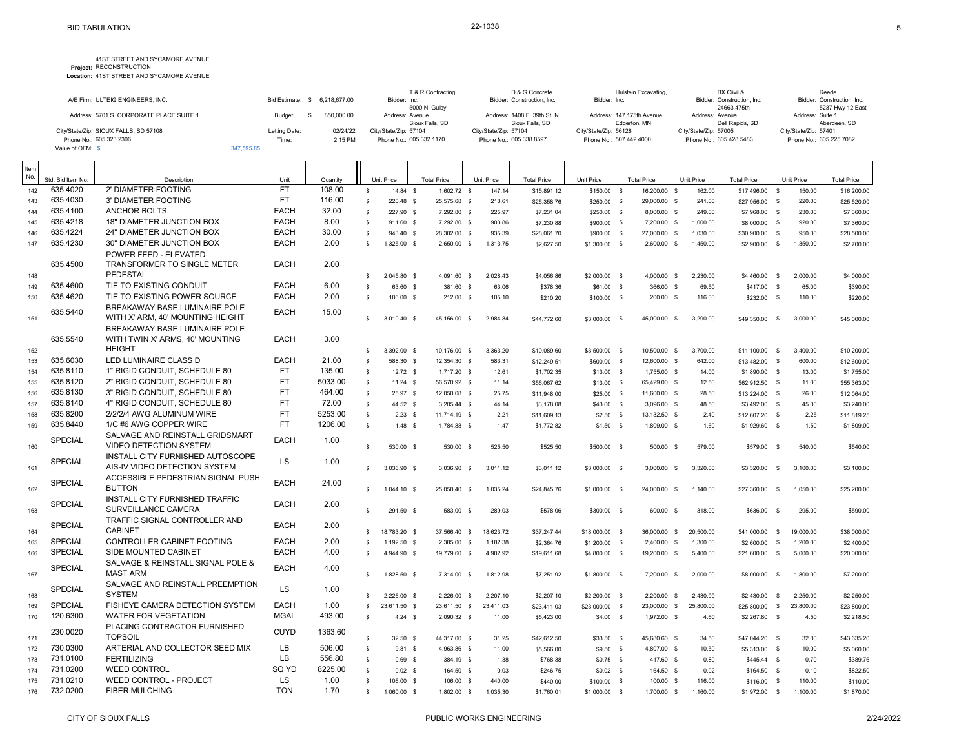|                                          |                  |              | T & R Contracting,               | D & G Concrete               | Hulstein Excavating,      | BX Ciivil &                    | Reede                                |
|------------------------------------------|------------------|--------------|----------------------------------|------------------------------|---------------------------|--------------------------------|--------------------------------------|
| A/E Firm: ULTEIG ENGINEERS, INC.         | Bid Estimate: \$ | 6.218.677.00 | Bidder: Inc.                     | Bidder: Construction, Inc.   | Bidder: Inc.              | Bidder: Construction, Inc.     | Bidder: Construction, Inc.           |
| Address: 5701 S. CORPORATE PLACE SUITE 1 | Budget:          | 850,000.00   | 5000 N. Gulby<br>Address: Avenue | Address: 1408 E. 39th St. N. | Address: 147 175th Avenue | 24663 475th<br>Address: Avenue | 5237 Hwy 12 East<br>Address: Suite 1 |
|                                          |                  |              | Sioux Falls, SD                  | Sioux Falls, SD              | Edgerton, MN              | Dell Rapids, SD                | Aberdeen, SD                         |
| City/State/Zip: SIOUX FALLS, SD 57108    | Letting Date:    | 02/24/22     | City/State/Zip: 57104            | City/State/Zip: 57104        | City/State/Zip: 56128     | City/State/Zip: 57005          | City/State/Zip: 57401                |
| Phone No.: 605.323.2306                  | Time:            | 2:15 PM      | Phone No.: 605.332.1170          | Phone No.: 605.338.8597      | Phone No.: 507.442.4000   | Phone No.: 605.428.5483        | Phone No.: 605.225.7082              |
| Value of OFM:                            | 347.595.85       |              |                                  |                              |                           |                                |                                      |

| Item<br>No. |                               |                                                                   |                   |                    |                |                        |                                     |                      |                           |                            |                                    |                      |                                 |               |                      |                           |
|-------------|-------------------------------|-------------------------------------------------------------------|-------------------|--------------------|----------------|------------------------|-------------------------------------|----------------------|---------------------------|----------------------------|------------------------------------|----------------------|---------------------------------|---------------|----------------------|---------------------------|
| 142         | Std. Bid Item No.<br>635.4020 | Description<br>2' DIAMETER FOOTING                                | Unit<br><b>FT</b> | Quantity<br>108.00 | $\mathbb{S}$   | Unit Price<br>14.84 \$ | <b>Total Price</b><br>$1.602.72$ \$ | Unit Price<br>147.14 | <b>Total Price</b>        | Unit Price                 | <b>Total Price</b><br>16,200.00 \$ | Unit Price<br>162.00 | <b>Total Price</b>              |               | Unit Price<br>150.00 | <b>Total Price</b>        |
| 143         | 635.4030                      | 3' DIAMETER FOOTING                                               | <b>FT</b>         | 116.00             | \$             | 220.48 \$              | 25,575.68 \$                        | 218.61               | \$15,891.12               | \$150.00 \$                | 29,000.00 \$                       | 241.00               | \$17,496.00 \$                  |               | 220.00               | \$16,200.00               |
| 144         | 635.4100                      | <b>ANCHOR BOLTS</b>                                               | <b>EACH</b>       | 32.00              | $$\mathbb{S}$$ | 227.90 \$              | 7,292.80 \$                         | 225.97               | \$25,358.76<br>\$7,231.04 | \$250.00 \$<br>\$250.00 \$ | 8,000.00 \$                        | 249.00               | \$27,956.00 \$<br>\$7,968.00 \$ |               | 230.00               | \$25,520.00<br>\$7,360.00 |
| 145         | 635.4218                      | 18" DIAMETER JUNCTION BOX                                         | <b>EACH</b>       | 8.00               | $\mathbb{S}$   | 911.60 \$              | 7,292.80 \$                         | 903.86               |                           |                            | 7,200.00 \$                        | 1,000.00             |                                 |               | 920.00               |                           |
| 146         | 635.4224                      | 24" DIAMETER JUNCTION BOX                                         | <b>EACH</b>       | 30.00              | s              | 943.40 \$              | 28.302.00 \$                        | 935.39               | \$7,230.88                | \$900.00 \$                | 27,000.00 \$                       | 1.030.00             | \$8,000.00 \$                   |               | 950.00               | \$7,360.00                |
| 147         | 635.4230                      | 30" DIAMETER JUNCTION BOX                                         | <b>EACH</b>       | 2.00               | s.             |                        |                                     |                      | \$28,061.70               | \$900.00 \$                |                                    |                      | \$30,900.00 \$                  |               |                      | \$28,500.00               |
|             |                               | POWER FEED - ELEVATED                                             |                   |                    |                | 1,325.00 \$            | 2,650.00 \$                         | 1,313.75             | \$2,627.50                | \$1,300.00 \$              | 2,600.00 \$                        | 1,450.00             | \$2,900.00 \$                   |               | 1,350.00             | \$2,700.00                |
| 148         | 635.4500                      | TRANSFORMER TO SINGLE METER<br>PEDESTAL                           | <b>EACH</b>       | 2.00               | \$             | 2.045.80 \$            | 4.091.60 \$                         | 2.028.43             | \$4,056.86                | \$2,000.00 \$              | 4.000.00 \$                        | 2.230.00             | \$4,460.00 \$                   |               | 2.000.00             | \$4,000.00                |
| 149         | 635.4600                      | TIE TO EXISTING CONDUIT                                           | <b>EACH</b>       | 6.00               | $\mathbb S$    | 63.60 \$               | 381.60 \$                           | 63.06                | \$378.36                  | $$61.00$ \$                | 366.00 \$                          | 69.50                | \$417.00                        | $\mathbf s$   | 65.00                | \$390.00                  |
| 150         | 635.4620                      | TIE TO EXISTING POWER SOURCE                                      | <b>EACH</b>       | 2.00               | s.             | 106.00 \$              | 212.00 \$                           | 105.10               | \$210.20                  | \$100.00 \$                | 200.00 \$                          | 116.00               | \$232.00                        | $\mathbf s$   | 110.00               | \$220.00                  |
| 151         | 635.5440                      | BREAKAWAY BASE LUMINAIRE POLE<br>WITH X' ARM, 40' MOUNTING HEIGHT | <b>EACH</b>       | 15.00              | s.             | 3.010.40 \$            | 45.156.00 \$                        | 2.984.84             | \$44,772.60               | \$3,000.00 \$              | 45.000.00 \$                       | 3.290.00             | \$49,350.00 \$                  |               | 3.000.00             | \$45,000.00               |
|             | 635.5540                      | BREAKAWAY BASE LUMINAIRE POLE<br>WITH TWIN X' ARMS, 40' MOUNTING  | <b>EACH</b>       | 3.00               |                |                        |                                     |                      |                           |                            |                                    |                      |                                 |               |                      |                           |
| 152         |                               | <b>HEIGHT</b>                                                     |                   |                    | \$             | 3,392.00 \$            | 10,176.00 \$                        | 3,363.20             | \$10,089.60               | \$3,500.00 \$              | 10,500.00 \$                       | 3,700.00             | \$11,100.00 \$                  |               | 3,400.00             | \$10,200.00               |
| 153         | 635.6030                      | LED LUMINAIRE CLASS D                                             | <b>EACH</b>       | 21.00              | \$             | 588.30 \$              | 12,354.30 \$                        | 583.31               | \$12,249.51               | \$600.00 \$                | 12,600.00 \$                       | 642.00               | \$13,482.00 \$                  |               | 600.00               | \$12,600.00               |
| 154         | 635.8110                      | 1" RIGID CONDUIT, SCHEDULE 80                                     | <b>FT</b>         | 135.00             | $\mathbb{S}$   | $12.72$ \$             | 1,717.20 \$                         | 12.61                | \$1,702.35                | $$13.00$ \$                | 1,755.00 \$                        | 14.00                | \$1,890.00 \$                   |               | 13.00                | \$1,755.00                |
| 155         | 635.8120                      | 2" RIGID CONDUIT, SCHEDULE 80                                     | <b>FT</b>         | 5033.00            | \$             | $11.24$ \$             | 56,570.92 \$                        | 11.14                | \$56,067.62               | \$13.00 \$                 | 65,429.00 \$                       | 12.50                | \$62,912.50 \$                  |               | 11.00                | \$55,363.00               |
| 156         | 635.8130                      | 3" RIGID CONDUIT, SCHEDULE 80                                     | <b>FT</b>         | 464.00             | $\mathbb{S}$   | 25.97 \$               | 12,050.08 \$                        | 25.75                | \$11,948.00               | $$25.00$ \$                | 11,600.00 \$                       | 28.50                | \$13,224.00 \$                  |               | 26.00                | \$12,064.00               |
| 157         | 635.8140                      | 4" RIGID CONDUIT, SCHEDULE 80                                     | <b>FT</b>         | 72.00              | $\mathbb{S}$   | 44.52 \$               | 3,205.44 \$                         | 44.14                | \$3,178.08                | $$43.00$ \$                | 3,096.00 \$                        | 48.50                | \$3,492.00 \$                   |               | 45.00                | \$3,240.00                |
| 158         | 635.8200                      | 2/2/2/4 AWG ALUMINUM WIRE                                         | <b>FT</b>         | 5253.00            | $$\mathbb{S}$$ | $2.23$ \$              | 11,714.19 \$                        | 2.21                 | \$11,609.13               | $$2.50$ \$                 | 13,132.50 \$                       | 2.40                 | \$12,607.20 \$                  |               | 2.25                 | \$11,819.25               |
| 159         | 635.8440                      | 1/C #6 AWG COPPER WIRE                                            | <b>FT</b>         | 1206.00            | $\mathbb S$    | $1.48$ \$              | 1,784.88 \$                         | 1.47                 | \$1,772.82                | $$1.50$ \$                 | 1,809.00 \$                        | 1.60                 | \$1,929.60 \$                   |               | 1.50                 | \$1,809.00                |
| 160         | <b>SPECIAL</b>                | SALVAGE AND REINSTALL GRIDSMART<br>VIDEO DETECTION SYSTEM         | <b>EACH</b>       | 1.00               | s.             | 530.00 \$              | 530.00 \$                           | 525.50               | \$525.50                  | \$500.00 \$                | 500.00 \$                          | 579.00               | \$579.00                        | $\mathbf{s}$  | 540.00               | \$540.00                  |
| 161         | SPECIAL                       | INSTALL CITY FURNISHED AUTOSCOPE<br>AIS-IV VIDEO DETECTION SYSTEM | LS                | 1.00               | s.             | 3,036.90 \$            | 3,036.90 \$                         | 3,011.12             | \$3,011.12                | \$3,000.00 \$              | 3,000.00 \$                        | 3,320.00             | \$3,320.00                      | $\mathbb{S}$  | 3,100.00             | \$3,100.00                |
| 162         | <b>SPECIAL</b>                | ACCESSIBLE PEDESTRIAN SIGNAL PUSH<br><b>BUTTON</b>                | <b>EACH</b>       | 24.00              | \$             | 1,044.10 \$            | 25,058.40 \$                        | 1,035.24             | \$24,845.76               | \$1,000.00 \$              | 24,000.00 \$                       | 1,140.00             | \$27,360.00                     | $\mathbb{S}$  | 1,050.00             | \$25,200.00               |
| 163         | <b>SPECIAL</b>                | INSTALL CITY FURNISHED TRAFFIC<br>SURVEILLANCE CAMERA             | <b>EACH</b>       | 2.00               | s.             | 291.50 \$              | 583.00 \$                           | 289.03               | \$578.06                  | \$300.00 \$                | 600.00 \$                          | 318.00               | \$636.00                        | $\mathbb{S}$  | 295.00               | \$590.00                  |
|             | <b>SPECIAL</b>                | TRAFFIC SIGNAL CONTROLLER AND<br><b>CABINET</b>                   | <b>EACH</b>       | 2.00               |                |                        |                                     |                      |                           |                            |                                    |                      |                                 |               |                      |                           |
| 164         | <b>SPECIAL</b>                | CONTROLLER CABINET FOOTING                                        | <b>EACH</b>       | 2.00               | \$             | 18,783.20 \$           | 37,566.40 \$                        | 18,623.72            | \$37,247.44               | \$18,000.00 \$             | 36,000.00 \$                       | 20,500.00            | \$41,000.00 \$                  |               | 19,000.00            | \$38,000.00               |
| 165         | <b>SPECIAL</b>                | SIDE MOUNTED CABINET                                              | <b>EACH</b>       | 4.00               | s.             | 1,192.50 \$            | 2,385.00 \$                         | 1.182.38             | \$2,364.76                | $$1,200.00$ \$             | 2,400.00 \$                        | 1,300.00             | \$2,600.00                      | \$            | 1,200.00             | \$2,400.00                |
| 166         |                               | SALVAGE & REINSTALL SIGNAL POLE &                                 |                   |                    | s.             | 4,944.90 \$            | 19,779.60 \$                        | 4,902.92             | \$19,611.68               | \$4,800.00 \$              | 19,200.00 \$                       | 5,400.00             | \$21,600.00                     | $\mathbf{s}$  | 5,000.00             | \$20,000.00               |
| 167         | <b>SPECIAL</b>                | <b>MAST ARM</b><br>SALVAGE AND REINSTALL PREEMPTION               | <b>EACH</b>       | 4.00               | s.             | 1.828.50 \$            | 7.314.00 \$                         | 1,812.98             | \$7,251.92                | \$1,800.00 \$              | 7,200.00 \$                        | 2.000.00             | \$8,000.00                      | $\mathbf{s}$  | 1,800.00             | \$7,200.00                |
| 168         | <b>SPECIAL</b>                | <b>SYSTEM</b>                                                     | <b>LS</b>         | 1.00               | s.             | $2.226.00$ \$          | 2,226.00 \$                         | 2,207.10             | \$2,207.10                | \$2,200.00 \$              | 2,200.00 \$                        | 2,430.00             | \$2,430.00                      | $\mathbf{\$}$ | 2,250.00             |                           |
| 169         | <b>SPECIAL</b>                | FISHEYE CAMERA DETECTION SYSTEM                                   | <b>EACH</b>       | 1.00               | \$             |                        |                                     |                      |                           |                            |                                    |                      |                                 |               |                      | \$2,250.00                |
| 170         | 120.6300                      | <b>WATER FOR VEGETATION</b>                                       | <b>MGAL</b>       | 493.00             | $\mathsf{s}$   | 23,611.50 \$           | 23,611.50 \$<br>2,090.32 \$         | 23,411.03            | \$23,411.03               | \$23,000.00 \$             | 23,000.00 \$                       | 25,800.00            | \$25,800.00                     | $\mathbf s$   | 23,800.00            | \$23,800.00               |
|             |                               | PLACING CONTRACTOR FURNISHED                                      |                   |                    |                | $4.24$ \$              |                                     | 11.00                | \$5,423.00                | $$4.00$ \$                 | 1,972.00 \$                        | 4.60                 | \$2,267.80 \$                   |               | 4.50                 | \$2,218.50                |
| 171         | 230.0020                      | <b>TOPSOIL</b>                                                    | <b>CUYD</b>       | 1363.60            | \$             | 32.50 \$               | 44,317.00 \$                        | 31.25                | \$42,612.50               | \$33.50 \$                 | 45,680.60 \$                       | 34.50                | \$47,044.20 \$                  |               | 32.00                | \$43,635.20               |
| 172         | 730.0300                      | ARTERIAL AND COLLECTOR SEED MIX                                   | LB                | 506.00             | $\mathbb{S}$   | $9.81$ \$              | 4,963.86 \$                         | 11.00                | \$5,566.00                | $$9.50$ \$                 | 4,807.00 \$                        | 10.50                | \$5,313.00 \$                   |               | 10.00                | \$5,060.00                |
| 173         | 731.0100                      | <b>FERTILIZING</b>                                                | <b>LB</b>         | 556.80             | \$             | 0.69S                  | 384.19 \$                           | 1.38                 | \$768.38                  | $$0.75$ \$                 | 417.60 \$                          | 0.80                 | \$445.44 \$                     |               | 0.70                 | \$389.76                  |
| 174         | 731.0200                      | <b>WEED CONTROL</b>                                               | SQ YD             | 8225.00            | $\mathbb{S}$   | $0.02$ \$              | 164.50 \$                           | 0.03                 | \$246.75                  | $$0.02$ \$                 | 164.50 \$                          | 0.02                 | \$164.50 \$                     |               | 0.10                 | \$822.50                  |
| 175         | 731.0210                      | <b>WEED CONTROL - PROJECT</b>                                     | LS                | 1.00               | \$             | 106.00 \$              | 106.00 \$                           | 440.00               | \$440.00                  | $$100.00$ \$               | 100.00 \$                          | 116.00               | \$116.00                        | - \$          | 110.00               | \$110.00                  |
| 176         | 732.0200                      | <b>FIBER MULCHING</b>                                             | <b>TON</b>        | 1.70               | \$             | 1,060.00 \$            | 1,802.00 \$                         | 1,035.30             | \$1,760.01                | \$1,000.00 \$              | 1,700.00 \$                        | 1,160.00             | \$1,972.00 \$                   |               | 1,100.00             | \$1,870.00                |
|             |                               |                                                                   |                   |                    |                |                        |                                     |                      |                           |                            |                                    |                      |                                 |               |                      |                           |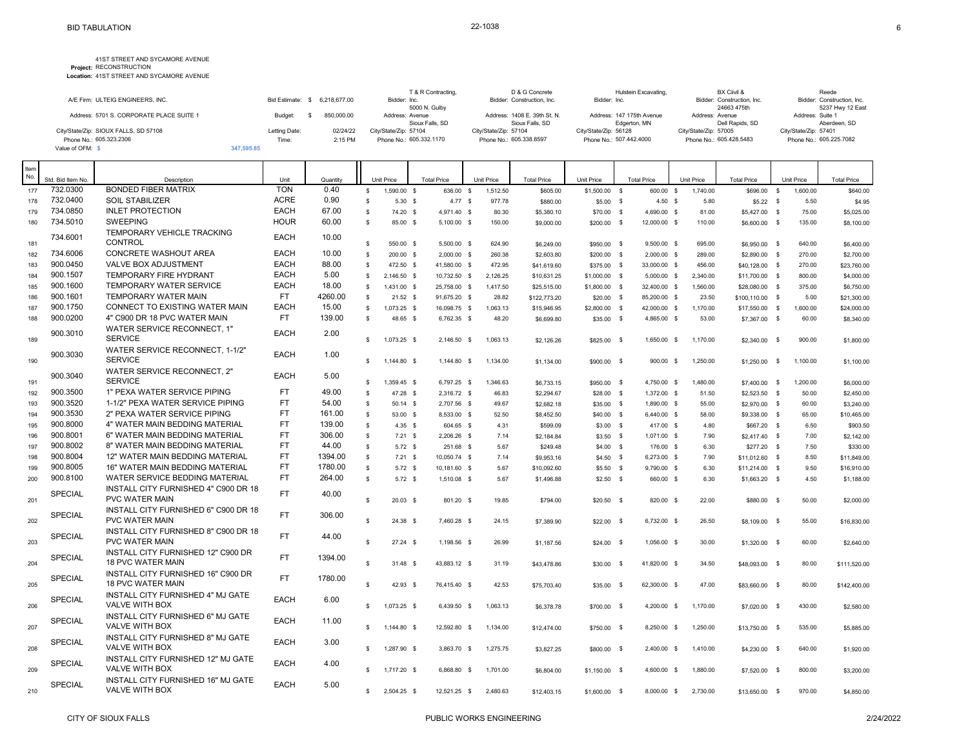|                                          |               |                               | T & R Contracting.      | D & G Concrete               | Hulstein Excavating.      | BX Ciivil &                | Reede                      |
|------------------------------------------|---------------|-------------------------------|-------------------------|------------------------------|---------------------------|----------------------------|----------------------------|
| A/E Firm: ULTEIG ENGINEERS, INC.         |               | Bid Estimate: \$ 6.218.677.00 | Bidder: Inc.            | Bidder: Construction, Inc.   | Bidder: Inc.              | Bidder: Construction, Inc. | Bidder: Construction, Inc. |
|                                          |               |                               | 5000 N. Gulby           |                              |                           | 24663 475th                | 5237 Hwy 12 East           |
| Address: 5701 S. CORPORATE PLACE SUITE 1 | Budget:       | 850,000.00                    | Address: Avenue         | Address: 1408 E. 39th St. N. | Address: 147 175th Avenue | Address: Avenue            | Address: Suite 1           |
|                                          |               |                               | Sioux Falls, SD         | Sioux Falls, SD              | Edgerton, MN              | Dell Rapids, SD            | Aberdeen, SD               |
| City/State/Zip: SIOUX FALLS, SD 57108    | Letting Date: | 02/24/22                      | City/State/Zip: 57104   | City/State/Zip: 57104        | City/State/Zip: 56128     | City/State/Zip: 57005      | City/State/Zip: 57401      |
| Phone No.: 605.323.2306                  | Time:         | 2:15 PM                       | Phone No.: 605.332.1170 | Phone No.: 605.338.8597      | Phone No.: 507.442.4000   | Phone No.: 605.428.5483    | Phone No.: 605.225.7082    |
| Value of OFM: \                          | 347.595.85    |                               |                         |                              |                           |                            |                            |

| Item<br>No. |                   |                                                                |             |          |              |             |                    |           |            |                    |                |                    |               |            |                    |              |            |                    |
|-------------|-------------------|----------------------------------------------------------------|-------------|----------|--------------|-------------|--------------------|-----------|------------|--------------------|----------------|--------------------|---------------|------------|--------------------|--------------|------------|--------------------|
|             | Std. Bid Item No. | Description                                                    | Unit        | Quantity |              | Unit Price  | <b>Total Price</b> |           | Unit Price | <b>Total Price</b> | Unit Price     | <b>Total Price</b> |               | Unit Price | <b>Total Price</b> |              | Unit Price | <b>Total Price</b> |
| 177         | 732.0300          | <b>BONDED FIBER MATRIX</b>                                     | <b>TON</b>  | 0.40     | $\mathbb{S}$ | 1.590.00 \$ |                    | 636.00 \$ | 1,512.50   | \$605.00           | $$1,500.00$ \$ |                    | 600.00 \$     | 1.740.00   | \$696.00 \$        |              | 1.600.00   | \$640.00           |
| 178         | 732.0400          | <b>SOIL STABILIZER</b>                                         | <b>ACRE</b> | 0.90     | $\mathbf{s}$ | 5.30 S      |                    | 4.77S     | 977.78     | \$880.00           | $$5.00$ \$     |                    | 4.50 S        | 5.80       | $$5.22$ \$         |              | 5.50       | \$4.95             |
| 179         | 734.0850          | <b>INLET PROTECTION</b>                                        | <b>EACH</b> | 67.00    | $\mathbb{S}$ | 74.20 \$    | 4,971.40 \$        |           | 80.30      | \$5,380.10         | \$70.00 \$     |                    | 4,690.00 \$   | 81.00      | \$5,427.00 \$      |              | 75.00      | \$5,025.00         |
| 180         | 734.5010          | <b>SWEEPING</b>                                                | <b>HOUR</b> | 60.00    | $\mathbf{s}$ | 85.00 \$    | 5,100.00 \$        |           | 150.00     | \$9,000.00         | \$200.00 \$    |                    | 12,000.00 \$  | 110.00     | \$6,600.00 \$      |              | 135.00     | \$8,100.00         |
|             | 734.6001          | TEMPORARY VEHICLE TRACKING                                     | <b>EACH</b> | 10.00    |              |             |                    |           |            |                    |                |                    |               |            |                    |              |            |                    |
| 181         |                   | <b>CONTROL</b>                                                 |             |          | $\mathbb{S}$ | 550.00 \$   | 5,500.00 \$        |           | 624.90     | \$6,249.00         | \$950.00 \$    |                    | 9,500.00 \$   | 695.00     | \$6,950.00 \$      |              | 640.00     | \$6,400.00         |
| 182         | 734.6006          | <b>CONCRETE WASHOUT AREA</b>                                   | <b>EACH</b> | 10.00    | s            | 200.00 \$   | $2.000.00$ \$      |           | 260.38     | \$2,603.80         | \$200.00 \$    |                    | 2.000.00 \$   | 289.00     | \$2,890.00 \$      |              | 270.00     | \$2,700.00         |
| 183         | 900.0450          | <b>VALVE BOX ADJUSTMENT</b>                                    | <b>EACH</b> | 88.00    | $\mathbb{S}$ | 472.50 \$   | 41,580.00 \$       |           | 472.95     | \$41,619.60        | \$375.00 \$    |                    | 33,000.00 \$  | 456.00     | \$40,128.00 \$     |              | 270.00     | \$23,760.00        |
| 184         | 900.1507          | <b>TEMPORARY FIRE HYDRANT</b>                                  | <b>EACH</b> | 5.00     | $\mathbf{s}$ | 2.146.50 \$ | 10,732.50 \$       |           | 2,126.25   | \$10,631.25        | \$1,000.00 \$  |                    | $5,000.00$ \$ | 2.340.00   | \$11,700.00 \$     |              | 800.00     | \$4,000.00         |
| 185         | 900.1600          | TEMPORARY WATER SERVICE                                        | <b>EACH</b> | 18.00    | \$           | 1,431.00 \$ | 25,758.00 \$       |           | 1,417.50   | \$25,515.00        | \$1,800.00 \$  |                    | 32,400.00 \$  | 1,560.00   | \$28,080.00 \$     |              | 375.00     | \$6,750.00         |
| 186         | 900.1601          | <b>TEMPORARY WATER MAIN</b>                                    | <b>FT</b>   | 4260.00  | $\mathbf{s}$ | 21.52 S     | 91,675.20 \$       |           | 28.82      | \$122,773.20       | $$20.00$ \$    |                    | 85,200.00 \$  | 23.50      | \$100,110.00 \$    |              | 5.00       | \$21,300.00        |
| 187         | 900.1750          | CONNECT TO EXISTING WATER MAIN                                 | <b>EACH</b> | 15.00    | S.           | 1,073.25 \$ | 16,098.75 \$       |           | 1,063.13   | \$15,946.95        | \$2,800.00 \$  |                    | 42,000.00 \$  | 1,170.00   | \$17,550.00 \$     |              | 1,600.00   | \$24,000.00        |
| 188         | 900.0200          | 4" C900 DR 18 PVC WATER MAIN                                   | <b>FT</b>   | 139.00   | $\mathsf{s}$ | 48.65 \$    | 6,762.35 \$        |           | 48.20      | \$6,699.80         | \$35.00 \$     |                    | 4,865.00 \$   | 53.00      | \$7,367.00 \$      |              | 60.00      | \$8,340.00         |
| 189         | 900.3010          | WATER SERVICE RECONNECT. 1"<br><b>SERVICE</b>                  | <b>EACH</b> | 2.00     | s.           | 1,073.25 \$ | 2,146.50 \$        |           | 1,063.13   | \$2,126.26         | \$825.00 \$    |                    | 1,650.00 \$   | 1,170.00   | \$2,340.00         | \$           | 900.00     | \$1,800.00         |
| 190         | 900.3030          | WATER SERVICE RECONNECT, 1-1/2"<br><b>SERVICE</b>              | <b>EACH</b> | 1.00     | s.           | 1,144.80 \$ | 1,144.80 \$        |           | 1,134.00   | \$1,134.00         | \$900.00 \$    |                    | 900.00 \$     | 1,250.00   | $$1,250.00$ \$     |              | 1,100.00   | \$1,100.00         |
| 191         | 900.3040          | WATER SERVICE RECONNECT, 2"<br><b>SERVICE</b>                  | <b>EACH</b> | 5.00     | \$           | 1,359.45 \$ | 6,797.25 \$        |           | 1,346.63   | \$6,733.15         | \$950.00 \$    |                    | 4,750.00 \$   | 1,480.00   | \$7,400.00 \$      |              | 1,200.00   | \$6,000.00         |
| 192         | 900.3500          | 1" PEXA WATER SERVICE PIPING                                   | <b>FT</b>   | 49.00    | \$           | 47.28 \$    | 2,316.72 \$        |           | 46.83      | \$2,294.67         | \$28.00 \$     |                    | 1,372.00 \$   | 51.50      | \$2,523.50 \$      |              | 50.00      | \$2,450.00         |
| 193         | 900.3520          | 1-1/2" PEXA WATER SERVICE PIPING                               | <b>FT</b>   | 54.00    | \$           | $50.14$ \$  | 2,707.56 \$        |           | 49.67      | \$2,682.18         | $$35.00$ \$    |                    | 1,890.00 \$   | 55.00      | \$2,970.00 \$      |              | 60.00      | \$3,240.00         |
| 194         | 900.3530          | 2" PEXA WATER SERVICE PIPING                                   | <b>FT</b>   | 161.00   | \$           | 53.00 \$    | 8,533.00 \$        |           | 52.50      | \$8,452.50         | \$40.00 \$     |                    | 6,440.00 \$   | 58.00      | \$9,338.00 \$      |              | 65.00      | \$10,465.00        |
| 195         | 900.8000          | 4" WATER MAIN BEDDING MATERIAL                                 | <b>FT</b>   | 139.00   | $\mathbb{S}$ | $4.35$ \$   |                    | 604.65 \$ | 4.31       | \$599.09           | $$3.00$ \$     |                    | 417.00 \$     | 4.80       | \$667.20 \$        |              | 6.50       | \$903.50           |
| 196         | 900.8001          | 6" WATER MAIN BEDDING MATERIAL                                 | <b>FT</b>   | 306.00   | \$           | $7.21$ \$   | 2,206.26 \$        |           | 7.14       | \$2,184.84         | $$3.50$ \$     |                    | 1,071.00 \$   | 7.90       | $$2,417.40$ \$     |              | 7.00       | \$2,142.00         |
| 197         | 900.8002          | 8" WATER MAIN BEDDING MATERIAL                                 | <b>FT</b>   | 44.00    | $\mathbb{S}$ | $5.72$ \$   |                    | 251.68 \$ | 5.67       | \$249.48           | $$4.00$ \$     |                    | 176.00 \$     | 6.30       | $$277.20$ \$       |              | 7.50       | \$330.00           |
| 198         | 900.8004          | 12" WATER MAIN BEDDING MATERIAL                                | <b>FT</b>   | 1394.00  | $\mathbb{S}$ | 7.21 S      | 10.050.74 \$       |           | 7.14       | \$9,953.16         | $$4.50$ \$     |                    | 6,273.00 \$   | 7.90       | \$11,012.60 \$     |              | 8.50       | \$11,849.00        |
| 199         | 900.8005          | 16" WATER MAIN BEDDING MATERIAL                                | <b>FT</b>   | 1780.00  | $\mathbb{S}$ | $5.72$ \$   | 10,181.60 \$       |           | 5.67       | \$10,092.60        | $$5.50$ \$     |                    | 9,790.00 \$   | 6.30       | \$11,214.00 \$     |              | 9.50       | \$16,910.00        |
| 200         | 900.8100          | WATER SERVICE BEDDING MATERIAL                                 | <b>FT</b>   | 264.00   | $\mathbf{s}$ | $5.72$ \$   | 1.510.08 \$        |           | 5.67       | \$1,496.88         | $$2.50$ \$     |                    | 660.00 \$     | 6.30       | $$1,663.20$ \$     |              | 4.50       | \$1,188.00         |
| 201         | <b>SPECIAL</b>    | INSTALL CITY FURNISHED 4" C900 DR 18<br><b>PVC WATER MAIN</b>  | FT.         | 40.00    | s            | 20.03S      |                    | 801.20 \$ | 19.85      | \$794.00           | $$20.50$ \$    |                    | 820.00 \$     | 22.00      | \$880.00 \$        |              | 50.00      | \$2,000.00         |
| 202         | <b>SPECIAL</b>    | INSTALL CITY FURNISHED 6" C900 DR 18<br><b>PVC WATER MAIN</b>  | <b>FT</b>   | 306.00   | $\mathbf{s}$ | 24.38 \$    | 7,460.28 \$        |           | 24.15      | \$7,389.90         | $$22.00$ \$    |                    | 6,732.00 \$   | 26.50      | \$8,109.00 \$      |              | 55.00      | \$16,830.00        |
| 203         | <b>SPECIAL</b>    | INSTALL CITY FURNISHED 8" C900 DR 18<br><b>PVC WATER MAIN</b>  | <b>FT</b>   | 44.00    | s            | 27.24 \$    | 1,198.56 \$        |           | 26.99      | \$1,187.56         | $$24.00$ \$    |                    | 1,056.00 \$   | 30.00      | \$1,320.00 \$      |              | 60.00      | \$2,640.00         |
| 204         | SPECIAL           | INSTALL CITY FURNISHED 12" C900 DR<br><b>18 PVC WATER MAIN</b> | FT.         | 1394.00  | $\mathbf{s}$ | 31.48 \$    | 43,883.12 \$       |           | 31.19      | \$43,478.86        | \$30.00 \$     |                    | 41,820.00 \$  | 34.50      | \$48,093.00        | $\mathbb{S}$ | 80.00      | \$111,520.00       |
| 205         | <b>SPECIAL</b>    | INSTALL CITY FURNISHED 16" C900 DR<br><b>18 PVC WATER MAIN</b> | <b>FT</b>   | 1780.00  | \$           | 42.93 \$    | 76,415.40 \$       |           | 42.53      | \$75,703.40        | \$35.00 \$     |                    | 62,300.00 \$  | 47.00      | \$83,660.00        | $\mathbb{S}$ | 80.00      | \$142,400.00       |
|             | SPECIAL           | INSTALL CITY FURNISHED 4" MJ GATE<br><b>VALVE WITH BOX</b>     | <b>EACH</b> | 6.00     |              |             |                    |           |            |                    |                |                    |               |            |                    |              |            |                    |
| 206         | <b>SPECIAL</b>    | INSTALL CITY FURNISHED 6" MJ GATE                              | <b>EACH</b> | 11.00    | \$.          | 1,073.25 \$ | 6.439.50 \$        |           | 1.063.13   | \$6,378.78         | \$700.00 \$    |                    | 4,200.00 \$   | 1.170.00   | \$7,020.00         | <b>S</b>     | 430.00     | \$2,580.00         |
| 207         | <b>SPECIAL</b>    | <b>VALVE WITH BOX</b><br>INSTALL CITY FURNISHED 8" MJ GATE     | <b>EACH</b> | 3.00     | -S           | 1,144.80 \$ | 12,592.80 \$       |           | 1,134.00   | \$12,474.00        | \$750.00 \$    |                    | 8,250.00 \$   | 1,250.00   | \$13,750.00        | - \$         | 535.00     | \$5,885.00         |
| 208         |                   | <b>VALVE WITH BOX</b><br>INSTALL CITY FURNISHED 12" MJ GATE    | <b>EACH</b> |          | s            | 1,287.90 \$ | 3,863.70 \$        |           | 1,275.75   | \$3,827.25         | \$800.00 \$    |                    | 2,400.00 \$   | 1,410.00   | \$4,230.00         | - \$         | 640.00     | \$1,920.00         |
| 209         | SPECIAL           | <b>VALVE WITH BOX</b><br>INSTALL CITY FURNISHED 16" MJ GATE    |             | 4.00     | \$           | 1,717.20 \$ | 6,868.80 \$        |           | 1,701.00   | \$6,804.00         | $$1,150.00$ \$ |                    | 4,600.00 \$   | 1,880.00   | \$7,520.00         | $\mathbb{S}$ | 800.00     | \$3,200.00         |
| 210         | <b>SPECIAL</b>    | VALVE WITH BOX                                                 | <b>EACH</b> | 5.00     | S.           | 2,504.25 \$ | 12,521.25 \$       |           | 2,480.63   | \$12,403.15        | \$1,600.00 \$  |                    | 8,000.00 \$   | 2,730.00   | \$13,650.00 \$     |              | 970.00     | \$4,850.00         |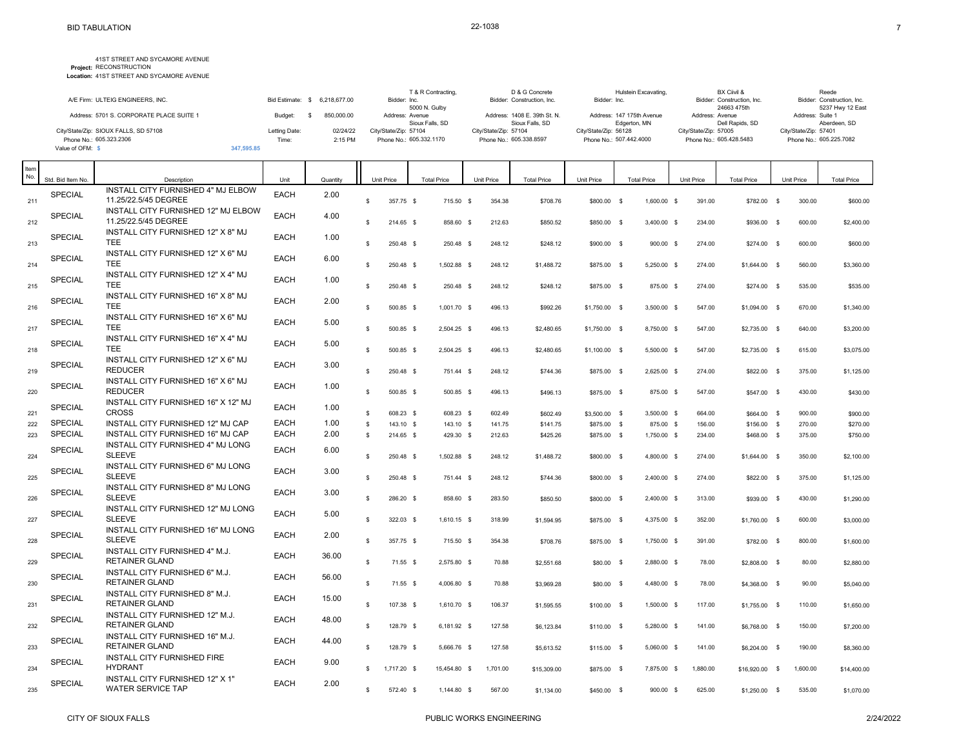**Project:** RECONSTRUCTION **Location:** 41ST STREET AND SYCAMORE AVENUE 41ST STREET AND SYCAMORE AVENUE

| A/E Firm: ULTEIG ENGINEERS, INC.         |               |                               | T & R Contracting.<br>Bidder: Inc. | D & G Concrete<br>Bidder: Construction, Inc.    | Hulstein Excavating.<br>Bidder: Inc.      | BX Ciivil &<br>Bidder: Construction, Inc. | Reede<br>Bidder: Construction, Inc. |
|------------------------------------------|---------------|-------------------------------|------------------------------------|-------------------------------------------------|-------------------------------------------|-------------------------------------------|-------------------------------------|
|                                          |               | Bid Estimate: \$ 6.218.677.00 | 5000 N. Gulby                      |                                                 |                                           | 24663 475th                               | 5237 Hwy 12 East                    |
| Address: 5701 S. CORPORATE PLACE SUITE 1 | Budget:       | 850,000.00                    | Address: Avenue<br>Sioux Falls, SD | Address: 1408 E. 39th St. N.<br>Sioux Falls, SD | Address: 147 175th Avenue<br>Edgerton, MN | Address: Avenue<br>Dell Rapids, SD        | Address: Suite 1<br>Aberdeen, SD    |
| City/State/Zip: SIOUX FALLS, SD 57108    | Letting Date: | 02/24/22                      | City/State/Zip: 57104              | City/State/Zip: 57104                           | City/State/Zip: 56128                     | City/State/Zip: 57005                     | City/State/Zip: 57401               |
| Phone No.: 605.323.2306                  | Time:         | 2:15 PM                       | Phone No.: 605.332.1170            | Phone No.: 605.338.8597                         | Phone No.: 507.442.4000                   | Phone No.: 605.428.5483                   | Phone No.: 605.225.7082             |
| Value of OFM: \$                         | 347,595,85    |                               |                                    |                                                 |                                           |                                           |                                     |

| Item<br>No. | Std. Bid Item No. | Description                                                 | Unit        | Quantity | Unit Price        |            | <b>Total Price</b> | Unit Price | <b>Total Price</b>        | Unit Price                 | <b>Total Price</b>       | Unit Price     | <b>Total Price</b>               | Unit Price  | <b>Total Price</b>                  |
|-------------|-------------------|-------------------------------------------------------------|-------------|----------|-------------------|------------|--------------------|------------|---------------------------|----------------------------|--------------------------|----------------|----------------------------------|-------------|-------------------------------------|
| 211         | SPECIAL           | INSTALL CITY FURNISHED 4" MJ ELBOW<br>11.25/22.5/45 DEGREE  | <b>EACH</b> | 2.00     | $\mathbb{S}$      | 357.75 \$  | 715.50 \$          | 354.38     | \$708.76                  | \$800.00 \$                | 1,600.00 \$              | 391.00         | \$782.00 \$                      |             | 300.00<br>\$600.00                  |
| 212         | SPECIAL           | INSTALL CITY FURNISHED 12" MJ ELBOW<br>11.25/22.5/45 DEGREE | <b>EACH</b> | 4.00     | s.                | 214.65 \$  | 858.60 \$          | 212.63     | \$850.52                  | \$850.00 \$                | 3,400.00 \$              | 234.00         | \$936.00 \$                      |             | 600.00<br>\$2,400.00                |
| 213         | SPECIAL           | INSTALL CITY FURNISHED 12" X 8" MJ<br><b>TEE</b>            | <b>EACH</b> | 1.00     | \$.               | 250.48 \$  | 250.48<br>- S      | 248.12     | \$248.12                  | \$900.00 \$                | 900.00                   | 274.00<br>- \$ | \$274.00                         | - \$        | 600.00<br>\$600.00                  |
| 214         | <b>SPECIAL</b>    | INSTALL CITY FURNISHED 12" X 6" MJ<br><b>TEE</b>            | <b>EACH</b> | 6.00     | \$                | 250.48 \$  | 1,502.88 \$        | 248.12     | \$1,488.72                | \$875.00 \$                | 5,250.00 \$              | 274.00         | \$1,644.00                       | - \$        | 560.00<br>\$3,360.00                |
| 215         | <b>SPECIAL</b>    | INSTALL CITY FURNISHED 12" X 4" MJ<br><b>TEE</b>            | <b>EACH</b> | 1.00     | s                 | 250.48 \$  | 250.48 \$          | 248.12     | \$248.12                  | \$875.00 \$                | 875.00                   | 274.00<br>- \$ | \$274.00                         | $\mathbf s$ | 535.00<br>\$535.00                  |
| 216         | SPECIAL           | INSTALL CITY FURNISHED 16" X 8" MJ<br><b>TEE</b>            | <b>EACH</b> | 2.00     | \$                | 500.85 \$  | 1,001.70 \$        | 496.13     | \$992.26                  | \$1,750.00 \$              | $3,500.00$ \$            | 547.00         | \$1,094.00                       | $\mathbf s$ | 670.00<br>\$1,340.00                |
| 217         | <b>SPECIAL</b>    | INSTALL CITY FURNISHED 16" X 6" MJ<br><b>TEE</b>            | <b>EACH</b> | 5.00     | \$.               | 500.85 \$  | 2.504.25 \$        | 496.13     | \$2,480.65                | \$1,750.00 \$              | 8,750.00 \$              | 547.00         | \$2,735.00 \$                    |             | 640.00<br>\$3,200.00                |
| 218         | SPECIAL           | INSTALL CITY FURNISHED 16" X 4" MJ<br><b>TEE</b>            | <b>EACH</b> | 5.00     | s                 | 500.85 \$  | 2,504.25 \$        | 496.13     | \$2,480.65                | \$1,100.00 \$              | 5,500.00 \$              | 547.00         | \$2,735.00                       | $\mathbf s$ | 615.00<br>\$3,075.00                |
| 219         | SPECIAL           | INSTALL CITY FURNISHED 12" X 6" MJ<br><b>REDUCER</b>        | <b>EACH</b> | 3.00     | \$                | 250.48 \$  | 751.44 \$          | 248.12     | \$744.36                  | \$875.00 \$                | 2,625.00 \$              | 274.00         | \$822.00 \$                      |             | 375.00<br>\$1,125.00                |
| 220         | <b>SPECIAL</b>    | INSTALL CITY FURNISHED 16" X 6" MJ<br><b>REDUCER</b>        | <b>EACH</b> | 1.00     | s.                | 500.85 \$  | 500.85 \$          | 496.13     | \$496.13                  | \$875.00 \$                | 875.00 \$                | 547.00         | \$547.00 \$                      |             | 430.00<br>\$430.00                  |
|             | <b>SPECIAL</b>    | INSTALL CITY FURNISHED 16" X 12" MJ<br><b>CROSS</b>         | <b>EACH</b> | 1.00     | s                 | 608.23 \$  |                    | 602.49     |                           |                            |                          | 664.00         |                                  |             |                                     |
| 221         | <b>SPECIAL</b>    | INSTALL CITY FURNISHED 12" MJ CAP                           | <b>EACH</b> | 1.00     |                   |            | 608.23 \$          |            | \$602.49                  | \$3,500.00 \$              | $3,500.00$ \$            |                | \$664.00 \$                      |             | 900.00<br>\$900.00                  |
| 222         | <b>SPECIAL</b>    | INSTALL CITY FURNISHED 16" MJ CAP                           | <b>EACH</b> |          | \$                | 143.10 \$  | 143.10 \$          | 141.75     | \$141.75                  | \$875.00 \$                | 875.00 \$                | 156.00         | \$156.00 \$                      |             | 270.00<br>\$270.00                  |
| 223         |                   |                                                             |             | 2.00     | $\mathbb S$       | 214.65 \$  | 429.30 \$          | 212.63     | \$425.26                  | \$875.00 \$                | 1,750.00 \$              | 234.00         | \$468.00 \$                      |             | \$750.00<br>375.00                  |
| 224         | <b>SPECIAL</b>    | INSTALL CITY FURNISHED 4" MJ LONG<br><b>SLEEVE</b>          | <b>EACH</b> | 6.00     | s.                | 250.48 \$  | 1,502.88 \$        | 248.12     | \$1,488.72                | \$800.00 \$                | 4.800.00 \$              | 274.00         | $$1,644.00$ \$                   |             | 350.00<br>\$2,100.00                |
| 225         | SPECIAL           | INSTALL CITY FURNISHED 6" MJ LONG<br><b>SLEEVE</b>          | <b>EACH</b> | 3.00     | \$.               | 250.48 \$  | 751.44 \$          | 248.12     | \$744.36                  | \$800.00 \$                | 2.400.00 \$              | 274.00         | \$822.00                         | - \$        | 375.00<br>\$1,125.00                |
| 226         | SPECIAL           | INSTALL CITY FURNISHED 8" MJ LONG<br><b>SLEEVE</b>          | <b>EACH</b> | 3.00     | s.                | 286.20 \$  | 858.60 \$          | 283.50     | \$850.50                  | \$800.00 \$                | 2,400.00 \$              | 313.00         | \$939.00                         | <b>S</b>    | 430.00<br>\$1,290.00                |
| 227         | SPECIAL           | INSTALL CITY FURNISHED 12" MJ LONG<br><b>SLEEVE</b>         | <b>EACH</b> | 5.00     | s                 | 322.03 \$  | 1,610.15 \$        | 318.99     | \$1,594.95                | \$875.00 \$                | 4,375.00 \$              | 352.00         | $$1,760.00$ \$                   |             | 600.00<br>\$3,000.00                |
| 228         | <b>SPECIAL</b>    | INSTALL CITY FURNISHED 16" MJ LONG<br><b>SLEEVE</b>         | <b>EACH</b> | 2.00     | \$                | 357.75 \$  | 715.50 \$          | 354.38     | \$708.76                  | \$875.00 \$                | 1,750.00 \$              | 391.00         | \$782.00 \$                      |             | 800.00<br>\$1,600.00                |
| 229         | <b>SPECIAL</b>    | INSTALL CITY FURNISHED 4" M.J.<br><b>RETAINER GLAND</b>     | <b>EACH</b> | 36.00    | s                 | 71.55 \$   | 2,575.80 \$        | 70.88      | \$2,551.68                | \$80.00 \$                 | 2,880.00 \$              | 78.00          | \$2,808.00 \$                    |             | 80.00<br>\$2,880.00                 |
| 230         | <b>SPECIAL</b>    | INSTALL CITY FURNISHED 6" M.J.<br><b>RETAINER GLAND</b>     | <b>EACH</b> | 56.00    | $\mathbf{s}$      | $71.55$ \$ | 4.006.80 \$        | 70.88      | \$3,969.28                | \$80.00 \$                 | 4.480.00 \$              | 78.00          | \$4,368.00 \$                    |             | 90.00<br>\$5,040.00                 |
| 231         | <b>SPECIAL</b>    | INSTALL CITY FURNISHED 8" M.J.<br><b>RETAINER GLAND</b>     | <b>EACH</b> | 15.00    | \$.               | 107.38 \$  | 1,610.70 \$        | 106.37     | \$1,595.55                | \$100.00 \$                | 1,500.00 \$              | 117.00         | \$1,755.00 \$                    |             | 110.00<br>\$1,650.00                |
| 232         | <b>SPECIAL</b>    | INSTALL CITY FURNISHED 12" M.J.<br><b>RETAINER GLAND</b>    | <b>EACH</b> | 48.00    | s.                | 128.79 \$  | 6,181.92 \$        | 127.58     | \$6,123.84                | \$110.00 \$                | 5,280.00 \$              | 141.00         | \$6,768.00 \$                    |             | 150.00<br>\$7,200.00                |
| 233         | SPECIAL           | INSTALL CITY FURNISHED 16" M.J.<br><b>RETAINER GLAND</b>    | <b>EACH</b> | 44.00    | <b>S</b>          | 128.79 \$  | 5,666.76 \$        | 127.58     | \$5,613.52                | \$115.00 \$                | 5,060.00 \$              | 141.00         | \$6,204.00                       | - \$        | \$8,360.00<br>190.00                |
| 234         | <b>SPECIAL</b>    | INSTALL CITY FURNISHED FIRE<br><b>HYDRANT</b>               | <b>EACH</b> | 9.00     | 1,717.20 \$<br>S. |            | 15,454.80 \$       | 1,701.00   |                           |                            |                          | 1,880.00       |                                  | 1,600.00    |                                     |
| 235         | SPECIAL           | INSTALL CITY FURNISHED 12" X 1"<br>WATER SERVICE TAP        | <b>EACH</b> | 2.00     | S.                | 572.40 \$  | 1,144.80 \$        | 567.00     | \$15,309.00<br>\$1,134.00 | \$875.00 \$<br>\$450.00 \$ | 7,875.00 \$<br>900.00 \$ | 625.00         | $$16,920.00$ \$<br>\$1,250.00 \$ |             | \$14,400.00<br>535.00<br>\$1,070.00 |
|             |                   |                                                             |             |          |                   |            |                    |            |                           |                            |                          |                |                                  |             |                                     |